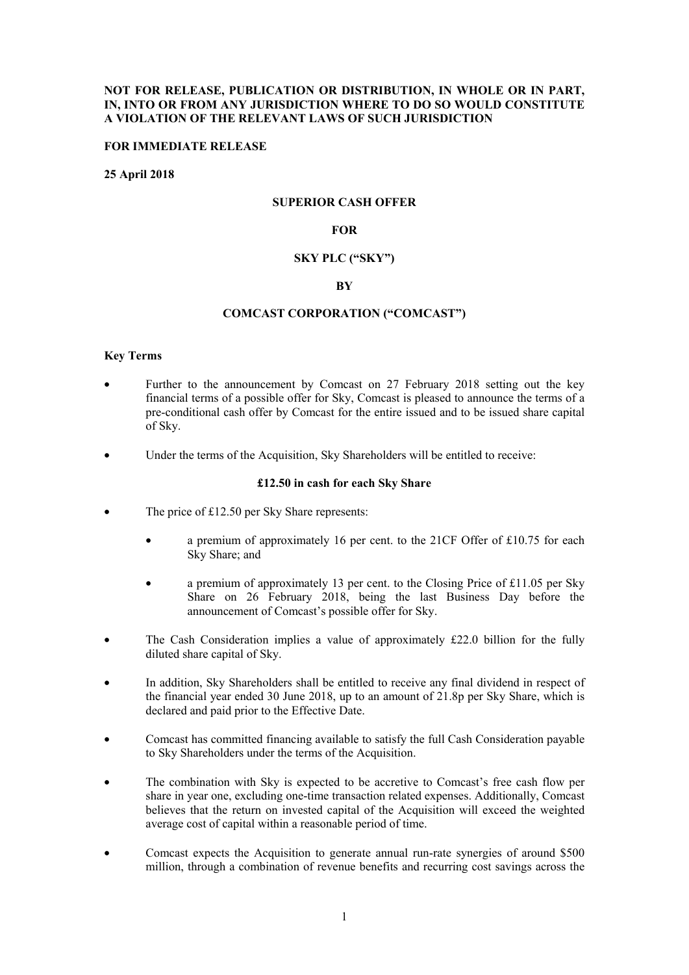## **NOT FOR RELEASE, PUBLICATION OR DISTRIBUTION, IN WHOLE OR IN PART, IN, INTO OR FROM ANY JURISDICTION WHERE TO DO SO WOULD CONSTITUTE A VIOLATION OF THE RELEVANT LAWS OF SUCH JURISDICTION**

## **FOR IMMEDIATE RELEASE**

#### **25 April 2018**

## **SUPERIOR CASH OFFER**

#### **FOR**

## **SKY PLC ("SKY")**

## **BY**

## **COMCAST CORPORATION ("COMCAST")**

## **Key Terms**

- Further to the announcement by Comcast on 27 February 2018 setting out the key financial terms of a possible offer for Sky, Comcast is pleased to announce the terms of a pre-conditional cash offer by Comcast for the entire issued and to be issued share capital of Sky.
- Under the terms of the Acquisition, Sky Shareholders will be entitled to receive:

#### **£12.50 in cash for each Sky Share**

- The price of £12.50 per Sky Share represents:
	- a premium of approximately 16 per cent. to the 21CF Offer of £10.75 for each Sky Share; and
	- a premium of approximately 13 per cent. to the Closing Price of £11.05 per Sky Share on 26 February 2018, being the last Business Day before the announcement of Comcast's possible offer for Sky.
- The Cash Consideration implies a value of approximately  $£22.0$  billion for the fully diluted share capital of Sky.
- In addition, Sky Shareholders shall be entitled to receive any final dividend in respect of the financial year ended 30 June 2018, up to an amount of 21.8p per Sky Share, which is declared and paid prior to the Effective Date.
- Comcast has committed financing available to satisfy the full Cash Consideration payable to Sky Shareholders under the terms of the Acquisition.
- The combination with Sky is expected to be accretive to Comcast's free cash flow per share in year one, excluding one-time transaction related expenses. Additionally, Comcast believes that the return on invested capital of the Acquisition will exceed the weighted average cost of capital within a reasonable period of time.
- Comcast expects the Acquisition to generate annual run-rate synergies of around \$500 million, through a combination of revenue benefits and recurring cost savings across the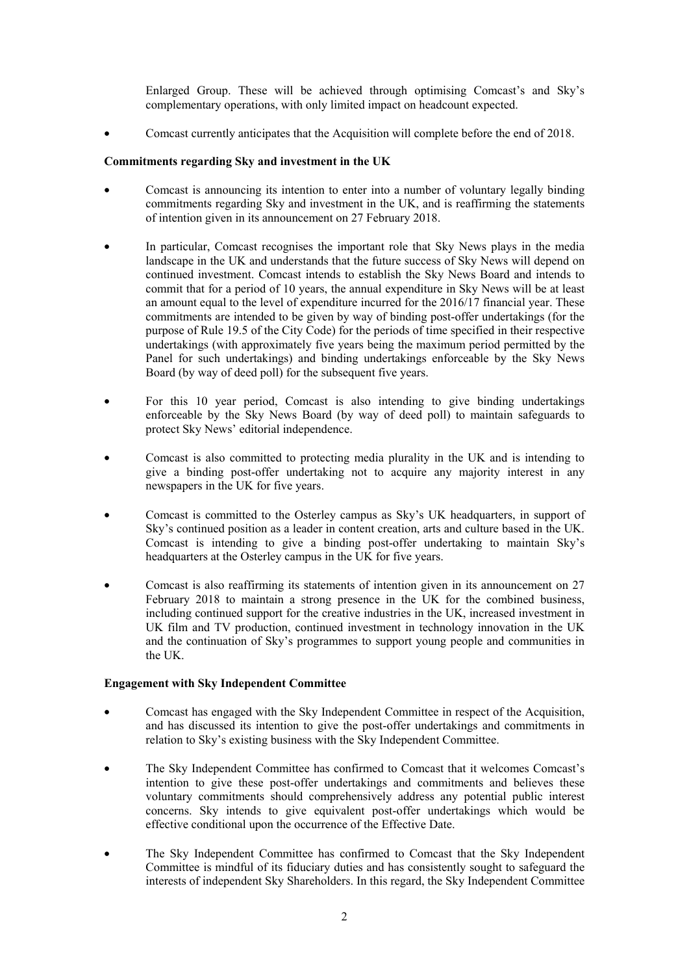Enlarged Group. These will be achieved through optimising Comcast's and Sky's complementary operations, with only limited impact on headcount expected.

• Comcast currently anticipates that the Acquisition will complete before the end of 2018.

## **Commitments regarding Sky and investment in the UK**

- Comcast is announcing its intention to enter into a number of voluntary legally binding commitments regarding Sky and investment in the UK, and is reaffirming the statements of intention given in its announcement on 27 February 2018.
- In particular, Comcast recognises the important role that Sky News plays in the media landscape in the UK and understands that the future success of Sky News will depend on continued investment. Comcast intends to establish the Sky News Board and intends to commit that for a period of 10 years, the annual expenditure in Sky News will be at least an amount equal to the level of expenditure incurred for the 2016/17 financial year. These commitments are intended to be given by way of binding post-offer undertakings (for the purpose of Rule 19.5 of the City Code) for the periods of time specified in their respective undertakings (with approximately five years being the maximum period permitted by the Panel for such undertakings) and binding undertakings enforceable by the Sky News Board (by way of deed poll) for the subsequent five years.
- For this 10 year period, Comcast is also intending to give binding undertakings enforceable by the Sky News Board (by way of deed poll) to maintain safeguards to protect Sky News' editorial independence.
- Comcast is also committed to protecting media plurality in the UK and is intending to give a binding post-offer undertaking not to acquire any majority interest in any newspapers in the UK for five years.
- Comcast is committed to the Osterley campus as Sky's UK headquarters, in support of Sky's continued position as a leader in content creation, arts and culture based in the UK. Comcast is intending to give a binding post-offer undertaking to maintain Sky's headquarters at the Osterley campus in the UK for five years.
- Comcast is also reaffirming its statements of intention given in its announcement on 27 February 2018 to maintain a strong presence in the UK for the combined business, including continued support for the creative industries in the UK, increased investment in UK film and TV production, continued investment in technology innovation in the UK and the continuation of Sky's programmes to support young people and communities in the UK.

## **Engagement with Sky Independent Committee**

- Comcast has engaged with the Sky Independent Committee in respect of the Acquisition, and has discussed its intention to give the post-offer undertakings and commitments in relation to Sky's existing business with the Sky Independent Committee.
- The Sky Independent Committee has confirmed to Comcast that it welcomes Comcast's intention to give these post-offer undertakings and commitments and believes these voluntary commitments should comprehensively address any potential public interest concerns. Sky intends to give equivalent post-offer undertakings which would be effective conditional upon the occurrence of the Effective Date.
- The Sky Independent Committee has confirmed to Comcast that the Sky Independent Committee is mindful of its fiduciary duties and has consistently sought to safeguard the interests of independent Sky Shareholders. In this regard, the Sky Independent Committee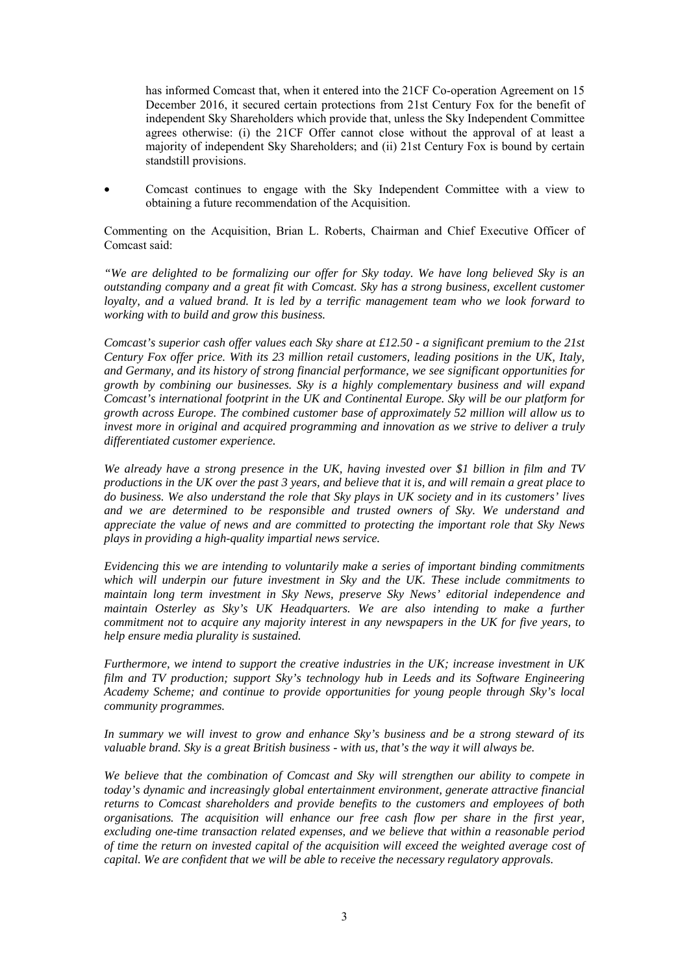has informed Comcast that, when it entered into the 21CF Co-operation Agreement on 15 December 2016, it secured certain protections from 21st Century Fox for the benefit of independent Sky Shareholders which provide that, unless the Sky Independent Committee agrees otherwise: (i) the 21CF Offer cannot close without the approval of at least a majority of independent Sky Shareholders; and (ii) 21st Century Fox is bound by certain standstill provisions.

• Comcast continues to engage with the Sky Independent Committee with a view to obtaining a future recommendation of the Acquisition.

Commenting on the Acquisition, Brian L. Roberts, Chairman and Chief Executive Officer of Comcast said:

*"We are delighted to be formalizing our offer for Sky today. We have long believed Sky is an outstanding company and a great fit with Comcast. Sky has a strong business, excellent customer loyalty, and a valued brand. It is led by a terrific management team who we look forward to working with to build and grow this business.* 

*Comcast's superior cash offer values each Sky share at £12.50 - a significant premium to the 21st Century Fox offer price. With its 23 million retail customers, leading positions in the UK, Italy, and Germany, and its history of strong financial performance, we see significant opportunities for growth by combining our businesses. Sky is a highly complementary business and will expand Comcast's international footprint in the UK and Continental Europe. Sky will be our platform for growth across Europe. The combined customer base of approximately 52 million will allow us to invest more in original and acquired programming and innovation as we strive to deliver a truly differentiated customer experience.* 

*We already have a strong presence in the UK, having invested over \$1 billion in film and TV productions in the UK over the past 3 years, and believe that it is, and will remain a great place to do business. We also understand the role that Sky plays in UK society and in its customers' lives and we are determined to be responsible and trusted owners of Sky. We understand and appreciate the value of news and are committed to protecting the important role that Sky News plays in providing a high-quality impartial news service.* 

*Evidencing this we are intending to voluntarily make a series of important binding commitments which will underpin our future investment in Sky and the UK. These include commitments to maintain long term investment in Sky News, preserve Sky News' editorial independence and maintain Osterley as Sky's UK Headquarters. We are also intending to make a further commitment not to acquire any majority interest in any newspapers in the UK for five years, to help ensure media plurality is sustained.* 

*Furthermore, we intend to support the creative industries in the UK; increase investment in UK film and TV production; support Sky's technology hub in Leeds and its Software Engineering Academy Scheme; and continue to provide opportunities for young people through Sky's local community programmes.* 

*In summary we will invest to grow and enhance Sky's business and be a strong steward of its valuable brand. Sky is a great British business - with us, that's the way it will always be.* 

*We believe that the combination of Comcast and Sky will strengthen our ability to compete in today's dynamic and increasingly global entertainment environment, generate attractive financial returns to Comcast shareholders and provide benefits to the customers and employees of both organisations. The acquisition will enhance our free cash flow per share in the first year, excluding one-time transaction related expenses, and we believe that within a reasonable period of time the return on invested capital of the acquisition will exceed the weighted average cost of capital. We are confident that we will be able to receive the necessary regulatory approvals.*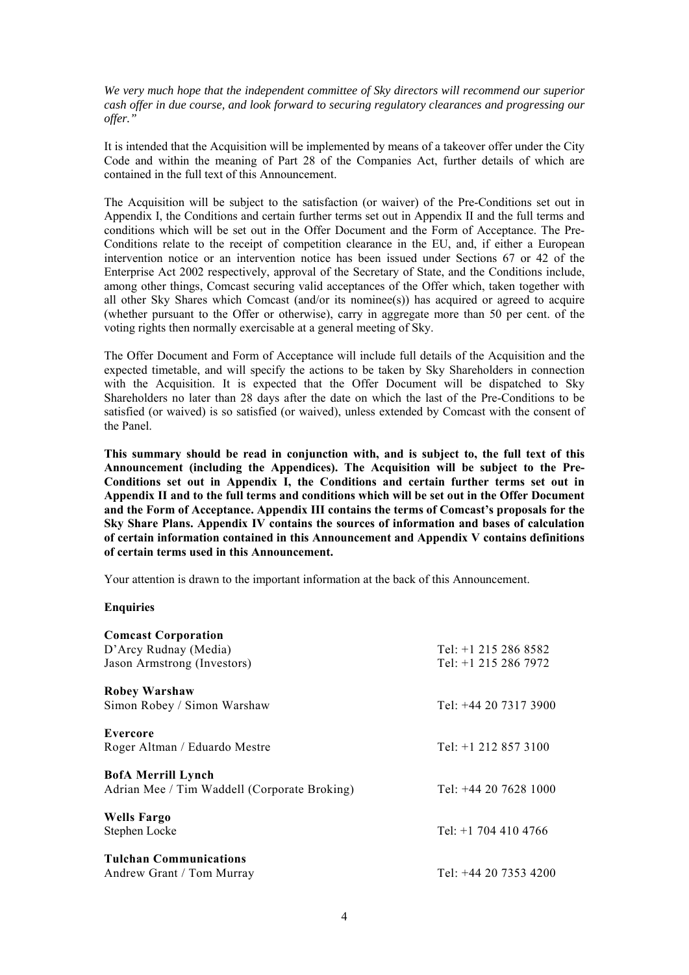*We very much hope that the independent committee of Sky directors will recommend our superior cash offer in due course, and look forward to securing regulatory clearances and progressing our offer."* 

It is intended that the Acquisition will be implemented by means of a takeover offer under the City Code and within the meaning of Part 28 of the Companies Act, further details of which are contained in the full text of this Announcement.

The Acquisition will be subject to the satisfaction (or waiver) of the Pre-Conditions set out in Appendix I, the Conditions and certain further terms set out in Appendix II and the full terms and conditions which will be set out in the Offer Document and the Form of Acceptance. The Pre-Conditions relate to the receipt of competition clearance in the EU, and, if either a European intervention notice or an intervention notice has been issued under Sections 67 or 42 of the Enterprise Act 2002 respectively, approval of the Secretary of State, and the Conditions include, among other things, Comcast securing valid acceptances of the Offer which, taken together with all other Sky Shares which Comcast (and/or its nominee(s)) has acquired or agreed to acquire (whether pursuant to the Offer or otherwise), carry in aggregate more than 50 per cent. of the voting rights then normally exercisable at a general meeting of Sky.

The Offer Document and Form of Acceptance will include full details of the Acquisition and the expected timetable, and will specify the actions to be taken by Sky Shareholders in connection with the Acquisition. It is expected that the Offer Document will be dispatched to Sky Shareholders no later than 28 days after the date on which the last of the Pre-Conditions to be satisfied (or waived) is so satisfied (or waived), unless extended by Comcast with the consent of the Panel.

**This summary should be read in conjunction with, and is subject to, the full text of this Announcement (including the Appendices). The Acquisition will be subject to the Pre-Conditions set out in Appendix I, the Conditions and certain further terms set out in Appendix II and to the full terms and conditions which will be set out in the Offer Document and the Form of Acceptance. Appendix III contains the terms of Comcast's proposals for the Sky Share Plans. Appendix IV contains the sources of information and bases of calculation of certain information contained in this Announcement and Appendix V contains definitions of certain terms used in this Announcement.** 

Your attention is drawn to the important information at the back of this Announcement.

## **Enquiries**

| <b>Comcast Corporation</b>                   |                        |
|----------------------------------------------|------------------------|
| D'Arcy Rudnay (Media)                        | Tel: +1 215 286 8582   |
| Jason Armstrong (Investors)                  | Tel: +1 215 286 7972   |
| <b>Robey Warshaw</b>                         |                        |
| Simon Robey / Simon Warshaw                  | Tel: +44 20 7317 3900  |
| Evercore                                     |                        |
| Roger Altman / Eduardo Mestre                | Tel: $+1$ 212 857 3100 |
| <b>BofA Merrill Lynch</b>                    |                        |
| Adrian Mee / Tim Waddell (Corporate Broking) | Tel: +44 20 7628 1000  |
| <b>Wells Fargo</b>                           |                        |
| Stephen Locke                                | Tel: $+1$ 704 410 4766 |
| <b>Tulchan Communications</b>                |                        |
| Andrew Grant / Tom Murray                    | Tel: +44 20 7353 4200  |
|                                              |                        |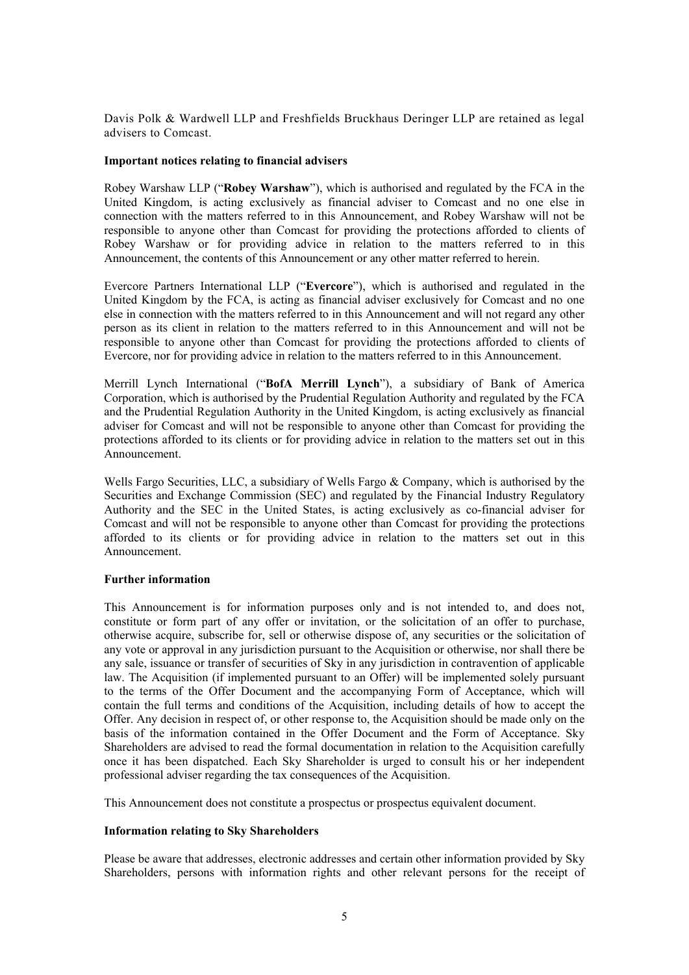Davis Polk & Wardwell LLP and Freshfields Bruckhaus Deringer LLP are retained as legal advisers to Comcast.

## **Important notices relating to financial advisers**

Robey Warshaw LLP ("**Robey Warshaw**"), which is authorised and regulated by the FCA in the United Kingdom, is acting exclusively as financial adviser to Comcast and no one else in connection with the matters referred to in this Announcement, and Robey Warshaw will not be responsible to anyone other than Comcast for providing the protections afforded to clients of Robey Warshaw or for providing advice in relation to the matters referred to in this Announcement, the contents of this Announcement or any other matter referred to herein.

Evercore Partners International LLP ("**Evercore**"), which is authorised and regulated in the United Kingdom by the FCA, is acting as financial adviser exclusively for Comcast and no one else in connection with the matters referred to in this Announcement and will not regard any other person as its client in relation to the matters referred to in this Announcement and will not be responsible to anyone other than Comcast for providing the protections afforded to clients of Evercore, nor for providing advice in relation to the matters referred to in this Announcement.

Merrill Lynch International ("**BofA Merrill Lynch**"), a subsidiary of Bank of America Corporation, which is authorised by the Prudential Regulation Authority and regulated by the FCA and the Prudential Regulation Authority in the United Kingdom, is acting exclusively as financial adviser for Comcast and will not be responsible to anyone other than Comcast for providing the protections afforded to its clients or for providing advice in relation to the matters set out in this Announcement.

Wells Fargo Securities, LLC, a subsidiary of Wells Fargo & Company, which is authorised by the Securities and Exchange Commission (SEC) and regulated by the Financial Industry Regulatory Authority and the SEC in the United States, is acting exclusively as co-financial adviser for Comcast and will not be responsible to anyone other than Comcast for providing the protections afforded to its clients or for providing advice in relation to the matters set out in this Announcement.

## **Further information**

This Announcement is for information purposes only and is not intended to, and does not, constitute or form part of any offer or invitation, or the solicitation of an offer to purchase, otherwise acquire, subscribe for, sell or otherwise dispose of, any securities or the solicitation of any vote or approval in any jurisdiction pursuant to the Acquisition or otherwise, nor shall there be any sale, issuance or transfer of securities of Sky in any jurisdiction in contravention of applicable law. The Acquisition (if implemented pursuant to an Offer) will be implemented solely pursuant to the terms of the Offer Document and the accompanying Form of Acceptance, which will contain the full terms and conditions of the Acquisition, including details of how to accept the Offer. Any decision in respect of, or other response to, the Acquisition should be made only on the basis of the information contained in the Offer Document and the Form of Acceptance. Sky Shareholders are advised to read the formal documentation in relation to the Acquisition carefully once it has been dispatched. Each Sky Shareholder is urged to consult his or her independent professional adviser regarding the tax consequences of the Acquisition.

This Announcement does not constitute a prospectus or prospectus equivalent document.

## **Information relating to Sky Shareholders**

Please be aware that addresses, electronic addresses and certain other information provided by Sky Shareholders, persons with information rights and other relevant persons for the receipt of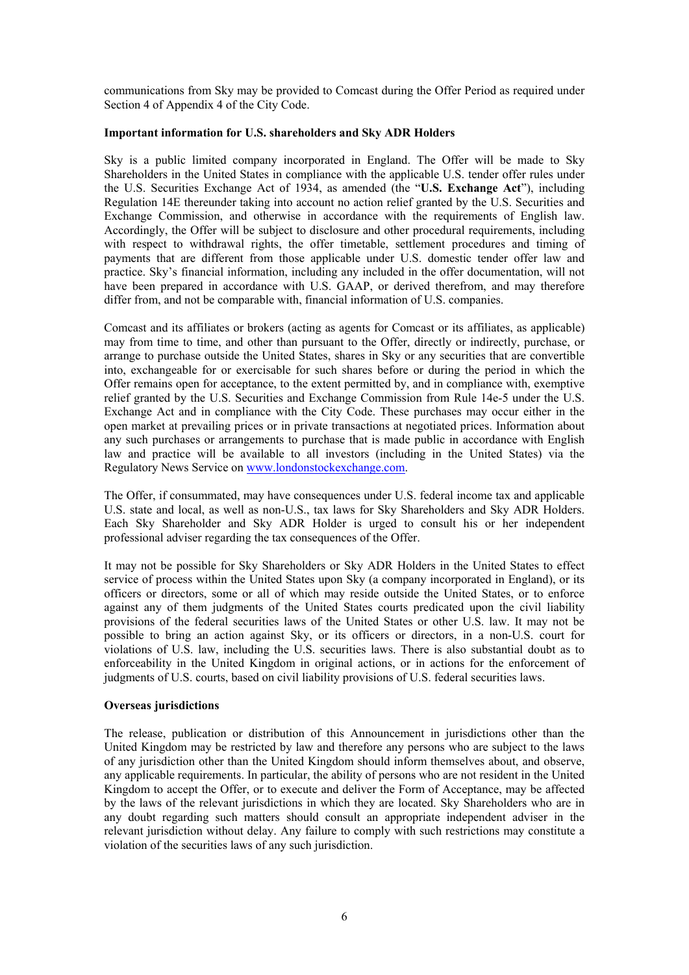communications from Sky may be provided to Comcast during the Offer Period as required under Section 4 of Appendix 4 of the City Code.

## **Important information for U.S. shareholders and Sky ADR Holders**

Sky is a public limited company incorporated in England. The Offer will be made to Sky Shareholders in the United States in compliance with the applicable U.S. tender offer rules under the U.S. Securities Exchange Act of 1934, as amended (the "**U.S. Exchange Act**"), including Regulation 14E thereunder taking into account no action relief granted by the U.S. Securities and Exchange Commission, and otherwise in accordance with the requirements of English law. Accordingly, the Offer will be subject to disclosure and other procedural requirements, including with respect to withdrawal rights, the offer timetable, settlement procedures and timing of payments that are different from those applicable under U.S. domestic tender offer law and practice. Sky's financial information, including any included in the offer documentation, will not have been prepared in accordance with U.S. GAAP, or derived therefrom, and may therefore differ from, and not be comparable with, financial information of U.S. companies.

Comcast and its affiliates or brokers (acting as agents for Comcast or its affiliates, as applicable) may from time to time, and other than pursuant to the Offer, directly or indirectly, purchase, or arrange to purchase outside the United States, shares in Sky or any securities that are convertible into, exchangeable for or exercisable for such shares before or during the period in which the Offer remains open for acceptance, to the extent permitted by, and in compliance with, exemptive relief granted by the U.S. Securities and Exchange Commission from Rule 14e-5 under the U.S. Exchange Act and in compliance with the City Code. These purchases may occur either in the open market at prevailing prices or in private transactions at negotiated prices. Information about any such purchases or arrangements to purchase that is made public in accordance with English law and practice will be available to all investors (including in the United States) via the Regulatory News Service on www.londonstockexchange.com.

The Offer, if consummated, may have consequences under U.S. federal income tax and applicable U.S. state and local, as well as non-U.S., tax laws for Sky Shareholders and Sky ADR Holders. Each Sky Shareholder and Sky ADR Holder is urged to consult his or her independent professional adviser regarding the tax consequences of the Offer.

It may not be possible for Sky Shareholders or Sky ADR Holders in the United States to effect service of process within the United States upon Sky (a company incorporated in England), or its officers or directors, some or all of which may reside outside the United States, or to enforce against any of them judgments of the United States courts predicated upon the civil liability provisions of the federal securities laws of the United States or other U.S. law. It may not be possible to bring an action against Sky, or its officers or directors, in a non-U.S. court for violations of U.S. law, including the U.S. securities laws. There is also substantial doubt as to enforceability in the United Kingdom in original actions, or in actions for the enforcement of judgments of U.S. courts, based on civil liability provisions of U.S. federal securities laws.

## **Overseas jurisdictions**

The release, publication or distribution of this Announcement in jurisdictions other than the United Kingdom may be restricted by law and therefore any persons who are subject to the laws of any jurisdiction other than the United Kingdom should inform themselves about, and observe, any applicable requirements. In particular, the ability of persons who are not resident in the United Kingdom to accept the Offer, or to execute and deliver the Form of Acceptance, may be affected by the laws of the relevant jurisdictions in which they are located. Sky Shareholders who are in any doubt regarding such matters should consult an appropriate independent adviser in the relevant jurisdiction without delay. Any failure to comply with such restrictions may constitute a violation of the securities laws of any such jurisdiction.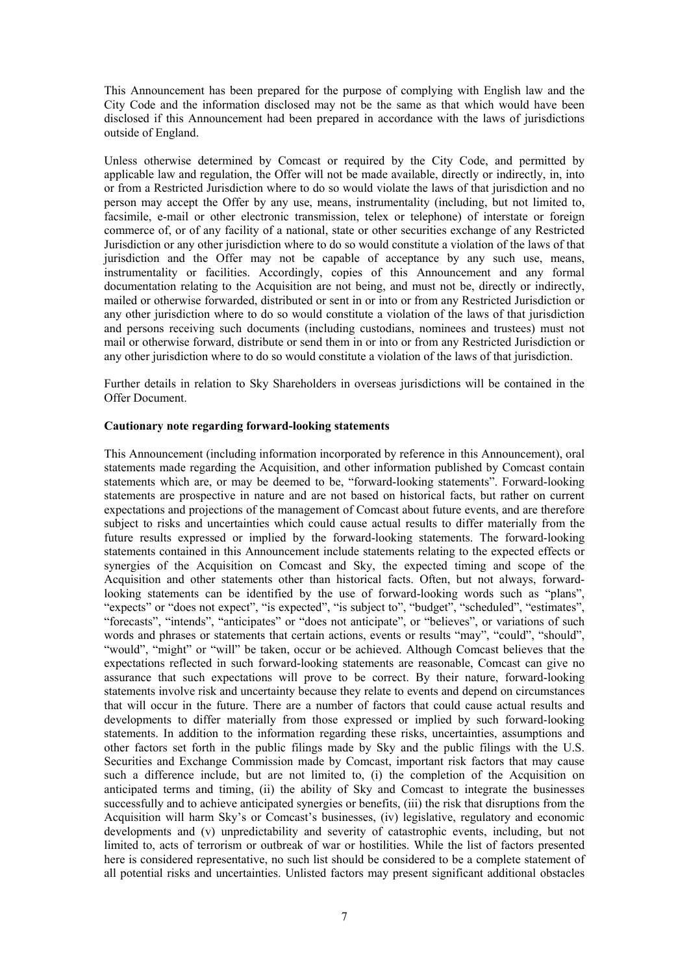This Announcement has been prepared for the purpose of complying with English law and the City Code and the information disclosed may not be the same as that which would have been disclosed if this Announcement had been prepared in accordance with the laws of jurisdictions outside of England.

Unless otherwise determined by Comcast or required by the City Code, and permitted by applicable law and regulation, the Offer will not be made available, directly or indirectly, in, into or from a Restricted Jurisdiction where to do so would violate the laws of that jurisdiction and no person may accept the Offer by any use, means, instrumentality (including, but not limited to, facsimile, e-mail or other electronic transmission, telex or telephone) of interstate or foreign commerce of, or of any facility of a national, state or other securities exchange of any Restricted Jurisdiction or any other jurisdiction where to do so would constitute a violation of the laws of that jurisdiction and the Offer may not be capable of acceptance by any such use, means, instrumentality or facilities. Accordingly, copies of this Announcement and any formal documentation relating to the Acquisition are not being, and must not be, directly or indirectly, mailed or otherwise forwarded, distributed or sent in or into or from any Restricted Jurisdiction or any other jurisdiction where to do so would constitute a violation of the laws of that jurisdiction and persons receiving such documents (including custodians, nominees and trustees) must not mail or otherwise forward, distribute or send them in or into or from any Restricted Jurisdiction or any other jurisdiction where to do so would constitute a violation of the laws of that jurisdiction.

Further details in relation to Sky Shareholders in overseas jurisdictions will be contained in the Offer Document.

## **Cautionary note regarding forward-looking statements**

This Announcement (including information incorporated by reference in this Announcement), oral statements made regarding the Acquisition, and other information published by Comcast contain statements which are, or may be deemed to be, "forward-looking statements". Forward-looking statements are prospective in nature and are not based on historical facts, but rather on current expectations and projections of the management of Comcast about future events, and are therefore subject to risks and uncertainties which could cause actual results to differ materially from the future results expressed or implied by the forward-looking statements. The forward-looking statements contained in this Announcement include statements relating to the expected effects or synergies of the Acquisition on Comcast and Sky, the expected timing and scope of the Acquisition and other statements other than historical facts. Often, but not always, forwardlooking statements can be identified by the use of forward-looking words such as "plans", "expects" or "does not expect", "is expected", "is subject to", "budget", "scheduled", "estimates", "forecasts", "intends", "anticipates" or "does not anticipate", or "believes", or variations of such words and phrases or statements that certain actions, events or results "may", "could", "should", "would", "might" or "will" be taken, occur or be achieved. Although Comcast believes that the expectations reflected in such forward-looking statements are reasonable, Comcast can give no assurance that such expectations will prove to be correct. By their nature, forward-looking statements involve risk and uncertainty because they relate to events and depend on circumstances that will occur in the future. There are a number of factors that could cause actual results and developments to differ materially from those expressed or implied by such forward-looking statements. In addition to the information regarding these risks, uncertainties, assumptions and other factors set forth in the public filings made by Sky and the public filings with the U.S. Securities and Exchange Commission made by Comcast, important risk factors that may cause such a difference include, but are not limited to, (i) the completion of the Acquisition on anticipated terms and timing, (ii) the ability of Sky and Comcast to integrate the businesses successfully and to achieve anticipated synergies or benefits, (iii) the risk that disruptions from the Acquisition will harm Sky's or Comcast's businesses, (iv) legislative, regulatory and economic developments and (v) unpredictability and severity of catastrophic events, including, but not limited to, acts of terrorism or outbreak of war or hostilities. While the list of factors presented here is considered representative, no such list should be considered to be a complete statement of all potential risks and uncertainties. Unlisted factors may present significant additional obstacles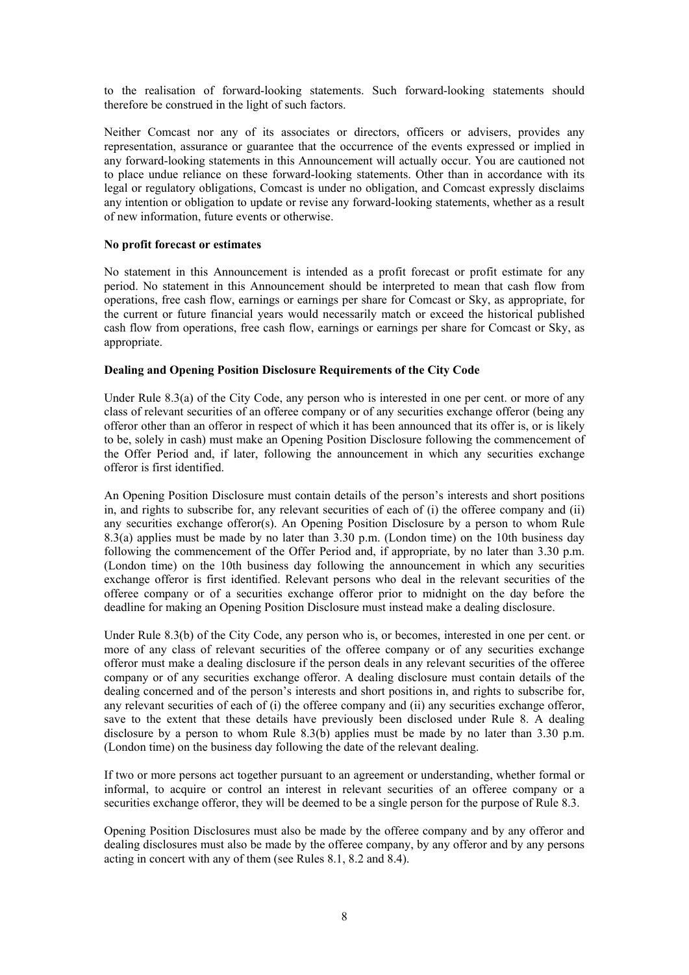to the realisation of forward-looking statements. Such forward-looking statements should therefore be construed in the light of such factors.

Neither Comcast nor any of its associates or directors, officers or advisers, provides any representation, assurance or guarantee that the occurrence of the events expressed or implied in any forward-looking statements in this Announcement will actually occur. You are cautioned not to place undue reliance on these forward-looking statements. Other than in accordance with its legal or regulatory obligations, Comcast is under no obligation, and Comcast expressly disclaims any intention or obligation to update or revise any forward-looking statements, whether as a result of new information, future events or otherwise.

#### **No profit forecast or estimates**

No statement in this Announcement is intended as a profit forecast or profit estimate for any period. No statement in this Announcement should be interpreted to mean that cash flow from operations, free cash flow, earnings or earnings per share for Comcast or Sky, as appropriate, for the current or future financial years would necessarily match or exceed the historical published cash flow from operations, free cash flow, earnings or earnings per share for Comcast or Sky, as appropriate.

#### **Dealing and Opening Position Disclosure Requirements of the City Code**

Under Rule 8.3(a) of the City Code, any person who is interested in one per cent. or more of any class of relevant securities of an offeree company or of any securities exchange offeror (being any offeror other than an offeror in respect of which it has been announced that its offer is, or is likely to be, solely in cash) must make an Opening Position Disclosure following the commencement of the Offer Period and, if later, following the announcement in which any securities exchange offeror is first identified.

An Opening Position Disclosure must contain details of the person's interests and short positions in, and rights to subscribe for, any relevant securities of each of (i) the offeree company and (ii) any securities exchange offeror(s). An Opening Position Disclosure by a person to whom Rule 8.3(a) applies must be made by no later than 3.30 p.m. (London time) on the 10th business day following the commencement of the Offer Period and, if appropriate, by no later than 3.30 p.m. (London time) on the 10th business day following the announcement in which any securities exchange offeror is first identified. Relevant persons who deal in the relevant securities of the offeree company or of a securities exchange offeror prior to midnight on the day before the deadline for making an Opening Position Disclosure must instead make a dealing disclosure.

Under Rule 8.3(b) of the City Code, any person who is, or becomes, interested in one per cent. or more of any class of relevant securities of the offeree company or of any securities exchange offeror must make a dealing disclosure if the person deals in any relevant securities of the offeree company or of any securities exchange offeror. A dealing disclosure must contain details of the dealing concerned and of the person's interests and short positions in, and rights to subscribe for, any relevant securities of each of (i) the offeree company and (ii) any securities exchange offeror, save to the extent that these details have previously been disclosed under Rule 8. A dealing disclosure by a person to whom Rule 8.3(b) applies must be made by no later than 3.30 p.m. (London time) on the business day following the date of the relevant dealing.

If two or more persons act together pursuant to an agreement or understanding, whether formal or informal, to acquire or control an interest in relevant securities of an offeree company or a securities exchange offeror, they will be deemed to be a single person for the purpose of Rule 8.3.

Opening Position Disclosures must also be made by the offeree company and by any offeror and dealing disclosures must also be made by the offeree company, by any offeror and by any persons acting in concert with any of them (see Rules 8.1, 8.2 and 8.4).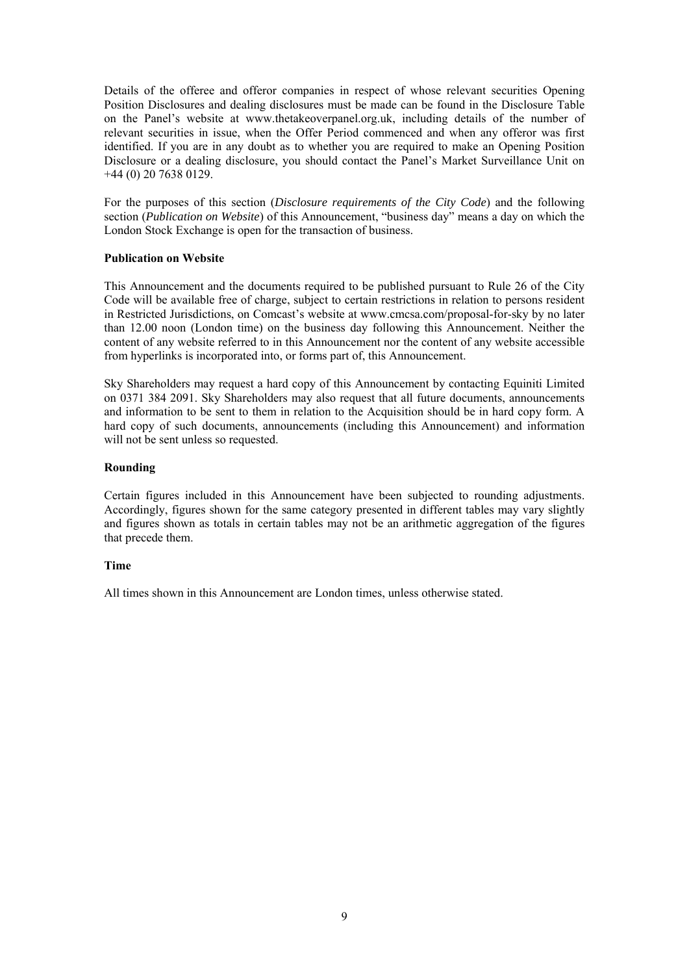Details of the offeree and offeror companies in respect of whose relevant securities Opening Position Disclosures and dealing disclosures must be made can be found in the Disclosure Table on the Panel's website at www.thetakeoverpanel.org.uk, including details of the number of relevant securities in issue, when the Offer Period commenced and when any offeror was first identified. If you are in any doubt as to whether you are required to make an Opening Position Disclosure or a dealing disclosure, you should contact the Panel's Market Surveillance Unit on +44 (0) 20 7638 0129.

For the purposes of this section (*Disclosure requirements of the City Code*) and the following section (*Publication on Website*) of this Announcement, "business day" means a day on which the London Stock Exchange is open for the transaction of business.

## **Publication on Website**

This Announcement and the documents required to be published pursuant to Rule 26 of the City Code will be available free of charge, subject to certain restrictions in relation to persons resident in Restricted Jurisdictions, on Comcast's website at www.cmcsa.com/proposal-for-sky by no later than 12.00 noon (London time) on the business day following this Announcement. Neither the content of any website referred to in this Announcement nor the content of any website accessible from hyperlinks is incorporated into, or forms part of, this Announcement.

Sky Shareholders may request a hard copy of this Announcement by contacting Equiniti Limited on 0371 384 2091. Sky Shareholders may also request that all future documents, announcements and information to be sent to them in relation to the Acquisition should be in hard copy form. A hard copy of such documents, announcements (including this Announcement) and information will not be sent unless so requested.

## **Rounding**

Certain figures included in this Announcement have been subjected to rounding adjustments. Accordingly, figures shown for the same category presented in different tables may vary slightly and figures shown as totals in certain tables may not be an arithmetic aggregation of the figures that precede them.

## **Time**

All times shown in this Announcement are London times, unless otherwise stated.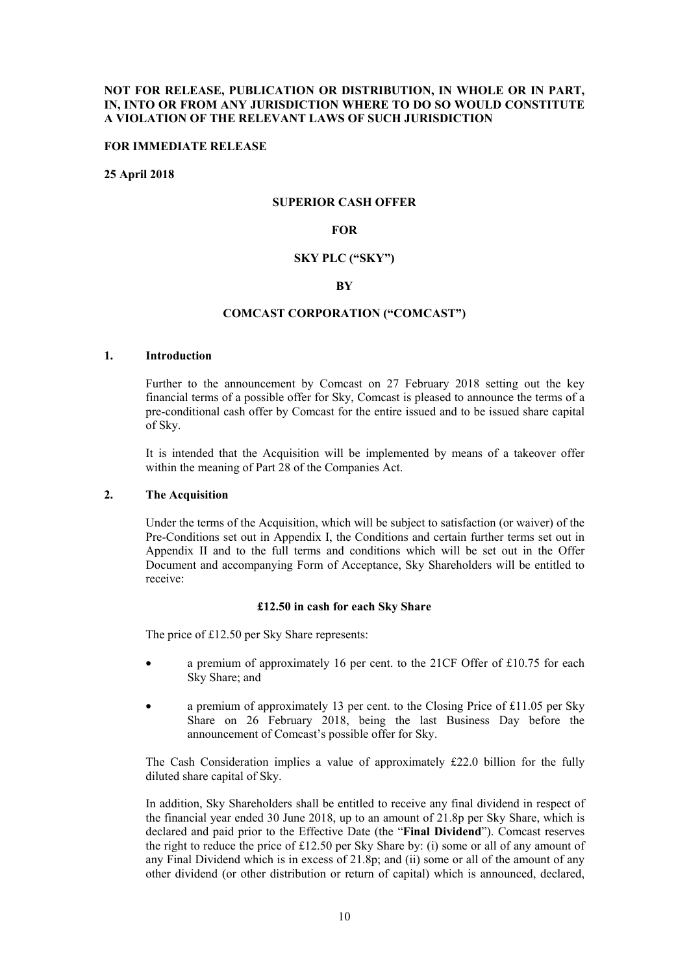## **NOT FOR RELEASE, PUBLICATION OR DISTRIBUTION, IN WHOLE OR IN PART, IN, INTO OR FROM ANY JURISDICTION WHERE TO DO SO WOULD CONSTITUTE A VIOLATION OF THE RELEVANT LAWS OF SUCH JURISDICTION**

## **FOR IMMEDIATE RELEASE**

#### **25 April 2018**

## **SUPERIOR CASH OFFER**

#### **FOR**

## **SKY PLC ("SKY")**

#### **BY**

## **COMCAST CORPORATION ("COMCAST")**

#### **1. Introduction**

Further to the announcement by Comcast on 27 February 2018 setting out the key financial terms of a possible offer for Sky, Comcast is pleased to announce the terms of a pre-conditional cash offer by Comcast for the entire issued and to be issued share capital of Sky.

It is intended that the Acquisition will be implemented by means of a takeover offer within the meaning of Part 28 of the Companies Act.

#### **2. The Acquisition**

Under the terms of the Acquisition, which will be subject to satisfaction (or waiver) of the Pre-Conditions set out in Appendix I, the Conditions and certain further terms set out in Appendix II and to the full terms and conditions which will be set out in the Offer Document and accompanying Form of Acceptance, Sky Shareholders will be entitled to receive:

#### **£12.50 in cash for each Sky Share**

The price of £12.50 per Sky Share represents:

- a premium of approximately 16 per cent. to the 21CF Offer of £10.75 for each Sky Share; and
- a premium of approximately 13 per cent. to the Closing Price of £11.05 per Sky Share on 26 February 2018, being the last Business Day before the announcement of Comcast's possible offer for Sky.

The Cash Consideration implies a value of approximately £22.0 billion for the fully diluted share capital of Sky.

In addition, Sky Shareholders shall be entitled to receive any final dividend in respect of the financial year ended 30 June 2018, up to an amount of 21.8p per Sky Share, which is declared and paid prior to the Effective Date (the "**Final Dividend**"). Comcast reserves the right to reduce the price of £12.50 per Sky Share by: (i) some or all of any amount of any Final Dividend which is in excess of 21.8p; and (ii) some or all of the amount of any other dividend (or other distribution or return of capital) which is announced, declared,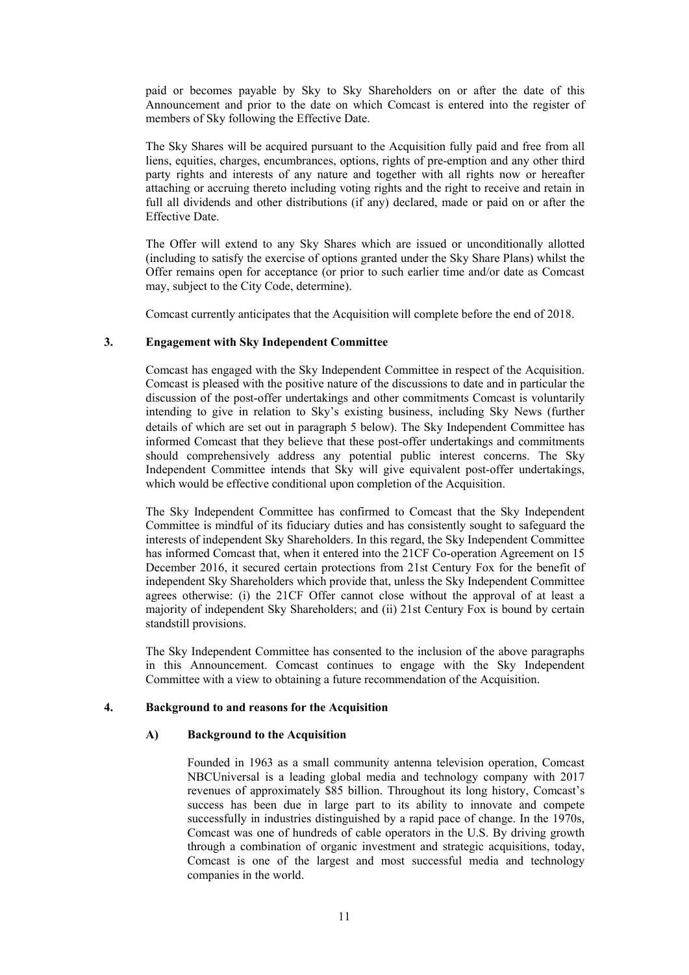paid or becomes payable by Sky to Sky Shareholders on or after the date of this Announcement and prior to the date on which Comcast is entered into the register of members of Sky following the Effective Date.

The Sky Shares will be acquired pursuant to the Acquisition fully paid and free from all liens, equities, charges, encumbrances, options, rights of pre-emption and any other third party rights and interests of any nature and together with all rights now or hereafter attaching or accruing thereto including voting rights and the right to receive and retain in full all dividends and other distributions (if any) declared, made or paid on or after the Effective Date.

The Offer will extend to any Sky Shares which are issued or unconditionally allotted (including to satisfy the exercise of options granted under the Sky Share Plans) whilst the Offer remains open for acceptance (or prior to such earlier time and/or date as Comcast may, subject to the City Code, determine).

Comcast currently anticipates that the Acquisition will complete before the end of 2018.

# **3. Engagement with Sky Independent Committee**

Comcast has engaged with the Sky Independent Committee in respect of the Acquisition. Comcast is pleased with the positive nature of the discussions to date and in particular the discussion of the post-offer undertakings and other commitments Comcast is voluntarily intending to give in relation to Sky's existing business, including Sky News (further details of which are set out in paragraph 5 below). The Sky Independent Committee has informed Comcast that they believe that these post-offer undertakings and commitments should comprehensively address any potential public interest concerns. The Sky Independent Committee intends that Sky will give equivalent post-offer undertakings, which would be effective conditional upon completion of the Acquisition.

The Sky Independent Committee has confirmed to Comcast that the Sky Independent Committee is mindful of its fiduciary duties and has consistently sought to safeguard the interests of independent Sky Shareholders. In this regard, the Sky Independent Committee has informed Comcast that, when it entered into the 21CF Co-operation Agreement on 15 December 2016, it secured certain protections from 21st Century Fox for the benefit of independent Sky Shareholders which provide that, unless the Sky Independent Committee agrees otherwise: (i) the 21CF Offer cannot close without the approval of at least a majority of independent Sky Shareholders; and (ii) 21st Century Fox is bound by certain standstill provisions.

The Sky Independent Committee has consented to the inclusion of the above paragraphs in this Announcement. Comcast continues to engage with the Sky Independent Committee with a view to obtaining a future recommendation of the Acquisition.

## **4. Background to and reasons for the Acquisition**

## **A) Background to the Acquisition**

Founded in 1963 as a small community antenna television operation, Comcast NBCUniversal is a leading global media and technology company with 2017 revenues of approximately \$85 billion. Throughout its long history, Comcast's success has been due in large part to its ability to innovate and compete successfully in industries distinguished by a rapid pace of change. In the 1970s, Comcast was one of hundreds of cable operators in the U.S. By driving growth through a combination of organic investment and strategic acquisitions, today, Comcast is one of the largest and most successful media and technology companies in the world.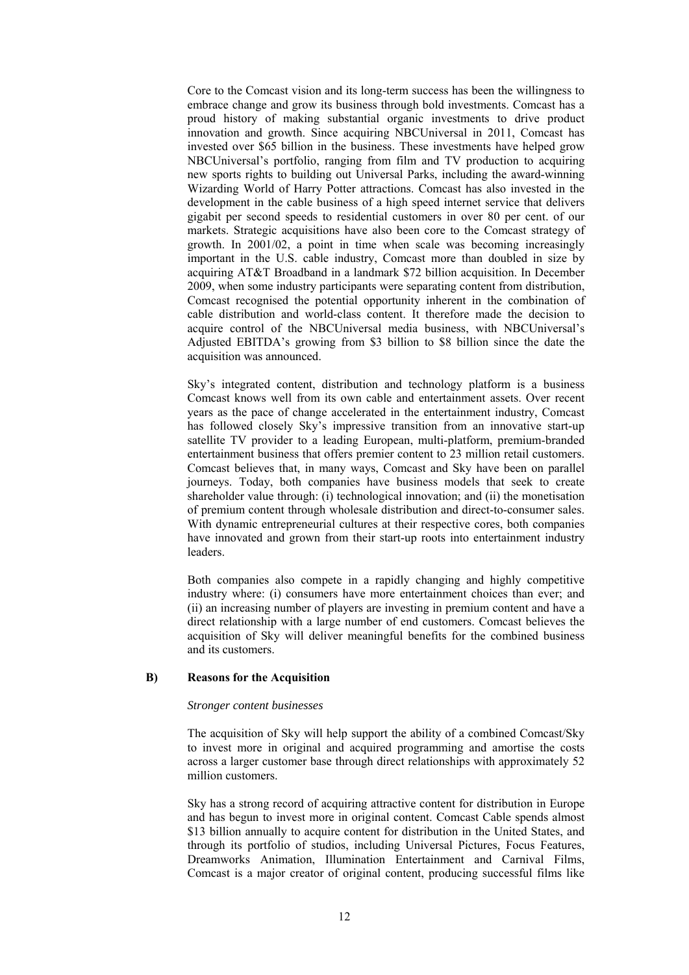Core to the Comcast vision and its long-term success has been the willingness to embrace change and grow its business through bold investments. Comcast has a proud history of making substantial organic investments to drive product innovation and growth. Since acquiring NBCUniversal in 2011, Comcast has invested over \$65 billion in the business. These investments have helped grow NBCUniversal's portfolio, ranging from film and TV production to acquiring new sports rights to building out Universal Parks, including the award-winning Wizarding World of Harry Potter attractions. Comcast has also invested in the development in the cable business of a high speed internet service that delivers gigabit per second speeds to residential customers in over 80 per cent. of our markets. Strategic acquisitions have also been core to the Comcast strategy of growth. In 2001/02, a point in time when scale was becoming increasingly important in the U.S. cable industry, Comcast more than doubled in size by acquiring AT&T Broadband in a landmark \$72 billion acquisition. In December 2009, when some industry participants were separating content from distribution, Comcast recognised the potential opportunity inherent in the combination of cable distribution and world-class content. It therefore made the decision to acquire control of the NBCUniversal media business, with NBCUniversal's Adjusted EBITDA's growing from \$3 billion to \$8 billion since the date the acquisition was announced.

Sky's integrated content, distribution and technology platform is a business Comcast knows well from its own cable and entertainment assets. Over recent years as the pace of change accelerated in the entertainment industry, Comcast has followed closely Sky's impressive transition from an innovative start-up satellite TV provider to a leading European, multi-platform, premium-branded entertainment business that offers premier content to 23 million retail customers. Comcast believes that, in many ways, Comcast and Sky have been on parallel journeys. Today, both companies have business models that seek to create shareholder value through: (i) technological innovation; and (ii) the monetisation of premium content through wholesale distribution and direct-to-consumer sales. With dynamic entrepreneurial cultures at their respective cores, both companies have innovated and grown from their start-up roots into entertainment industry leaders.

Both companies also compete in a rapidly changing and highly competitive industry where: (i) consumers have more entertainment choices than ever; and (ii) an increasing number of players are investing in premium content and have a direct relationship with a large number of end customers. Comcast believes the acquisition of Sky will deliver meaningful benefits for the combined business and its customers.

#### **B) Reasons for the Acquisition**

#### *Stronger content businesses*

The acquisition of Sky will help support the ability of a combined Comcast/Sky to invest more in original and acquired programming and amortise the costs across a larger customer base through direct relationships with approximately 52 million customers.

Sky has a strong record of acquiring attractive content for distribution in Europe and has begun to invest more in original content. Comcast Cable spends almost \$13 billion annually to acquire content for distribution in the United States, and through its portfolio of studios, including Universal Pictures, Focus Features, Dreamworks Animation, Illumination Entertainment and Carnival Films, Comcast is a major creator of original content, producing successful films like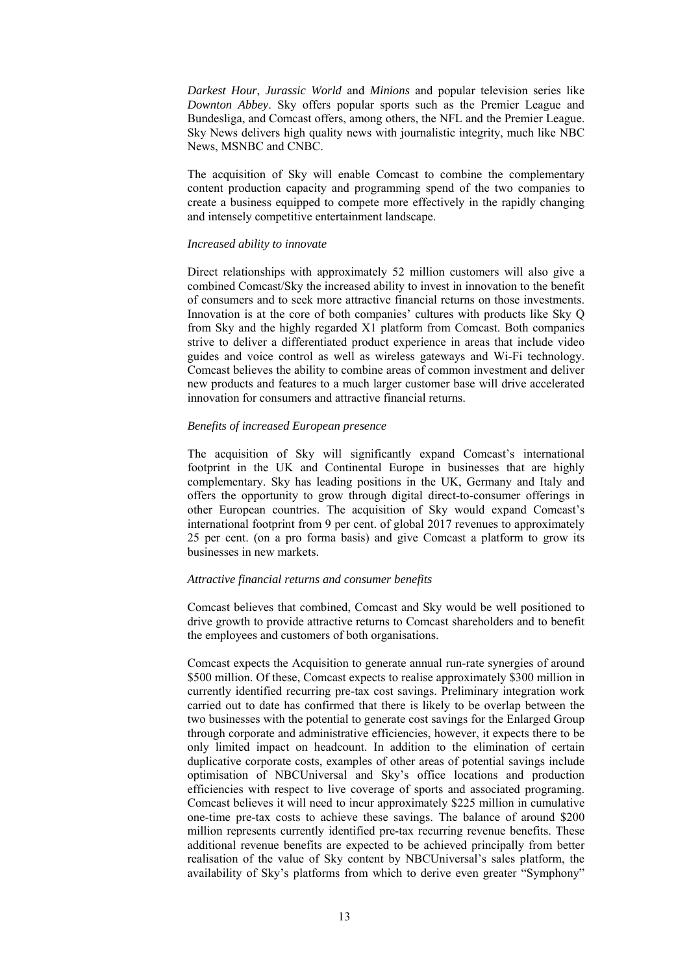*Darkest Hour*, *Jurassic World* and *Minions* and popular television series like *Downton Abbey*. Sky offers popular sports such as the Premier League and Bundesliga, and Comcast offers, among others, the NFL and the Premier League. Sky News delivers high quality news with journalistic integrity, much like NBC News, MSNBC and CNBC.

The acquisition of Sky will enable Comcast to combine the complementary content production capacity and programming spend of the two companies to create a business equipped to compete more effectively in the rapidly changing and intensely competitive entertainment landscape.

#### *Increased ability to innovate*

Direct relationships with approximately 52 million customers will also give a combined Comcast/Sky the increased ability to invest in innovation to the benefit of consumers and to seek more attractive financial returns on those investments. Innovation is at the core of both companies' cultures with products like Sky Q from Sky and the highly regarded X1 platform from Comcast. Both companies strive to deliver a differentiated product experience in areas that include video guides and voice control as well as wireless gateways and Wi-Fi technology. Comcast believes the ability to combine areas of common investment and deliver new products and features to a much larger customer base will drive accelerated innovation for consumers and attractive financial returns.

#### *Benefits of increased European presence*

The acquisition of Sky will significantly expand Comcast's international footprint in the UK and Continental Europe in businesses that are highly complementary. Sky has leading positions in the UK, Germany and Italy and offers the opportunity to grow through digital direct-to-consumer offerings in other European countries. The acquisition of Sky would expand Comcast's international footprint from 9 per cent. of global 2017 revenues to approximately 25 per cent. (on a pro forma basis) and give Comcast a platform to grow its businesses in new markets.

#### *Attractive financial returns and consumer benefits*

Comcast believes that combined, Comcast and Sky would be well positioned to drive growth to provide attractive returns to Comcast shareholders and to benefit the employees and customers of both organisations.

Comcast expects the Acquisition to generate annual run-rate synergies of around \$500 million. Of these, Comcast expects to realise approximately \$300 million in currently identified recurring pre-tax cost savings. Preliminary integration work carried out to date has confirmed that there is likely to be overlap between the two businesses with the potential to generate cost savings for the Enlarged Group through corporate and administrative efficiencies, however, it expects there to be only limited impact on headcount. In addition to the elimination of certain duplicative corporate costs, examples of other areas of potential savings include optimisation of NBCUniversal and Sky's office locations and production efficiencies with respect to live coverage of sports and associated programing. Comcast believes it will need to incur approximately \$225 million in cumulative one-time pre-tax costs to achieve these savings. The balance of around \$200 million represents currently identified pre-tax recurring revenue benefits. These additional revenue benefits are expected to be achieved principally from better realisation of the value of Sky content by NBCUniversal's sales platform, the availability of Sky's platforms from which to derive even greater "Symphony"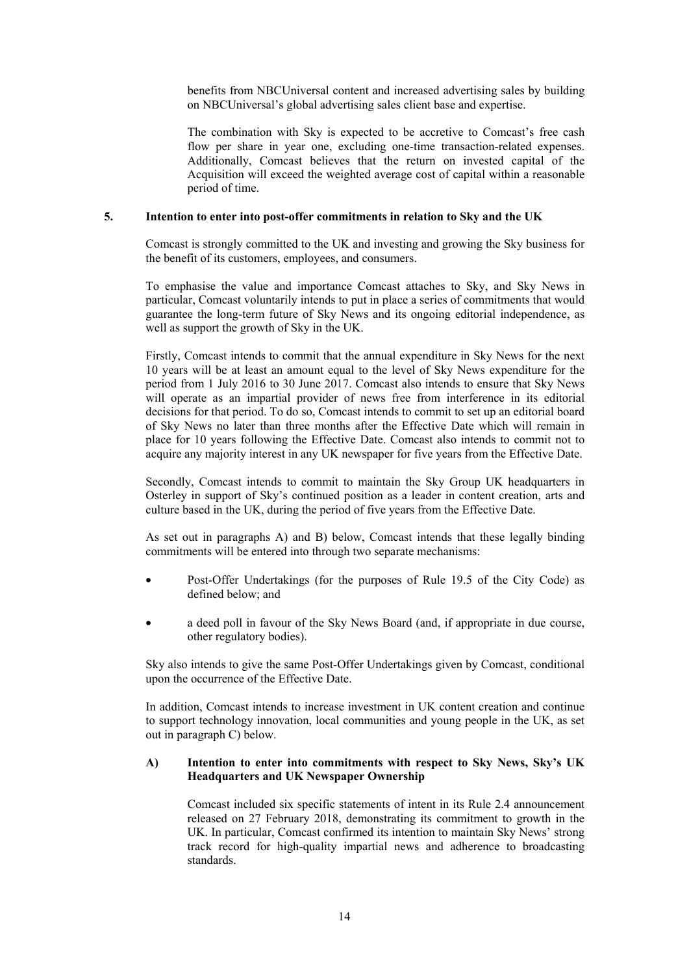benefits from NBCUniversal content and increased advertising sales by building on NBCUniversal's global advertising sales client base and expertise.

The combination with Sky is expected to be accretive to Comcast's free cash flow per share in year one, excluding one-time transaction-related expenses. Additionally, Comcast believes that the return on invested capital of the Acquisition will exceed the weighted average cost of capital within a reasonable period of time.

## **5. Intention to enter into post-offer commitments in relation to Sky and the UK**

Comcast is strongly committed to the UK and investing and growing the Sky business for the benefit of its customers, employees, and consumers.

To emphasise the value and importance Comcast attaches to Sky, and Sky News in particular, Comcast voluntarily intends to put in place a series of commitments that would guarantee the long-term future of Sky News and its ongoing editorial independence, as well as support the growth of Sky in the UK.

Firstly, Comcast intends to commit that the annual expenditure in Sky News for the next 10 years will be at least an amount equal to the level of Sky News expenditure for the period from 1 July 2016 to 30 June 2017. Comcast also intends to ensure that Sky News will operate as an impartial provider of news free from interference in its editorial decisions for that period. To do so, Comcast intends to commit to set up an editorial board of Sky News no later than three months after the Effective Date which will remain in place for 10 years following the Effective Date. Comcast also intends to commit not to acquire any majority interest in any UK newspaper for five years from the Effective Date.

Secondly, Comcast intends to commit to maintain the Sky Group UK headquarters in Osterley in support of Sky's continued position as a leader in content creation, arts and culture based in the UK, during the period of five years from the Effective Date.

As set out in paragraphs A) and B) below, Comcast intends that these legally binding commitments will be entered into through two separate mechanisms:

- Post-Offer Undertakings (for the purposes of Rule 19.5 of the City Code) as defined below; and
- a deed poll in favour of the Sky News Board (and, if appropriate in due course, other regulatory bodies).

Sky also intends to give the same Post-Offer Undertakings given by Comcast, conditional upon the occurrence of the Effective Date.

In addition, Comcast intends to increase investment in UK content creation and continue to support technology innovation, local communities and young people in the UK, as set out in paragraph C) below.

## **A) Intention to enter into commitments with respect to Sky News, Sky's UK Headquarters and UK Newspaper Ownership**

Comcast included six specific statements of intent in its Rule 2.4 announcement released on 27 February 2018, demonstrating its commitment to growth in the UK. In particular, Comcast confirmed its intention to maintain Sky News' strong track record for high-quality impartial news and adherence to broadcasting standards.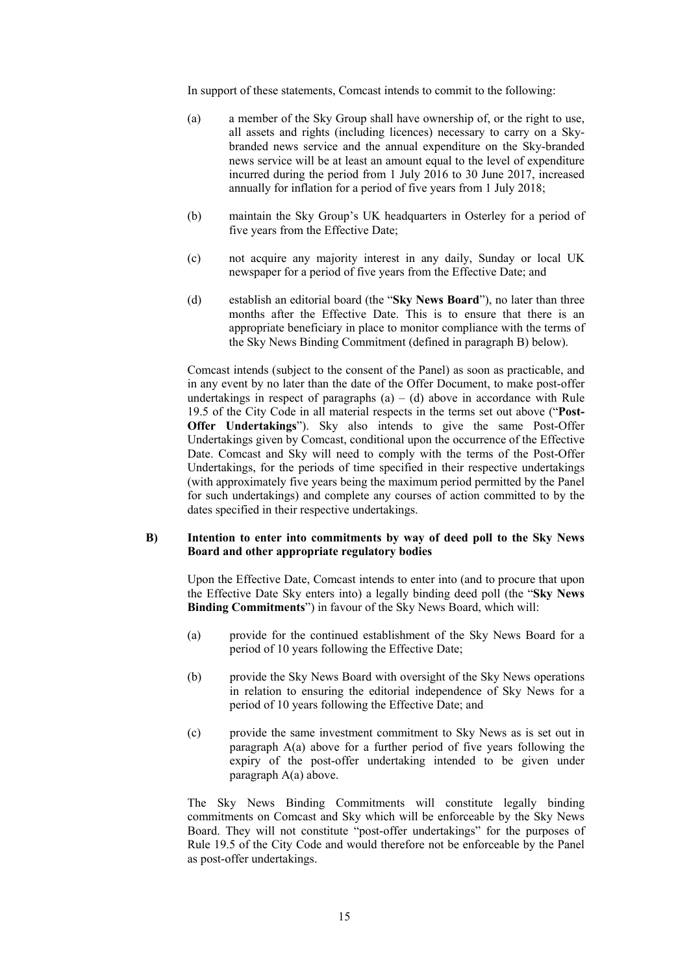In support of these statements, Comcast intends to commit to the following:

- (a) a member of the Sky Group shall have ownership of, or the right to use, all assets and rights (including licences) necessary to carry on a Skybranded news service and the annual expenditure on the Sky-branded news service will be at least an amount equal to the level of expenditure incurred during the period from 1 July 2016 to 30 June 2017, increased annually for inflation for a period of five years from 1 July 2018;
- (b) maintain the Sky Group's UK headquarters in Osterley for a period of five years from the Effective Date;
- (c) not acquire any majority interest in any daily, Sunday or local UK newspaper for a period of five years from the Effective Date; and
- (d) establish an editorial board (the "**Sky News Board**"), no later than three months after the Effective Date. This is to ensure that there is an appropriate beneficiary in place to monitor compliance with the terms of the Sky News Binding Commitment (defined in paragraph B) below).

Comcast intends (subject to the consent of the Panel) as soon as practicable, and in any event by no later than the date of the Offer Document, to make post-offer undertakings in respect of paragraphs  $(a) - (d)$  above in accordance with Rule 19.5 of the City Code in all material respects in the terms set out above ("**Post-Offer Undertakings**"). Sky also intends to give the same Post-Offer Undertakings given by Comcast, conditional upon the occurrence of the Effective Date. Comcast and Sky will need to comply with the terms of the Post-Offer Undertakings, for the periods of time specified in their respective undertakings (with approximately five years being the maximum period permitted by the Panel for such undertakings) and complete any courses of action committed to by the dates specified in their respective undertakings.

## **B) Intention to enter into commitments by way of deed poll to the Sky News Board and other appropriate regulatory bodies**

Upon the Effective Date, Comcast intends to enter into (and to procure that upon the Effective Date Sky enters into) a legally binding deed poll (the "**Sky News Binding Commitments**") in favour of the Sky News Board, which will:

- (a) provide for the continued establishment of the Sky News Board for a period of 10 years following the Effective Date;
- (b) provide the Sky News Board with oversight of the Sky News operations in relation to ensuring the editorial independence of Sky News for a period of 10 years following the Effective Date; and
- (c) provide the same investment commitment to Sky News as is set out in paragraph A(a) above for a further period of five years following the expiry of the post-offer undertaking intended to be given under paragraph A(a) above.

The Sky News Binding Commitments will constitute legally binding commitments on Comcast and Sky which will be enforceable by the Sky News Board. They will not constitute "post-offer undertakings" for the purposes of Rule 19.5 of the City Code and would therefore not be enforceable by the Panel as post-offer undertakings.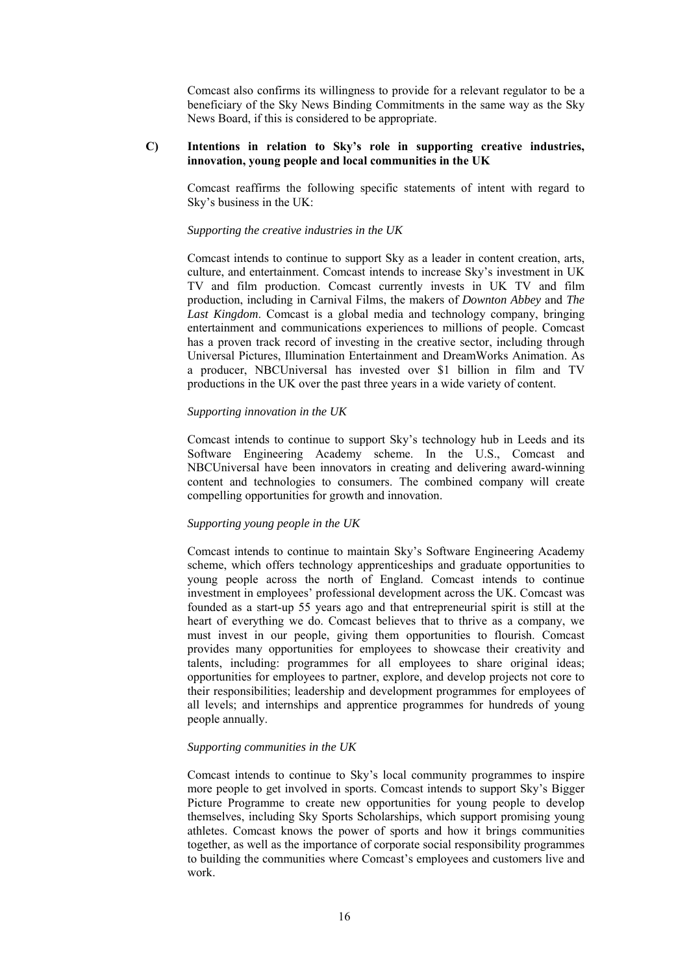Comcast also confirms its willingness to provide for a relevant regulator to be a beneficiary of the Sky News Binding Commitments in the same way as the Sky News Board, if this is considered to be appropriate.

#### **C) Intentions in relation to Sky's role in supporting creative industries, innovation, young people and local communities in the UK**

Comcast reaffirms the following specific statements of intent with regard to Sky's business in the UK:

#### *Supporting the creative industries in the UK*

Comcast intends to continue to support Sky as a leader in content creation, arts, culture, and entertainment. Comcast intends to increase Sky's investment in UK TV and film production. Comcast currently invests in UK TV and film production, including in Carnival Films, the makers of *Downton Abbey* and *The Last Kingdom*. Comcast is a global media and technology company, bringing entertainment and communications experiences to millions of people. Comcast has a proven track record of investing in the creative sector, including through Universal Pictures, Illumination Entertainment and DreamWorks Animation. As a producer, NBCUniversal has invested over \$1 billion in film and TV productions in the UK over the past three years in a wide variety of content.

#### *Supporting innovation in the UK*

Comcast intends to continue to support Sky's technology hub in Leeds and its Software Engineering Academy scheme. In the U.S., Comcast and NBCUniversal have been innovators in creating and delivering award-winning content and technologies to consumers. The combined company will create compelling opportunities for growth and innovation.

## *Supporting young people in the UK*

Comcast intends to continue to maintain Sky's Software Engineering Academy scheme, which offers technology apprenticeships and graduate opportunities to young people across the north of England. Comcast intends to continue investment in employees' professional development across the UK. Comcast was founded as a start-up 55 years ago and that entrepreneurial spirit is still at the heart of everything we do. Comcast believes that to thrive as a company, we must invest in our people, giving them opportunities to flourish. Comcast provides many opportunities for employees to showcase their creativity and talents, including: programmes for all employees to share original ideas; opportunities for employees to partner, explore, and develop projects not core to their responsibilities; leadership and development programmes for employees of all levels; and internships and apprentice programmes for hundreds of young people annually.

#### *Supporting communities in the UK*

Comcast intends to continue to Sky's local community programmes to inspire more people to get involved in sports. Comcast intends to support Sky's Bigger Picture Programme to create new opportunities for young people to develop themselves, including Sky Sports Scholarships, which support promising young athletes. Comcast knows the power of sports and how it brings communities together, as well as the importance of corporate social responsibility programmes to building the communities where Comcast's employees and customers live and work.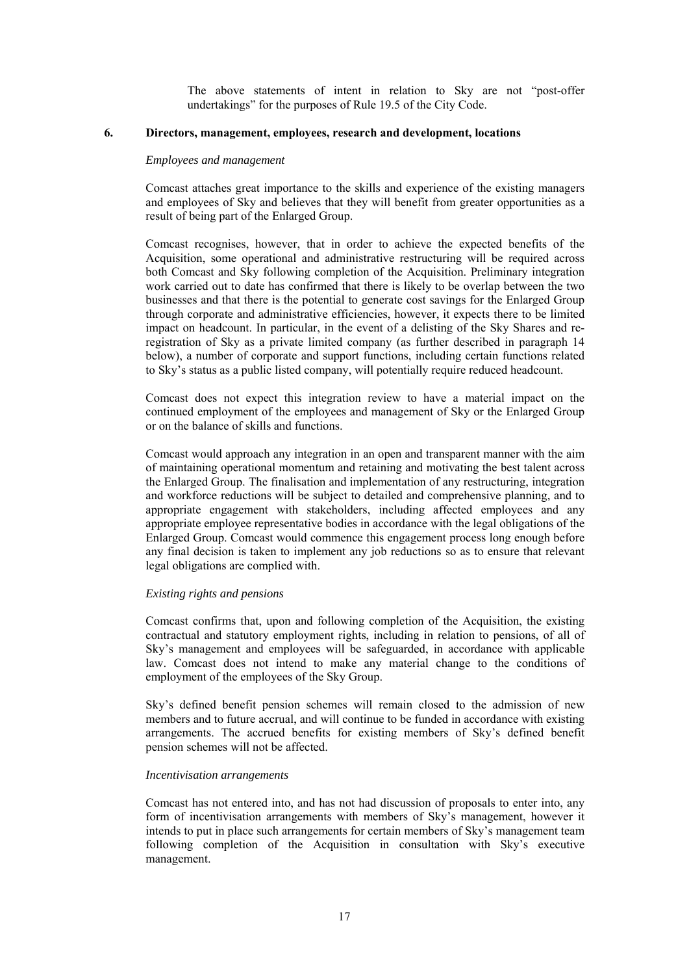The above statements of intent in relation to Sky are not "post-offer undertakings" for the purposes of Rule 19.5 of the City Code.

#### **6. Directors, management, employees, research and development, locations**

#### *Employees and management*

Comcast attaches great importance to the skills and experience of the existing managers and employees of Sky and believes that they will benefit from greater opportunities as a result of being part of the Enlarged Group.

Comcast recognises, however, that in order to achieve the expected benefits of the Acquisition, some operational and administrative restructuring will be required across both Comcast and Sky following completion of the Acquisition. Preliminary integration work carried out to date has confirmed that there is likely to be overlap between the two businesses and that there is the potential to generate cost savings for the Enlarged Group through corporate and administrative efficiencies, however, it expects there to be limited impact on headcount. In particular, in the event of a delisting of the Sky Shares and reregistration of Sky as a private limited company (as further described in paragraph 14 below), a number of corporate and support functions, including certain functions related to Sky's status as a public listed company, will potentially require reduced headcount.

Comcast does not expect this integration review to have a material impact on the continued employment of the employees and management of Sky or the Enlarged Group or on the balance of skills and functions.

Comcast would approach any integration in an open and transparent manner with the aim of maintaining operational momentum and retaining and motivating the best talent across the Enlarged Group. The finalisation and implementation of any restructuring, integration and workforce reductions will be subject to detailed and comprehensive planning, and to appropriate engagement with stakeholders, including affected employees and any appropriate employee representative bodies in accordance with the legal obligations of the Enlarged Group. Comcast would commence this engagement process long enough before any final decision is taken to implement any job reductions so as to ensure that relevant legal obligations are complied with.

## *Existing rights and pensions*

Comcast confirms that, upon and following completion of the Acquisition, the existing contractual and statutory employment rights, including in relation to pensions, of all of Sky's management and employees will be safeguarded, in accordance with applicable law. Comcast does not intend to make any material change to the conditions of employment of the employees of the Sky Group.

Sky's defined benefit pension schemes will remain closed to the admission of new members and to future accrual, and will continue to be funded in accordance with existing arrangements. The accrued benefits for existing members of Sky's defined benefit pension schemes will not be affected.

#### *Incentivisation arrangements*

Comcast has not entered into, and has not had discussion of proposals to enter into, any form of incentivisation arrangements with members of Sky's management, however it intends to put in place such arrangements for certain members of Sky's management team following completion of the Acquisition in consultation with Sky's executive management.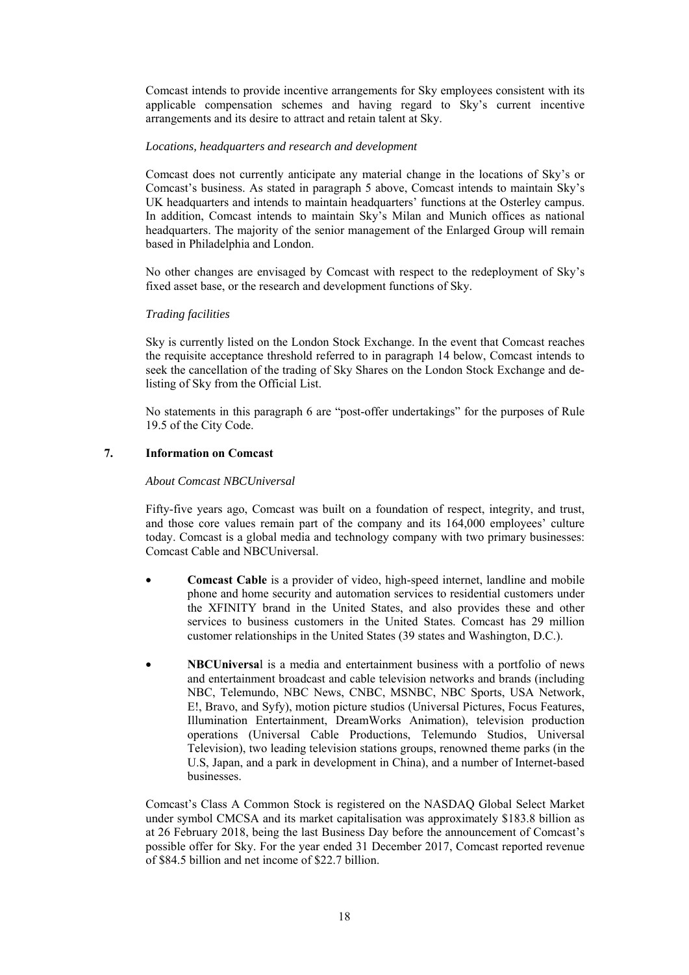Comcast intends to provide incentive arrangements for Sky employees consistent with its applicable compensation schemes and having regard to Sky's current incentive arrangements and its desire to attract and retain talent at Sky.

## *Locations, headquarters and research and development*

Comcast does not currently anticipate any material change in the locations of Sky's or Comcast's business. As stated in paragraph 5 above, Comcast intends to maintain Sky's UK headquarters and intends to maintain headquarters' functions at the Osterley campus. In addition, Comcast intends to maintain Sky's Milan and Munich offices as national headquarters. The majority of the senior management of the Enlarged Group will remain based in Philadelphia and London.

No other changes are envisaged by Comcast with respect to the redeployment of Sky's fixed asset base, or the research and development functions of Sky.

#### *Trading facilities*

Sky is currently listed on the London Stock Exchange. In the event that Comcast reaches the requisite acceptance threshold referred to in paragraph 14 below, Comcast intends to seek the cancellation of the trading of Sky Shares on the London Stock Exchange and delisting of Sky from the Official List.

No statements in this paragraph 6 are "post-offer undertakings" for the purposes of Rule 19.5 of the City Code.

# **7. Information on Comcast**

#### *About Comcast NBCUniversal*

Fifty-five years ago, Comcast was built on a foundation of respect, integrity, and trust, and those core values remain part of the company and its 164,000 employees' culture today. Comcast is a global media and technology company with two primary businesses: Comcast Cable and NBCUniversal.

- **Comcast Cable** is a provider of video, high-speed internet, landline and mobile phone and home security and automation services to residential customers under the XFINITY brand in the United States, and also provides these and other services to business customers in the United States. Comcast has 29 million customer relationships in the United States (39 states and Washington, D.C.).
- **NBCUniversa**l is a media and entertainment business with a portfolio of news and entertainment broadcast and cable television networks and brands (including NBC, Telemundo, NBC News, CNBC, MSNBC, NBC Sports, USA Network, E!, Bravo, and Syfy), motion picture studios (Universal Pictures, Focus Features, Illumination Entertainment, DreamWorks Animation), television production operations (Universal Cable Productions, Telemundo Studios, Universal Television), two leading television stations groups, renowned theme parks (in the U.S, Japan, and a park in development in China), and a number of Internet-based businesses.

Comcast's Class A Common Stock is registered on the NASDAQ Global Select Market under symbol CMCSA and its market capitalisation was approximately \$183.8 billion as at 26 February 2018, being the last Business Day before the announcement of Comcast's possible offer for Sky. For the year ended 31 December 2017, Comcast reported revenue of \$84.5 billion and net income of \$22.7 billion.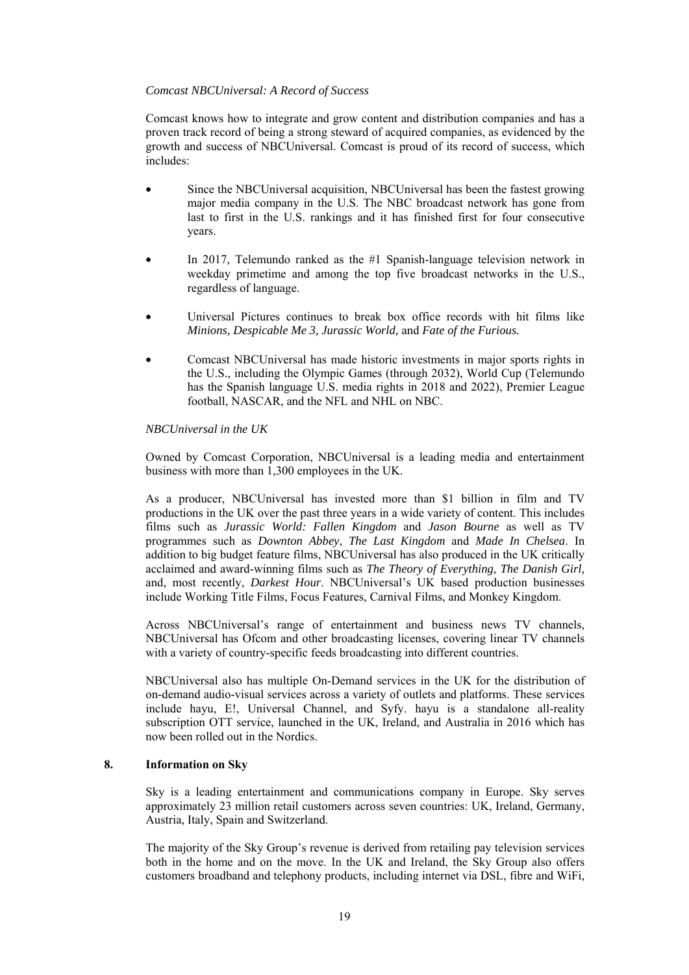## *Comcast NBCUniversal: A Record of Success*

Comcast knows how to integrate and grow content and distribution companies and has a proven track record of being a strong steward of acquired companies, as evidenced by the growth and success of NBCUniversal. Comcast is proud of its record of success, which includes:

- Since the NBCUniversal acquisition, NBCUniversal has been the fastest growing major media company in the U.S. The NBC broadcast network has gone from last to first in the U.S. rankings and it has finished first for four consecutive years.
- In 2017, Telemundo ranked as the #1 Spanish-language television network in weekday primetime and among the top five broadcast networks in the U.S., regardless of language.
- Universal Pictures continues to break box office records with hit films like *Minions, Despicable Me 3, Jurassic World,* and *Fate of the Furious.*
- Comcast NBCUniversal has made historic investments in major sports rights in the U.S., including the Olympic Games (through 2032), World Cup (Telemundo has the Spanish language U.S. media rights in 2018 and 2022), Premier League football, NASCAR, and the NFL and NHL on NBC.

## *NBCUniversal in the UK*

Owned by Comcast Corporation, NBCUniversal is a leading media and entertainment business with more than 1,300 employees in the UK.

As a producer, NBCUniversal has invested more than \$1 billion in film and TV productions in the UK over the past three years in a wide variety of content. This includes films such as *Jurassic World: Fallen Kingdom* and *Jason Bourne* as well as TV programmes such as *Downton Abbey*, *The Last Kingdom* and *Made In Chelsea*. In addition to big budget feature films, NBCUniversal has also produced in the UK critically acclaimed and award-winning films such as *The Theory of Everything*, *The Danish Girl,*  and, most recently, *Darkest Hour*. NBCUniversal's UK based production businesses include Working Title Films, Focus Features, Carnival Films, and Monkey Kingdom.

Across NBCUniversal's range of entertainment and business news TV channels, NBCUniversal has Ofcom and other broadcasting licenses, covering linear TV channels with a variety of country-specific feeds broadcasting into different countries.

NBCUniversal also has multiple On-Demand services in the UK for the distribution of on-demand audio-visual services across a variety of outlets and platforms. These services include hayu, E!, Universal Channel, and Syfy. hayu is a standalone all-reality subscription OTT service, launched in the UK, Ireland, and Australia in 2016 which has now been rolled out in the Nordics.

## **8. Information on Sky**

Sky is a leading entertainment and communications company in Europe. Sky serves approximately 23 million retail customers across seven countries: UK, Ireland, Germany, Austria, Italy, Spain and Switzerland.

The majority of the Sky Group's revenue is derived from retailing pay television services both in the home and on the move. In the UK and Ireland, the Sky Group also offers customers broadband and telephony products, including internet via DSL, fibre and WiFi,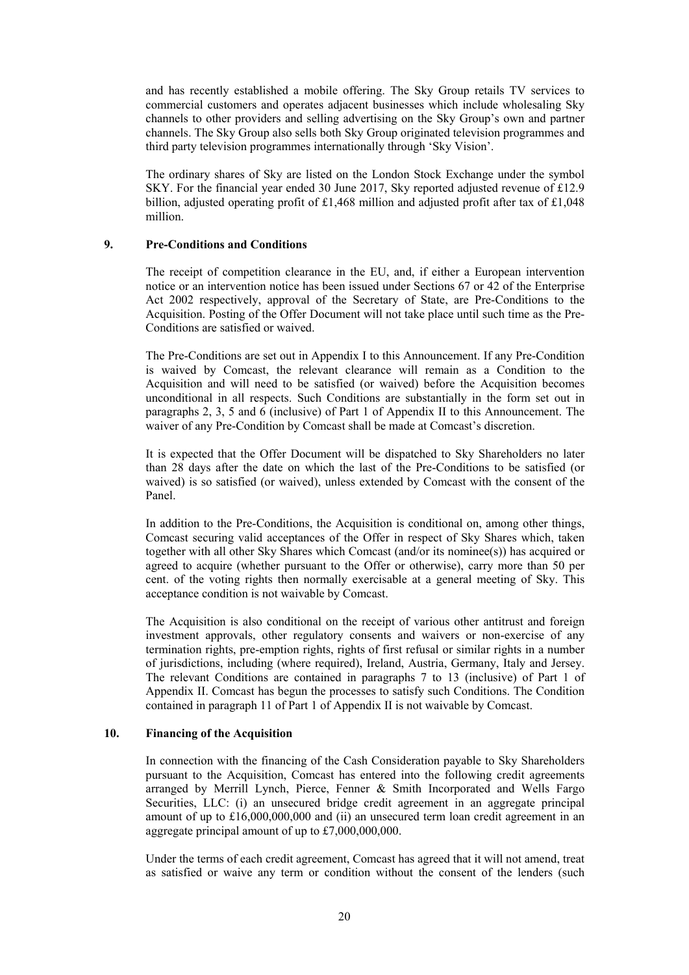and has recently established a mobile offering. The Sky Group retails TV services to commercial customers and operates adjacent businesses which include wholesaling Sky channels to other providers and selling advertising on the Sky Group's own and partner channels. The Sky Group also sells both Sky Group originated television programmes and third party television programmes internationally through 'Sky Vision'.

The ordinary shares of Sky are listed on the London Stock Exchange under the symbol SKY. For the financial year ended 30 June 2017, Sky reported adjusted revenue of £12.9 billion, adjusted operating profit of £1,468 million and adjusted profit after tax of £1,048 million.

## **9. Pre-Conditions and Conditions**

The receipt of competition clearance in the EU, and, if either a European intervention notice or an intervention notice has been issued under Sections 67 or 42 of the Enterprise Act 2002 respectively, approval of the Secretary of State, are Pre-Conditions to the Acquisition. Posting of the Offer Document will not take place until such time as the Pre-Conditions are satisfied or waived.

The Pre-Conditions are set out in Appendix I to this Announcement. If any Pre-Condition is waived by Comcast, the relevant clearance will remain as a Condition to the Acquisition and will need to be satisfied (or waived) before the Acquisition becomes unconditional in all respects. Such Conditions are substantially in the form set out in paragraphs 2, 3, 5 and 6 (inclusive) of Part 1 of Appendix II to this Announcement. The waiver of any Pre-Condition by Comcast shall be made at Comcast's discretion.

It is expected that the Offer Document will be dispatched to Sky Shareholders no later than 28 days after the date on which the last of the Pre-Conditions to be satisfied (or waived) is so satisfied (or waived), unless extended by Comcast with the consent of the Panel.

In addition to the Pre-Conditions, the Acquisition is conditional on, among other things, Comcast securing valid acceptances of the Offer in respect of Sky Shares which, taken together with all other Sky Shares which Comcast (and/or its nominee(s)) has acquired or agreed to acquire (whether pursuant to the Offer or otherwise), carry more than 50 per cent. of the voting rights then normally exercisable at a general meeting of Sky. This acceptance condition is not waivable by Comcast.

The Acquisition is also conditional on the receipt of various other antitrust and foreign investment approvals, other regulatory consents and waivers or non-exercise of any termination rights, pre-emption rights, rights of first refusal or similar rights in a number of jurisdictions, including (where required), Ireland, Austria, Germany, Italy and Jersey. The relevant Conditions are contained in paragraphs 7 to 13 (inclusive) of Part 1 of Appendix II. Comcast has begun the processes to satisfy such Conditions. The Condition contained in paragraph 11 of Part 1 of Appendix II is not waivable by Comcast.

# **10. Financing of the Acquisition**

In connection with the financing of the Cash Consideration payable to Sky Shareholders pursuant to the Acquisition, Comcast has entered into the following credit agreements arranged by Merrill Lynch, Pierce, Fenner & Smith Incorporated and Wells Fargo Securities, LLC: (i) an unsecured bridge credit agreement in an aggregate principal amount of up to £16,000,000,000 and (ii) an unsecured term loan credit agreement in an aggregate principal amount of up to £7,000,000,000.

Under the terms of each credit agreement, Comcast has agreed that it will not amend, treat as satisfied or waive any term or condition without the consent of the lenders (such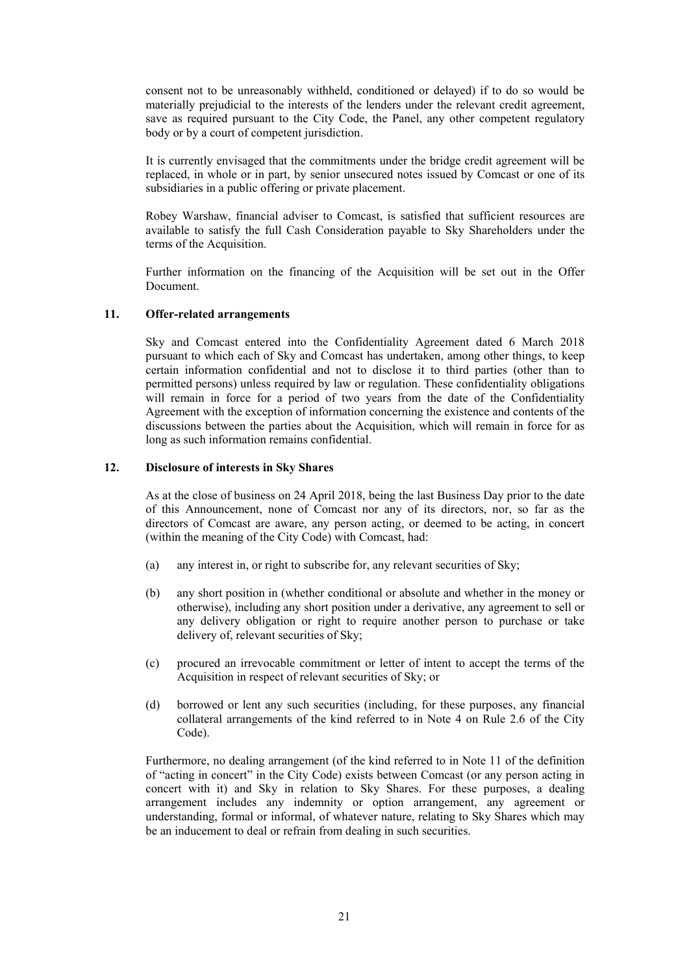consent not to be unreasonably withheld, conditioned or delayed) if to do so would be materially prejudicial to the interests of the lenders under the relevant credit agreement, save as required pursuant to the City Code, the Panel, any other competent regulatory body or by a court of competent jurisdiction.

It is currently envisaged that the commitments under the bridge credit agreement will be replaced, in whole or in part, by senior unsecured notes issued by Comcast or one of its subsidiaries in a public offering or private placement.

Robey Warshaw, financial adviser to Comcast, is satisfied that sufficient resources are available to satisfy the full Cash Consideration payable to Sky Shareholders under the terms of the Acquisition.

Further information on the financing of the Acquisition will be set out in the Offer Document.

## **11. Offer-related arrangements**

Sky and Comcast entered into the Confidentiality Agreement dated 6 March 2018 pursuant to which each of Sky and Comcast has undertaken, among other things, to keep certain information confidential and not to disclose it to third parties (other than to permitted persons) unless required by law or regulation. These confidentiality obligations will remain in force for a period of two years from the date of the Confidentiality Agreement with the exception of information concerning the existence and contents of the discussions between the parties about the Acquisition, which will remain in force for as long as such information remains confidential.

## **12. Disclosure of interests in Sky Shares**

As at the close of business on 24 April 2018, being the last Business Day prior to the date of this Announcement, none of Comcast nor any of its directors, nor, so far as the directors of Comcast are aware, any person acting, or deemed to be acting, in concert (within the meaning of the City Code) with Comcast, had:

- (a) any interest in, or right to subscribe for, any relevant securities of Sky;
- (b) any short position in (whether conditional or absolute and whether in the money or otherwise), including any short position under a derivative, any agreement to sell or any delivery obligation or right to require another person to purchase or take delivery of, relevant securities of Sky;
- (c) procured an irrevocable commitment or letter of intent to accept the terms of the Acquisition in respect of relevant securities of Sky; or
- (d) borrowed or lent any such securities (including, for these purposes, any financial collateral arrangements of the kind referred to in Note 4 on Rule 2.6 of the City Code).

Furthermore, no dealing arrangement (of the kind referred to in Note 11 of the definition of "acting in concert" in the City Code) exists between Comcast (or any person acting in concert with it) and Sky in relation to Sky Shares. For these purposes, a dealing arrangement includes any indemnity or option arrangement, any agreement or understanding, formal or informal, of whatever nature, relating to Sky Shares which may be an inducement to deal or refrain from dealing in such securities.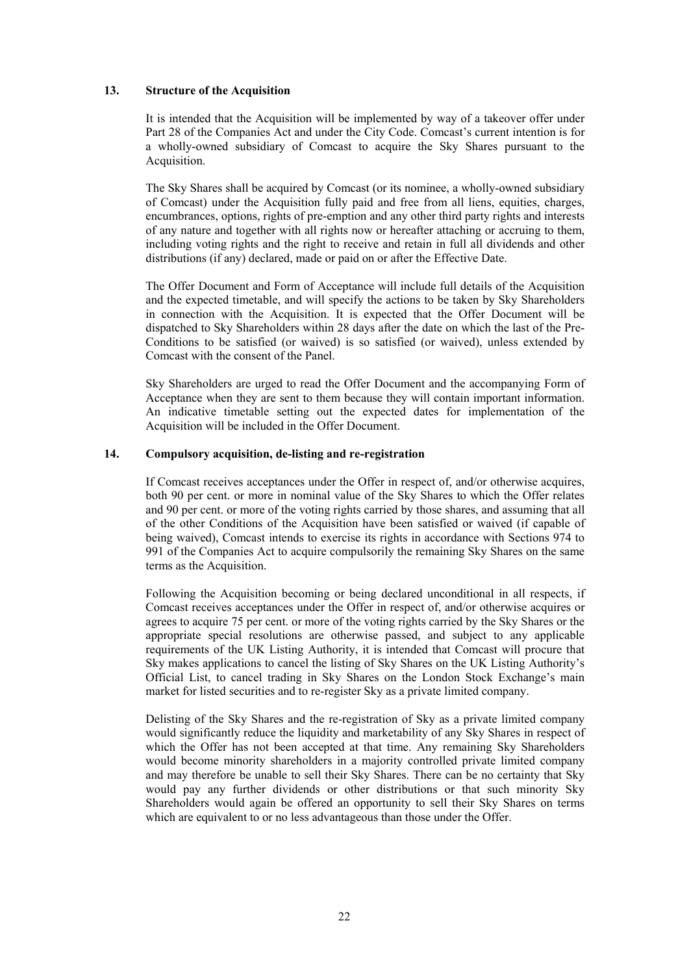## **13. Structure of the Acquisition**

It is intended that the Acquisition will be implemented by way of a takeover offer under Part 28 of the Companies Act and under the City Code. Comcast's current intention is for a wholly-owned subsidiary of Comcast to acquire the Sky Shares pursuant to the Acquisition.

The Sky Shares shall be acquired by Comcast (or its nominee, a wholly-owned subsidiary of Comcast) under the Acquisition fully paid and free from all liens, equities, charges, encumbrances, options, rights of pre-emption and any other third party rights and interests of any nature and together with all rights now or hereafter attaching or accruing to them, including voting rights and the right to receive and retain in full all dividends and other distributions (if any) declared, made or paid on or after the Effective Date.

The Offer Document and Form of Acceptance will include full details of the Acquisition and the expected timetable, and will specify the actions to be taken by Sky Shareholders in connection with the Acquisition. It is expected that the Offer Document will be dispatched to Sky Shareholders within 28 days after the date on which the last of the Pre-Conditions to be satisfied (or waived) is so satisfied (or waived), unless extended by Comcast with the consent of the Panel.

Sky Shareholders are urged to read the Offer Document and the accompanying Form of Acceptance when they are sent to them because they will contain important information. An indicative timetable setting out the expected dates for implementation of the Acquisition will be included in the Offer Document.

# **14. Compulsory acquisition, de-listing and re-registration**

If Comcast receives acceptances under the Offer in respect of, and/or otherwise acquires, both 90 per cent. or more in nominal value of the Sky Shares to which the Offer relates and 90 per cent. or more of the voting rights carried by those shares, and assuming that all of the other Conditions of the Acquisition have been satisfied or waived (if capable of being waived), Comcast intends to exercise its rights in accordance with Sections 974 to 991 of the Companies Act to acquire compulsorily the remaining Sky Shares on the same terms as the Acquisition.

Following the Acquisition becoming or being declared unconditional in all respects, if Comcast receives acceptances under the Offer in respect of, and/or otherwise acquires or agrees to acquire 75 per cent. or more of the voting rights carried by the Sky Shares or the appropriate special resolutions are otherwise passed, and subject to any applicable requirements of the UK Listing Authority, it is intended that Comcast will procure that Sky makes applications to cancel the listing of Sky Shares on the UK Listing Authority's Official List, to cancel trading in Sky Shares on the London Stock Exchange's main market for listed securities and to re-register Sky as a private limited company.

Delisting of the Sky Shares and the re-registration of Sky as a private limited company would significantly reduce the liquidity and marketability of any Sky Shares in respect of which the Offer has not been accepted at that time. Any remaining Sky Shareholders would become minority shareholders in a majority controlled private limited company and may therefore be unable to sell their Sky Shares. There can be no certainty that Sky would pay any further dividends or other distributions or that such minority Sky Shareholders would again be offered an opportunity to sell their Sky Shares on terms which are equivalent to or no less advantageous than those under the Offer.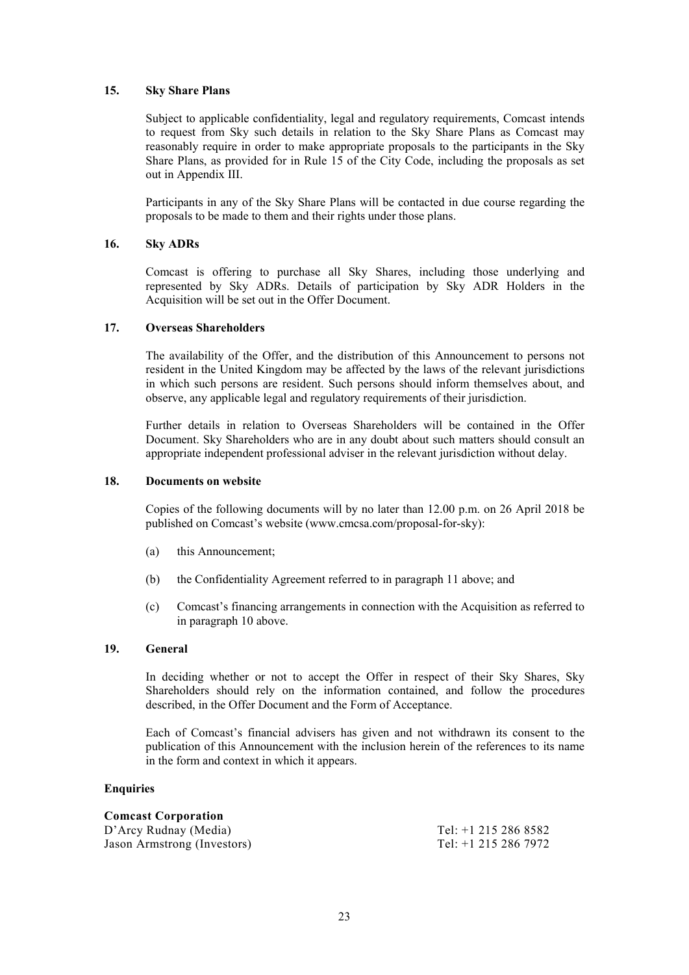## **15. Sky Share Plans**

Subject to applicable confidentiality, legal and regulatory requirements, Comcast intends to request from Sky such details in relation to the Sky Share Plans as Comcast may reasonably require in order to make appropriate proposals to the participants in the Sky Share Plans, as provided for in Rule 15 of the City Code, including the proposals as set out in Appendix III.

Participants in any of the Sky Share Plans will be contacted in due course regarding the proposals to be made to them and their rights under those plans.

## **16. Sky ADRs**

Comcast is offering to purchase all Sky Shares, including those underlying and represented by Sky ADRs. Details of participation by Sky ADR Holders in the Acquisition will be set out in the Offer Document.

## **17. Overseas Shareholders**

The availability of the Offer, and the distribution of this Announcement to persons not resident in the United Kingdom may be affected by the laws of the relevant jurisdictions in which such persons are resident. Such persons should inform themselves about, and observe, any applicable legal and regulatory requirements of their jurisdiction.

Further details in relation to Overseas Shareholders will be contained in the Offer Document. Sky Shareholders who are in any doubt about such matters should consult an appropriate independent professional adviser in the relevant jurisdiction without delay.

## **18. Documents on website**

Copies of the following documents will by no later than 12.00 p.m. on 26 April 2018 be published on Comcast's website (www.cmcsa.com/proposal-for-sky):

- (a) this Announcement;
- (b) the Confidentiality Agreement referred to in paragraph 11 above; and
- (c) Comcast's financing arrangements in connection with the Acquisition as referred to in paragraph 10 above.

## **19. General**

In deciding whether or not to accept the Offer in respect of their Sky Shares, Sky Shareholders should rely on the information contained, and follow the procedures described, in the Offer Document and the Form of Acceptance.

Each of Comcast's financial advisers has given and not withdrawn its consent to the publication of this Announcement with the inclusion herein of the references to its name in the form and context in which it appears.

## **Enquiries**

| <b>Comcast Corporation</b>  |                        |
|-----------------------------|------------------------|
| D'Arcy Rudnay (Media)       | Tel: $+1$ 215 286 8582 |
| Jason Armstrong (Investors) | Tel: $+1$ 215 286 7972 |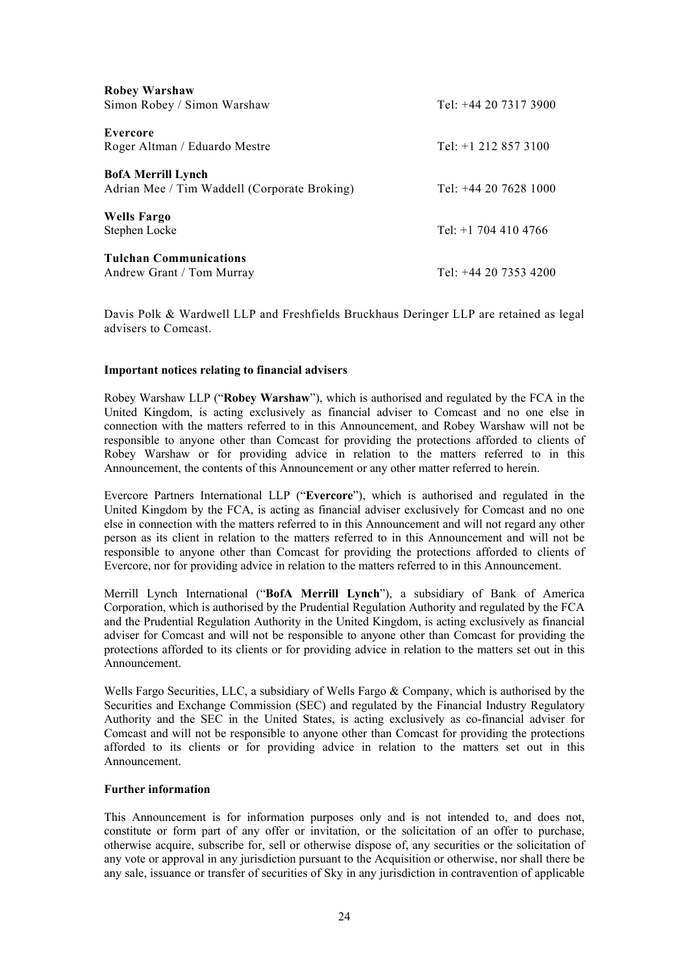| <b>Robey Warshaw</b><br>Simon Robey / Simon Warshaw                       | Tel: +44 20 7317 3900   |
|---------------------------------------------------------------------------|-------------------------|
| Evercore<br>Roger Altman / Eduardo Mestre                                 | Tel: $+1$ 212 857 3100  |
| <b>BofA Merrill Lynch</b><br>Adrian Mee / Tim Waddell (Corporate Broking) | Tel: $+44$ 20 7628 1000 |
| <b>Wells Fargo</b><br>Stephen Locke                                       | Tel: $+1$ 704 410 4766  |
| <b>Tulchan Communications</b><br>Andrew Grant / Tom Murray                | Tel: +44 20 7353 4200   |

Davis Polk & Wardwell LLP and Freshfields Bruckhaus Deringer LLP are retained as legal advisers to Comcast.

## **Important notices relating to financial advisers**

Robey Warshaw LLP ("**Robey Warshaw**"), which is authorised and regulated by the FCA in the United Kingdom, is acting exclusively as financial adviser to Comcast and no one else in connection with the matters referred to in this Announcement, and Robey Warshaw will not be responsible to anyone other than Comcast for providing the protections afforded to clients of Robey Warshaw or for providing advice in relation to the matters referred to in this Announcement, the contents of this Announcement or any other matter referred to herein.

Evercore Partners International LLP ("**Evercore**"), which is authorised and regulated in the United Kingdom by the FCA, is acting as financial adviser exclusively for Comcast and no one else in connection with the matters referred to in this Announcement and will not regard any other person as its client in relation to the matters referred to in this Announcement and will not be responsible to anyone other than Comcast for providing the protections afforded to clients of Evercore, nor for providing advice in relation to the matters referred to in this Announcement.

Merrill Lynch International ("**BofA Merrill Lynch**"), a subsidiary of Bank of America Corporation, which is authorised by the Prudential Regulation Authority and regulated by the FCA and the Prudential Regulation Authority in the United Kingdom, is acting exclusively as financial adviser for Comcast and will not be responsible to anyone other than Comcast for providing the protections afforded to its clients or for providing advice in relation to the matters set out in this Announcement.

Wells Fargo Securities, LLC, a subsidiary of Wells Fargo & Company, which is authorised by the Securities and Exchange Commission (SEC) and regulated by the Financial Industry Regulatory Authority and the SEC in the United States, is acting exclusively as co-financial adviser for Comcast and will not be responsible to anyone other than Comcast for providing the protections afforded to its clients or for providing advice in relation to the matters set out in this Announcement.

#### **Further information**

This Announcement is for information purposes only and is not intended to, and does not, constitute or form part of any offer or invitation, or the solicitation of an offer to purchase, otherwise acquire, subscribe for, sell or otherwise dispose of, any securities or the solicitation of any vote or approval in any jurisdiction pursuant to the Acquisition or otherwise, nor shall there be any sale, issuance or transfer of securities of Sky in any jurisdiction in contravention of applicable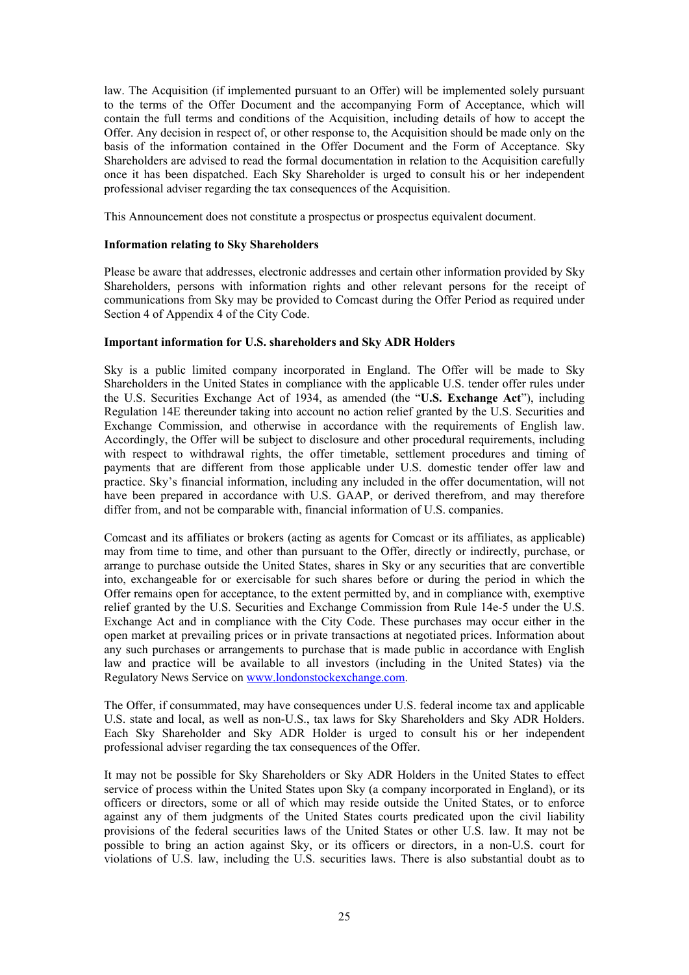law. The Acquisition (if implemented pursuant to an Offer) will be implemented solely pursuant to the terms of the Offer Document and the accompanying Form of Acceptance, which will contain the full terms and conditions of the Acquisition, including details of how to accept the Offer. Any decision in respect of, or other response to, the Acquisition should be made only on the basis of the information contained in the Offer Document and the Form of Acceptance. Sky Shareholders are advised to read the formal documentation in relation to the Acquisition carefully once it has been dispatched. Each Sky Shareholder is urged to consult his or her independent professional adviser regarding the tax consequences of the Acquisition.

This Announcement does not constitute a prospectus or prospectus equivalent document.

## **Information relating to Sky Shareholders**

Please be aware that addresses, electronic addresses and certain other information provided by Sky Shareholders, persons with information rights and other relevant persons for the receipt of communications from Sky may be provided to Comcast during the Offer Period as required under Section 4 of Appendix 4 of the City Code.

## **Important information for U.S. shareholders and Sky ADR Holders**

Sky is a public limited company incorporated in England. The Offer will be made to Sky Shareholders in the United States in compliance with the applicable U.S. tender offer rules under the U.S. Securities Exchange Act of 1934, as amended (the "**U.S. Exchange Act**"), including Regulation 14E thereunder taking into account no action relief granted by the U.S. Securities and Exchange Commission, and otherwise in accordance with the requirements of English law. Accordingly, the Offer will be subject to disclosure and other procedural requirements, including with respect to withdrawal rights, the offer timetable, settlement procedures and timing of payments that are different from those applicable under U.S. domestic tender offer law and practice. Sky's financial information, including any included in the offer documentation, will not have been prepared in accordance with U.S. GAAP, or derived therefrom, and may therefore differ from, and not be comparable with, financial information of U.S. companies.

Comcast and its affiliates or brokers (acting as agents for Comcast or its affiliates, as applicable) may from time to time, and other than pursuant to the Offer, directly or indirectly, purchase, or arrange to purchase outside the United States, shares in Sky or any securities that are convertible into, exchangeable for or exercisable for such shares before or during the period in which the Offer remains open for acceptance, to the extent permitted by, and in compliance with, exemptive relief granted by the U.S. Securities and Exchange Commission from Rule 14e-5 under the U.S. Exchange Act and in compliance with the City Code. These purchases may occur either in the open market at prevailing prices or in private transactions at negotiated prices. Information about any such purchases or arrangements to purchase that is made public in accordance with English law and practice will be available to all investors (including in the United States) via the Regulatory News Service on www.londonstockexchange.com.

The Offer, if consummated, may have consequences under U.S. federal income tax and applicable U.S. state and local, as well as non-U.S., tax laws for Sky Shareholders and Sky ADR Holders. Each Sky Shareholder and Sky ADR Holder is urged to consult his or her independent professional adviser regarding the tax consequences of the Offer.

It may not be possible for Sky Shareholders or Sky ADR Holders in the United States to effect service of process within the United States upon Sky (a company incorporated in England), or its officers or directors, some or all of which may reside outside the United States, or to enforce against any of them judgments of the United States courts predicated upon the civil liability provisions of the federal securities laws of the United States or other U.S. law. It may not be possible to bring an action against Sky, or its officers or directors, in a non-U.S. court for violations of U.S. law, including the U.S. securities laws. There is also substantial doubt as to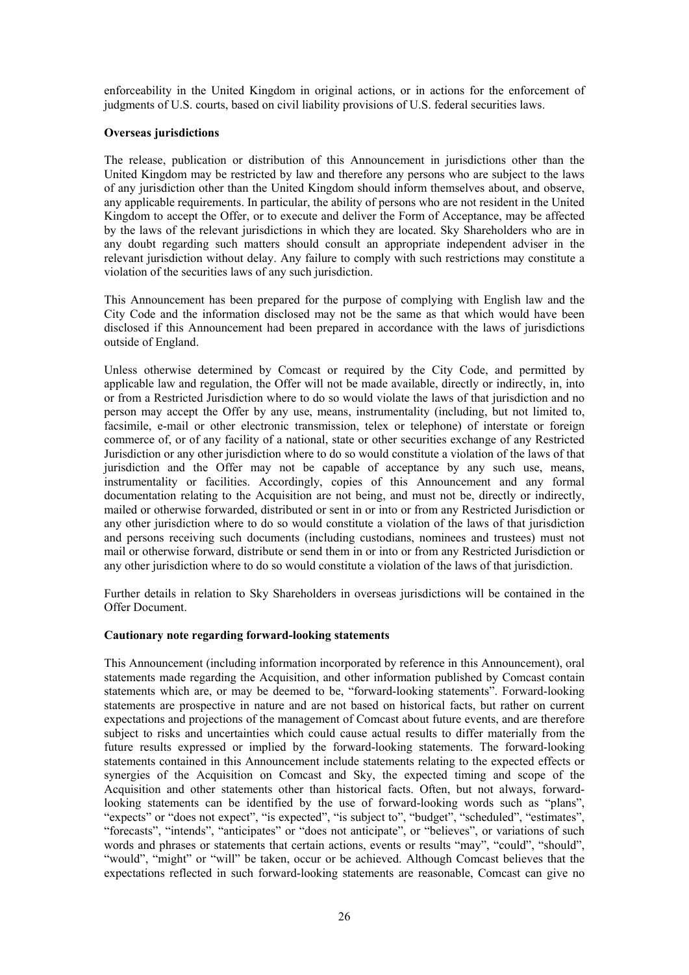enforceability in the United Kingdom in original actions, or in actions for the enforcement of judgments of U.S. courts, based on civil liability provisions of U.S. federal securities laws.

## **Overseas jurisdictions**

The release, publication or distribution of this Announcement in jurisdictions other than the United Kingdom may be restricted by law and therefore any persons who are subject to the laws of any jurisdiction other than the United Kingdom should inform themselves about, and observe, any applicable requirements. In particular, the ability of persons who are not resident in the United Kingdom to accept the Offer, or to execute and deliver the Form of Acceptance, may be affected by the laws of the relevant jurisdictions in which they are located. Sky Shareholders who are in any doubt regarding such matters should consult an appropriate independent adviser in the relevant jurisdiction without delay. Any failure to comply with such restrictions may constitute a violation of the securities laws of any such jurisdiction.

This Announcement has been prepared for the purpose of complying with English law and the City Code and the information disclosed may not be the same as that which would have been disclosed if this Announcement had been prepared in accordance with the laws of jurisdictions outside of England.

Unless otherwise determined by Comcast or required by the City Code, and permitted by applicable law and regulation, the Offer will not be made available, directly or indirectly, in, into or from a Restricted Jurisdiction where to do so would violate the laws of that jurisdiction and no person may accept the Offer by any use, means, instrumentality (including, but not limited to, facsimile, e-mail or other electronic transmission, telex or telephone) of interstate or foreign commerce of, or of any facility of a national, state or other securities exchange of any Restricted Jurisdiction or any other jurisdiction where to do so would constitute a violation of the laws of that jurisdiction and the Offer may not be capable of acceptance by any such use, means, instrumentality or facilities. Accordingly, copies of this Announcement and any formal documentation relating to the Acquisition are not being, and must not be, directly or indirectly, mailed or otherwise forwarded, distributed or sent in or into or from any Restricted Jurisdiction or any other jurisdiction where to do so would constitute a violation of the laws of that jurisdiction and persons receiving such documents (including custodians, nominees and trustees) must not mail or otherwise forward, distribute or send them in or into or from any Restricted Jurisdiction or any other jurisdiction where to do so would constitute a violation of the laws of that jurisdiction.

Further details in relation to Sky Shareholders in overseas jurisdictions will be contained in the Offer Document.

# **Cautionary note regarding forward-looking statements**

This Announcement (including information incorporated by reference in this Announcement), oral statements made regarding the Acquisition, and other information published by Comcast contain statements which are, or may be deemed to be, "forward-looking statements". Forward-looking statements are prospective in nature and are not based on historical facts, but rather on current expectations and projections of the management of Comcast about future events, and are therefore subject to risks and uncertainties which could cause actual results to differ materially from the future results expressed or implied by the forward-looking statements. The forward-looking statements contained in this Announcement include statements relating to the expected effects or synergies of the Acquisition on Comcast and Sky, the expected timing and scope of the Acquisition and other statements other than historical facts. Often, but not always, forwardlooking statements can be identified by the use of forward-looking words such as "plans", "expects" or "does not expect", "is expected", "is subject to", "budget", "scheduled", "estimates", "forecasts", "intends", "anticipates" or "does not anticipate", or "believes", or variations of such words and phrases or statements that certain actions, events or results "may", "could", "should", "would", "might" or "will" be taken, occur or be achieved. Although Comcast believes that the expectations reflected in such forward-looking statements are reasonable, Comcast can give no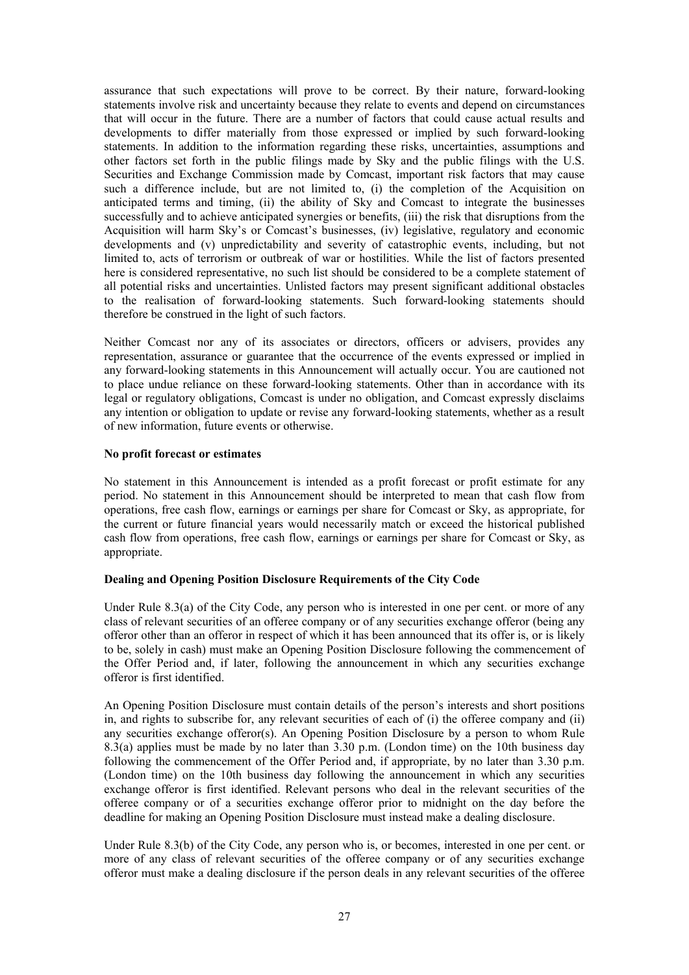assurance that such expectations will prove to be correct. By their nature, forward-looking statements involve risk and uncertainty because they relate to events and depend on circumstances that will occur in the future. There are a number of factors that could cause actual results and developments to differ materially from those expressed or implied by such forward-looking statements. In addition to the information regarding these risks, uncertainties, assumptions and other factors set forth in the public filings made by Sky and the public filings with the U.S. Securities and Exchange Commission made by Comcast, important risk factors that may cause such a difference include, but are not limited to, (i) the completion of the Acquisition on anticipated terms and timing, (ii) the ability of Sky and Comcast to integrate the businesses successfully and to achieve anticipated synergies or benefits, (iii) the risk that disruptions from the Acquisition will harm Sky's or Comcast's businesses, (iv) legislative, regulatory and economic developments and (v) unpredictability and severity of catastrophic events, including, but not limited to, acts of terrorism or outbreak of war or hostilities. While the list of factors presented here is considered representative, no such list should be considered to be a complete statement of all potential risks and uncertainties. Unlisted factors may present significant additional obstacles to the realisation of forward-looking statements. Such forward-looking statements should therefore be construed in the light of such factors.

Neither Comcast nor any of its associates or directors, officers or advisers, provides any representation, assurance or guarantee that the occurrence of the events expressed or implied in any forward-looking statements in this Announcement will actually occur. You are cautioned not to place undue reliance on these forward-looking statements. Other than in accordance with its legal or regulatory obligations, Comcast is under no obligation, and Comcast expressly disclaims any intention or obligation to update or revise any forward-looking statements, whether as a result of new information, future events or otherwise.

## **No profit forecast or estimates**

No statement in this Announcement is intended as a profit forecast or profit estimate for any period. No statement in this Announcement should be interpreted to mean that cash flow from operations, free cash flow, earnings or earnings per share for Comcast or Sky, as appropriate, for the current or future financial years would necessarily match or exceed the historical published cash flow from operations, free cash flow, earnings or earnings per share for Comcast or Sky, as appropriate.

## **Dealing and Opening Position Disclosure Requirements of the City Code**

Under Rule 8.3(a) of the City Code, any person who is interested in one per cent. or more of any class of relevant securities of an offeree company or of any securities exchange offeror (being any offeror other than an offeror in respect of which it has been announced that its offer is, or is likely to be, solely in cash) must make an Opening Position Disclosure following the commencement of the Offer Period and, if later, following the announcement in which any securities exchange offeror is first identified.

An Opening Position Disclosure must contain details of the person's interests and short positions in, and rights to subscribe for, any relevant securities of each of (i) the offeree company and (ii) any securities exchange offeror(s). An Opening Position Disclosure by a person to whom Rule 8.3(a) applies must be made by no later than 3.30 p.m. (London time) on the 10th business day following the commencement of the Offer Period and, if appropriate, by no later than 3.30 p.m. (London time) on the 10th business day following the announcement in which any securities exchange offeror is first identified. Relevant persons who deal in the relevant securities of the offeree company or of a securities exchange offeror prior to midnight on the day before the deadline for making an Opening Position Disclosure must instead make a dealing disclosure.

Under Rule 8.3(b) of the City Code, any person who is, or becomes, interested in one per cent. or more of any class of relevant securities of the offeree company or of any securities exchange offeror must make a dealing disclosure if the person deals in any relevant securities of the offeree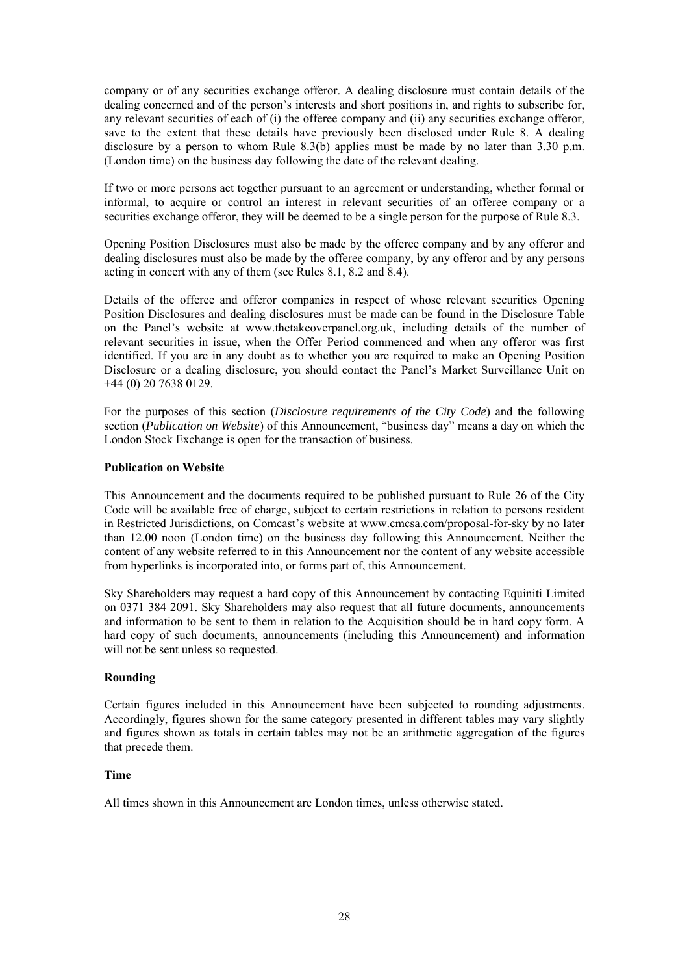company or of any securities exchange offeror. A dealing disclosure must contain details of the dealing concerned and of the person's interests and short positions in, and rights to subscribe for, any relevant securities of each of (i) the offeree company and (ii) any securities exchange offeror, save to the extent that these details have previously been disclosed under Rule 8. A dealing disclosure by a person to whom Rule  $8.3(b)$  applies must be made by no later than 3.30 p.m. (London time) on the business day following the date of the relevant dealing.

If two or more persons act together pursuant to an agreement or understanding, whether formal or informal, to acquire or control an interest in relevant securities of an offeree company or a securities exchange offeror, they will be deemed to be a single person for the purpose of Rule 8.3.

Opening Position Disclosures must also be made by the offeree company and by any offeror and dealing disclosures must also be made by the offeree company, by any offeror and by any persons acting in concert with any of them (see Rules 8.1, 8.2 and 8.4).

Details of the offeree and offeror companies in respect of whose relevant securities Opening Position Disclosures and dealing disclosures must be made can be found in the Disclosure Table on the Panel's website at www.thetakeoverpanel.org.uk, including details of the number of relevant securities in issue, when the Offer Period commenced and when any offeror was first identified. If you are in any doubt as to whether you are required to make an Opening Position Disclosure or a dealing disclosure, you should contact the Panel's Market Surveillance Unit on +44 (0) 20 7638 0129.

For the purposes of this section (*Disclosure requirements of the City Code*) and the following section (*Publication on Website*) of this Announcement, "business day" means a day on which the London Stock Exchange is open for the transaction of business.

## **Publication on Website**

This Announcement and the documents required to be published pursuant to Rule 26 of the City Code will be available free of charge, subject to certain restrictions in relation to persons resident in Restricted Jurisdictions, on Comcast's website at www.cmcsa.com/proposal-for-sky by no later than 12.00 noon (London time) on the business day following this Announcement. Neither the content of any website referred to in this Announcement nor the content of any website accessible from hyperlinks is incorporated into, or forms part of, this Announcement.

Sky Shareholders may request a hard copy of this Announcement by contacting Equiniti Limited on 0371 384 2091. Sky Shareholders may also request that all future documents, announcements and information to be sent to them in relation to the Acquisition should be in hard copy form. A hard copy of such documents, announcements (including this Announcement) and information will not be sent unless so requested.

## **Rounding**

Certain figures included in this Announcement have been subjected to rounding adjustments. Accordingly, figures shown for the same category presented in different tables may vary slightly and figures shown as totals in certain tables may not be an arithmetic aggregation of the figures that precede them.

## **Time**

All times shown in this Announcement are London times, unless otherwise stated.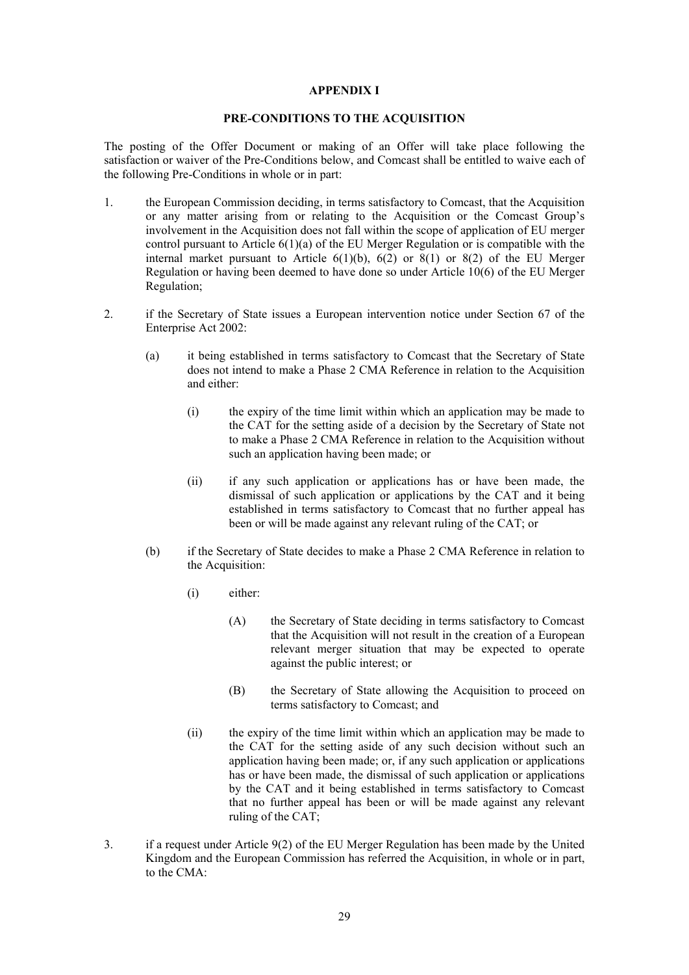#### **APPENDIX I**

# **PRE-CONDITIONS TO THE ACQUISITION**

The posting of the Offer Document or making of an Offer will take place following the satisfaction or waiver of the Pre-Conditions below, and Comcast shall be entitled to waive each of the following Pre-Conditions in whole or in part:

- 1. the European Commission deciding, in terms satisfactory to Comcast, that the Acquisition or any matter arising from or relating to the Acquisition or the Comcast Group's involvement in the Acquisition does not fall within the scope of application of EU merger control pursuant to Article 6(1)(a) of the EU Merger Regulation or is compatible with the internal market pursuant to Article  $6(1)(b)$ ,  $6(2)$  or  $8(1)$  or  $8(2)$  of the EU Merger Regulation or having been deemed to have done so under Article 10(6) of the EU Merger Regulation;
- 2. if the Secretary of State issues a European intervention notice under Section 67 of the Enterprise Act 2002:
	- (a) it being established in terms satisfactory to Comcast that the Secretary of State does not intend to make a Phase 2 CMA Reference in relation to the Acquisition and either:
		- (i) the expiry of the time limit within which an application may be made to the CAT for the setting aside of a decision by the Secretary of State not to make a Phase 2 CMA Reference in relation to the Acquisition without such an application having been made; or
		- (ii) if any such application or applications has or have been made, the dismissal of such application or applications by the CAT and it being established in terms satisfactory to Comcast that no further appeal has been or will be made against any relevant ruling of the CAT; or
	- (b) if the Secretary of State decides to make a Phase 2 CMA Reference in relation to the Acquisition:
		- (i) either:
			- (A) the Secretary of State deciding in terms satisfactory to Comcast that the Acquisition will not result in the creation of a European relevant merger situation that may be expected to operate against the public interest; or
			- (B) the Secretary of State allowing the Acquisition to proceed on terms satisfactory to Comcast; and
		- (ii) the expiry of the time limit within which an application may be made to the CAT for the setting aside of any such decision without such an application having been made; or, if any such application or applications has or have been made, the dismissal of such application or applications by the CAT and it being established in terms satisfactory to Comcast that no further appeal has been or will be made against any relevant ruling of the CAT;
- 3. if a request under Article 9(2) of the EU Merger Regulation has been made by the United Kingdom and the European Commission has referred the Acquisition, in whole or in part, to the CMA: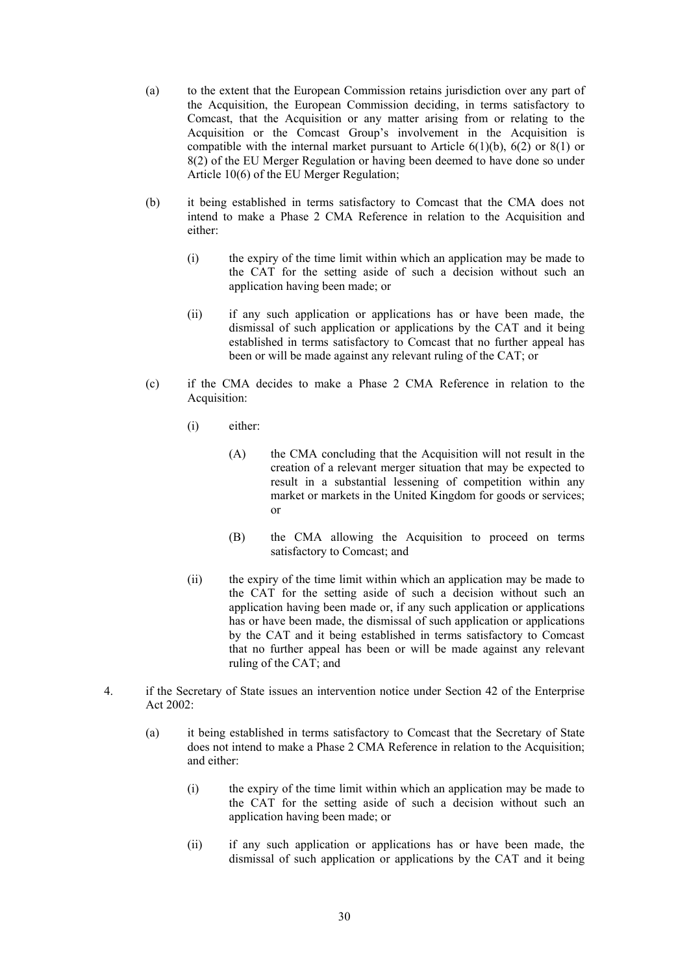- (a) to the extent that the European Commission retains jurisdiction over any part of the Acquisition, the European Commission deciding, in terms satisfactory to Comcast, that the Acquisition or any matter arising from or relating to the Acquisition or the Comcast Group's involvement in the Acquisition is compatible with the internal market pursuant to Article  $6(1)(b)$ ,  $6(2)$  or  $8(1)$  or 8(2) of the EU Merger Regulation or having been deemed to have done so under Article 10(6) of the EU Merger Regulation;
- (b) it being established in terms satisfactory to Comcast that the CMA does not intend to make a Phase 2 CMA Reference in relation to the Acquisition and either:
	- (i) the expiry of the time limit within which an application may be made to the CAT for the setting aside of such a decision without such an application having been made; or
	- (ii) if any such application or applications has or have been made, the dismissal of such application or applications by the CAT and it being established in terms satisfactory to Comcast that no further appeal has been or will be made against any relevant ruling of the CAT; or
- (c) if the CMA decides to make a Phase 2 CMA Reference in relation to the Acquisition:
	- (i) either:
		- (A) the CMA concluding that the Acquisition will not result in the creation of a relevant merger situation that may be expected to result in a substantial lessening of competition within any market or markets in the United Kingdom for goods or services; or
		- (B) the CMA allowing the Acquisition to proceed on terms satisfactory to Comcast; and
	- (ii) the expiry of the time limit within which an application may be made to the CAT for the setting aside of such a decision without such an application having been made or, if any such application or applications has or have been made, the dismissal of such application or applications by the CAT and it being established in terms satisfactory to Comcast that no further appeal has been or will be made against any relevant ruling of the CAT; and
- 4. if the Secretary of State issues an intervention notice under Section 42 of the Enterprise Act 2002:
	- (a) it being established in terms satisfactory to Comcast that the Secretary of State does not intend to make a Phase 2 CMA Reference in relation to the Acquisition; and either:
		- (i) the expiry of the time limit within which an application may be made to the CAT for the setting aside of such a decision without such an application having been made; or
		- (ii) if any such application or applications has or have been made, the dismissal of such application or applications by the CAT and it being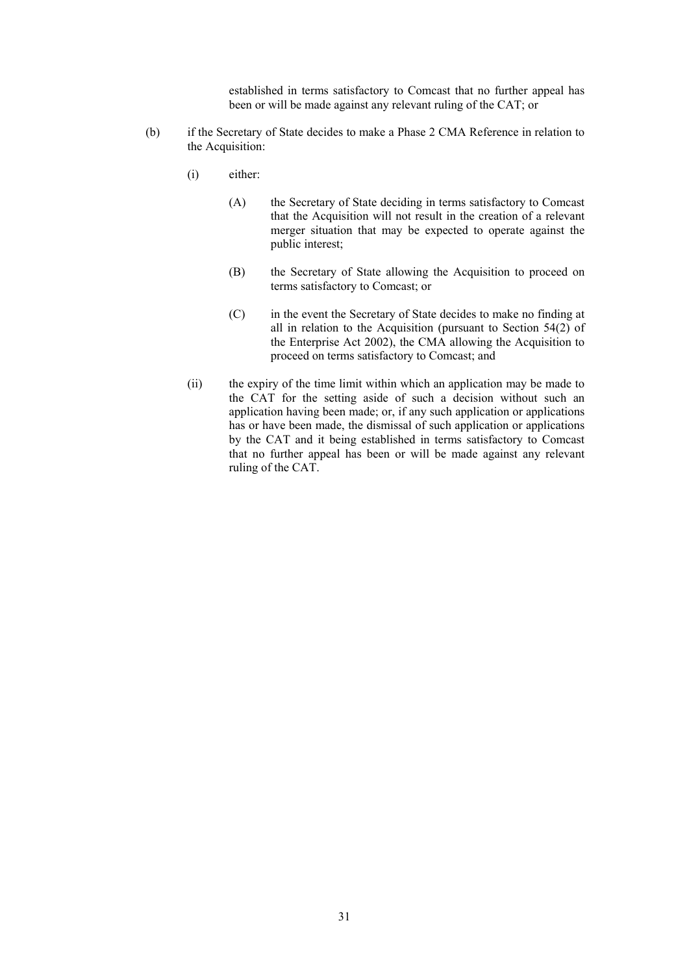established in terms satisfactory to Comcast that no further appeal has been or will be made against any relevant ruling of the CAT; or

- (b) if the Secretary of State decides to make a Phase 2 CMA Reference in relation to the Acquisition:
	- (i) either:
		- (A) the Secretary of State deciding in terms satisfactory to Comcast that the Acquisition will not result in the creation of a relevant merger situation that may be expected to operate against the public interest;
		- (B) the Secretary of State allowing the Acquisition to proceed on terms satisfactory to Comcast; or
		- (C) in the event the Secretary of State decides to make no finding at all in relation to the Acquisition (pursuant to Section 54(2) of the Enterprise Act 2002), the CMA allowing the Acquisition to proceed on terms satisfactory to Comcast; and
	- (ii) the expiry of the time limit within which an application may be made to the CAT for the setting aside of such a decision without such an application having been made; or, if any such application or applications has or have been made, the dismissal of such application or applications by the CAT and it being established in terms satisfactory to Comcast that no further appeal has been or will be made against any relevant ruling of the CAT.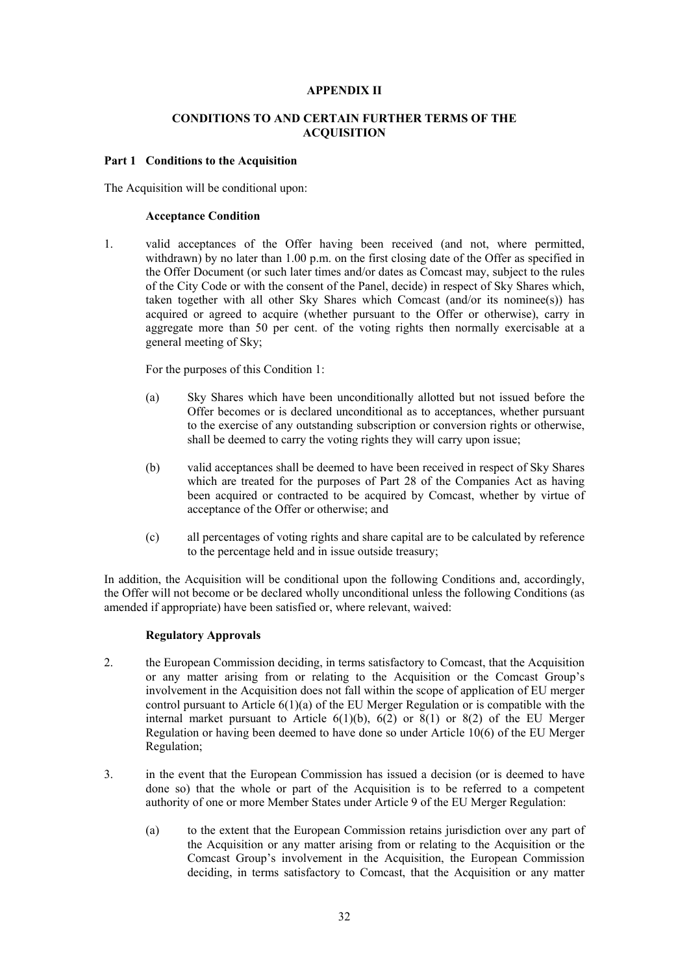## **APPENDIX II**

## **CONDITIONS TO AND CERTAIN FURTHER TERMS OF THE ACQUISITION**

## **Part 1 Conditions to the Acquisition**

The Acquisition will be conditional upon:

#### **Acceptance Condition**

1. valid acceptances of the Offer having been received (and not, where permitted, withdrawn) by no later than 1.00 p.m. on the first closing date of the Offer as specified in the Offer Document (or such later times and/or dates as Comcast may, subject to the rules of the City Code or with the consent of the Panel, decide) in respect of Sky Shares which, taken together with all other Sky Shares which Comcast (and/or its nominee(s)) has acquired or agreed to acquire (whether pursuant to the Offer or otherwise), carry in aggregate more than 50 per cent. of the voting rights then normally exercisable at a general meeting of Sky;

For the purposes of this Condition 1:

- (a) Sky Shares which have been unconditionally allotted but not issued before the Offer becomes or is declared unconditional as to acceptances, whether pursuant to the exercise of any outstanding subscription or conversion rights or otherwise, shall be deemed to carry the voting rights they will carry upon issue;
- (b) valid acceptances shall be deemed to have been received in respect of Sky Shares which are treated for the purposes of Part 28 of the Companies Act as having been acquired or contracted to be acquired by Comcast, whether by virtue of acceptance of the Offer or otherwise; and
- (c) all percentages of voting rights and share capital are to be calculated by reference to the percentage held and in issue outside treasury;

In addition, the Acquisition will be conditional upon the following Conditions and, accordingly, the Offer will not become or be declared wholly unconditional unless the following Conditions (as amended if appropriate) have been satisfied or, where relevant, waived:

## **Regulatory Approvals**

- 2. the European Commission deciding, in terms satisfactory to Comcast, that the Acquisition or any matter arising from or relating to the Acquisition or the Comcast Group's involvement in the Acquisition does not fall within the scope of application of EU merger control pursuant to Article 6(1)(a) of the EU Merger Regulation or is compatible with the internal market pursuant to Article  $6(1)(b)$ ,  $6(2)$  or  $8(1)$  or  $8(2)$  of the EU Merger Regulation or having been deemed to have done so under Article 10(6) of the EU Merger Regulation;
- 3. in the event that the European Commission has issued a decision (or is deemed to have done so) that the whole or part of the Acquisition is to be referred to a competent authority of one or more Member States under Article 9 of the EU Merger Regulation:
	- (a) to the extent that the European Commission retains jurisdiction over any part of the Acquisition or any matter arising from or relating to the Acquisition or the Comcast Group's involvement in the Acquisition, the European Commission deciding, in terms satisfactory to Comcast, that the Acquisition or any matter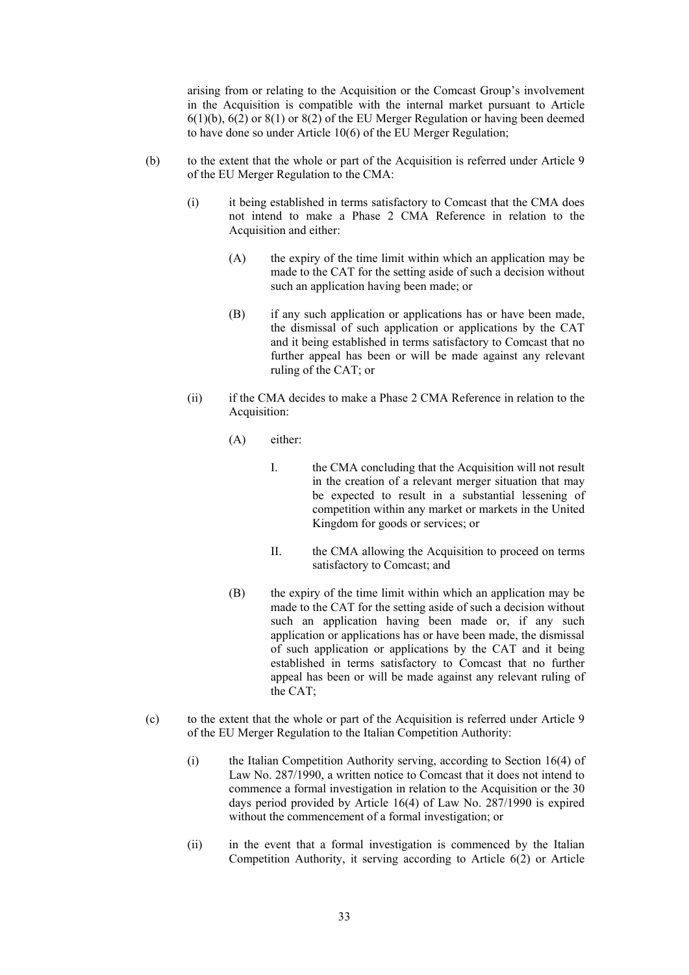arising from or relating to the Acquisition or the Comcast Group's involvement in the Acquisition is compatible with the internal market pursuant to Article  $6(1)(b)$ ,  $6(2)$  or  $8(1)$  or  $8(2)$  of the EU Merger Regulation or having been deemed to have done so under Article 10(6) of the EU Merger Regulation;

- (b) to the extent that the whole or part of the Acquisition is referred under Article 9 of the EU Merger Regulation to the CMA:
	- (i) it being established in terms satisfactory to Comcast that the CMA does not intend to make a Phase 2 CMA Reference in relation to the Acquisition and either:
		- (A) the expiry of the time limit within which an application may be made to the CAT for the setting aside of such a decision without such an application having been made; or
		- (B) if any such application or applications has or have been made, the dismissal of such application or applications by the CAT and it being established in terms satisfactory to Comcast that no further appeal has been or will be made against any relevant ruling of the CAT; or
	- (ii) if the CMA decides to make a Phase 2 CMA Reference in relation to the Acquisition:
		- (A) either:
			- I. the CMA concluding that the Acquisition will not result in the creation of a relevant merger situation that may be expected to result in a substantial lessening of competition within any market or markets in the United Kingdom for goods or services; or
			- II. the CMA allowing the Acquisition to proceed on terms satisfactory to Comcast; and
		- (B) the expiry of the time limit within which an application may be made to the CAT for the setting aside of such a decision without such an application having been made or, if any such application or applications has or have been made, the dismissal of such application or applications by the CAT and it being established in terms satisfactory to Comcast that no further appeal has been or will be made against any relevant ruling of the CAT;
- (c) to the extent that the whole or part of the Acquisition is referred under Article 9 of the EU Merger Regulation to the Italian Competition Authority:
	- (i) the Italian Competition Authority serving, according to Section 16(4) of Law No. 287/1990, a written notice to Comcast that it does not intend to commence a formal investigation in relation to the Acquisition or the 30 days period provided by Article 16(4) of Law No. 287/1990 is expired without the commencement of a formal investigation; or
	- (ii) in the event that a formal investigation is commenced by the Italian Competition Authority, it serving according to Article 6(2) or Article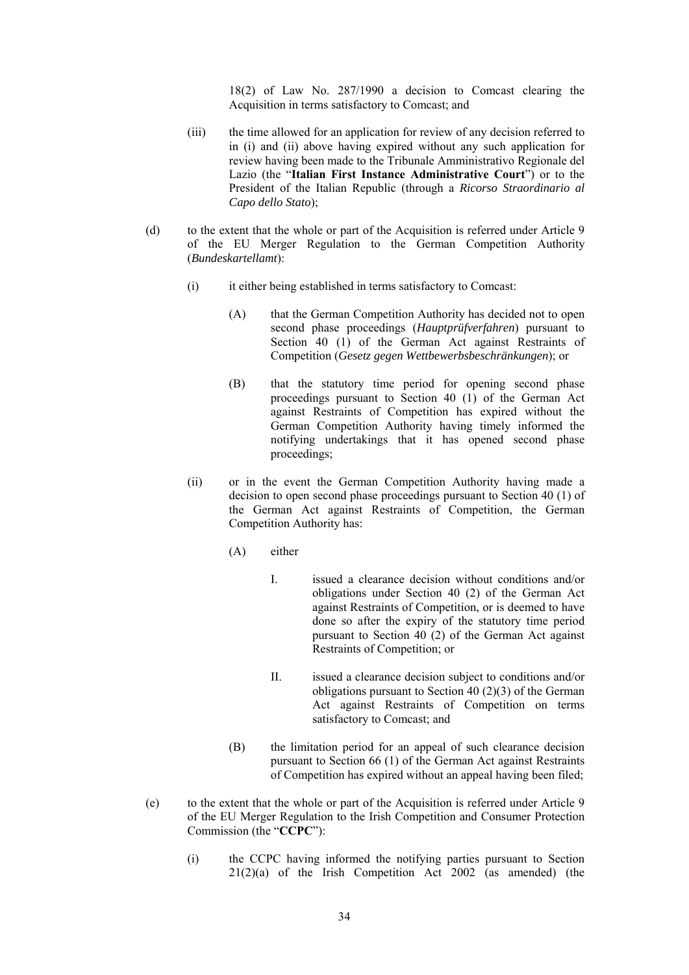18(2) of Law No. 287/1990 a decision to Comcast clearing the Acquisition in terms satisfactory to Comcast; and

- (iii) the time allowed for an application for review of any decision referred to in (i) and (ii) above having expired without any such application for review having been made to the Tribunale Amministrativo Regionale del Lazio (the "**Italian First Instance Administrative Court**") or to the President of the Italian Republic (through a *Ricorso Straordinario al Capo dello Stato*);
- (d) to the extent that the whole or part of the Acquisition is referred under Article 9 of the EU Merger Regulation to the German Competition Authority (*Bundeskartellamt*):
	- (i) it either being established in terms satisfactory to Comcast:
		- (A) that the German Competition Authority has decided not to open second phase proceedings (*Hauptprüfverfahren*) pursuant to Section 40 (1) of the German Act against Restraints of Competition (*Gesetz gegen Wettbewerbsbeschränkungen*); or
		- (B) that the statutory time period for opening second phase proceedings pursuant to Section 40 (1) of the German Act against Restraints of Competition has expired without the German Competition Authority having timely informed the notifying undertakings that it has opened second phase proceedings;
	- (ii) or in the event the German Competition Authority having made a decision to open second phase proceedings pursuant to Section 40 (1) of the German Act against Restraints of Competition, the German Competition Authority has:
		- (A) either
			- I. issued a clearance decision without conditions and/or obligations under Section 40 (2) of the German Act against Restraints of Competition, or is deemed to have done so after the expiry of the statutory time period pursuant to Section 40 (2) of the German Act against Restraints of Competition; or
			- II. issued a clearance decision subject to conditions and/or obligations pursuant to Section 40 (2)(3) of the German Act against Restraints of Competition on terms satisfactory to Comcast; and
		- (B) the limitation period for an appeal of such clearance decision pursuant to Section 66 (1) of the German Act against Restraints of Competition has expired without an appeal having been filed;
- (e) to the extent that the whole or part of the Acquisition is referred under Article 9 of the EU Merger Regulation to the Irish Competition and Consumer Protection Commission (the "**CCPC**"):
	- (i) the CCPC having informed the notifying parties pursuant to Section 21(2)(a) of the Irish Competition Act 2002 (as amended) (the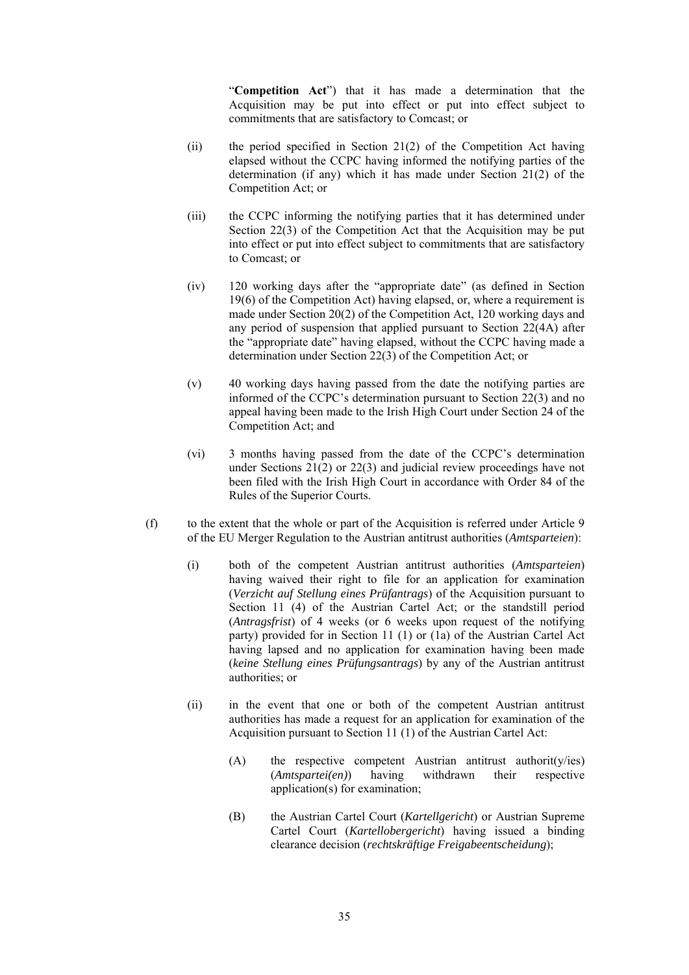"**Competition Act**") that it has made a determination that the Acquisition may be put into effect or put into effect subject to commitments that are satisfactory to Comcast; or

- (ii) the period specified in Section 21(2) of the Competition Act having elapsed without the CCPC having informed the notifying parties of the determination (if any) which it has made under Section 21(2) of the Competition Act; or
- (iii) the CCPC informing the notifying parties that it has determined under Section 22(3) of the Competition Act that the Acquisition may be put into effect or put into effect subject to commitments that are satisfactory to Comcast; or
- (iv) 120 working days after the "appropriate date" (as defined in Section 19(6) of the Competition Act) having elapsed, or, where a requirement is made under Section 20(2) of the Competition Act, 120 working days and any period of suspension that applied pursuant to Section 22(4A) after the "appropriate date" having elapsed, without the CCPC having made a determination under Section 22(3) of the Competition Act; or
- (v) 40 working days having passed from the date the notifying parties are informed of the CCPC's determination pursuant to Section 22(3) and no appeal having been made to the Irish High Court under Section 24 of the Competition Act; and
- (vi) 3 months having passed from the date of the CCPC's determination under Sections 21(2) or 22(3) and judicial review proceedings have not been filed with the Irish High Court in accordance with Order 84 of the Rules of the Superior Courts.
- (f) to the extent that the whole or part of the Acquisition is referred under Article 9 of the EU Merger Regulation to the Austrian antitrust authorities (*Amtsparteien*):
	- (i) both of the competent Austrian antitrust authorities (*Amtsparteien*) having waived their right to file for an application for examination (*Verzicht auf Stellung eines Prüfantrags*) of the Acquisition pursuant to Section 11 (4) of the Austrian Cartel Act; or the standstill period (*Antragsfrist*) of 4 weeks (or 6 weeks upon request of the notifying party) provided for in Section 11 (1) or (1a) of the Austrian Cartel Act having lapsed and no application for examination having been made (*keine Stellung eines Prüfungsantrags*) by any of the Austrian antitrust authorities; or
	- (ii) in the event that one or both of the competent Austrian antitrust authorities has made a request for an application for examination of the Acquisition pursuant to Section 11 (1) of the Austrian Cartel Act:
		- $(A)$  the respective competent Austrian antitrust authorit(y/ies) (*Amtspartei(en)*) having withdrawn their respective application(s) for examination;
		- (B) the Austrian Cartel Court (*Kartellgericht*) or Austrian Supreme Cartel Court (*Kartellobergericht*) having issued a binding clearance decision (*rechtskräftige Freigabeentscheidung*);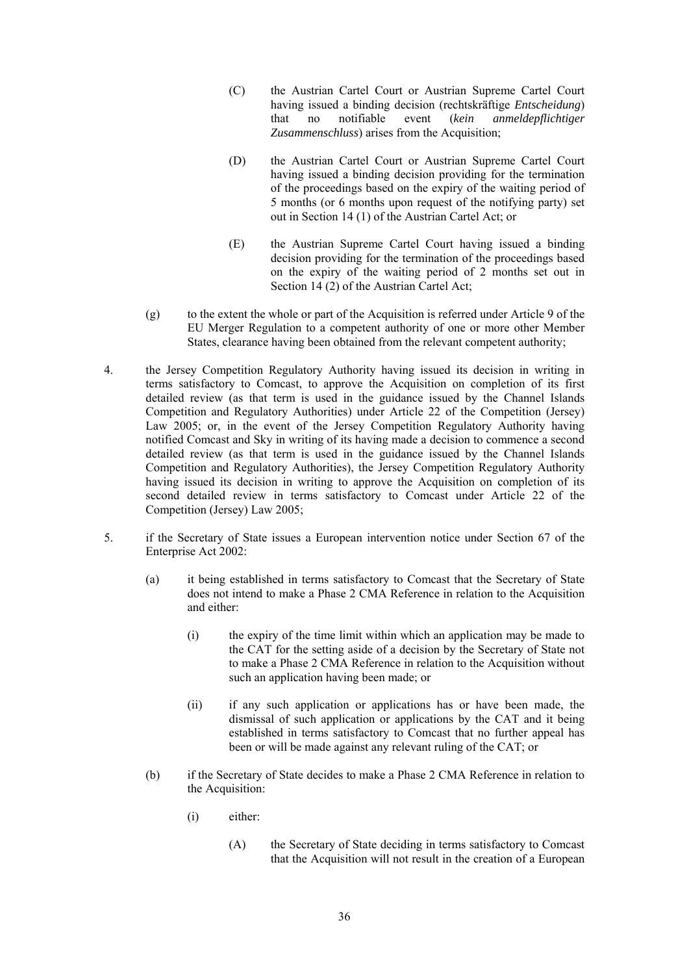- (C) the Austrian Cartel Court or Austrian Supreme Cartel Court having issued a binding decision (rechtskräftige *Entscheidung*) that no notifiable event (*kein anmeldepflichtiger Zusammenschluss*) arises from the Acquisition;
- (D) the Austrian Cartel Court or Austrian Supreme Cartel Court having issued a binding decision providing for the termination of the proceedings based on the expiry of the waiting period of 5 months (or 6 months upon request of the notifying party) set out in Section 14 (1) of the Austrian Cartel Act; or
- (E) the Austrian Supreme Cartel Court having issued a binding decision providing for the termination of the proceedings based on the expiry of the waiting period of 2 months set out in Section 14 (2) of the Austrian Cartel Act;
- (g) to the extent the whole or part of the Acquisition is referred under Article 9 of the EU Merger Regulation to a competent authority of one or more other Member States, clearance having been obtained from the relevant competent authority;
- 4. the Jersey Competition Regulatory Authority having issued its decision in writing in terms satisfactory to Comcast, to approve the Acquisition on completion of its first detailed review (as that term is used in the guidance issued by the Channel Islands Competition and Regulatory Authorities) under Article 22 of the Competition (Jersey) Law 2005; or, in the event of the Jersey Competition Regulatory Authority having notified Comcast and Sky in writing of its having made a decision to commence a second detailed review (as that term is used in the guidance issued by the Channel Islands Competition and Regulatory Authorities), the Jersey Competition Regulatory Authority having issued its decision in writing to approve the Acquisition on completion of its second detailed review in terms satisfactory to Comcast under Article 22 of the Competition (Jersey) Law 2005;
- 5. if the Secretary of State issues a European intervention notice under Section 67 of the Enterprise Act 2002:
	- (a) it being established in terms satisfactory to Comcast that the Secretary of State does not intend to make a Phase 2 CMA Reference in relation to the Acquisition and either:
		- (i) the expiry of the time limit within which an application may be made to the CAT for the setting aside of a decision by the Secretary of State not to make a Phase 2 CMA Reference in relation to the Acquisition without such an application having been made; or
		- (ii) if any such application or applications has or have been made, the dismissal of such application or applications by the CAT and it being established in terms satisfactory to Comcast that no further appeal has been or will be made against any relevant ruling of the CAT; or
	- (b) if the Secretary of State decides to make a Phase 2 CMA Reference in relation to the Acquisition:
		- (i) either:
			- (A) the Secretary of State deciding in terms satisfactory to Comcast that the Acquisition will not result in the creation of a European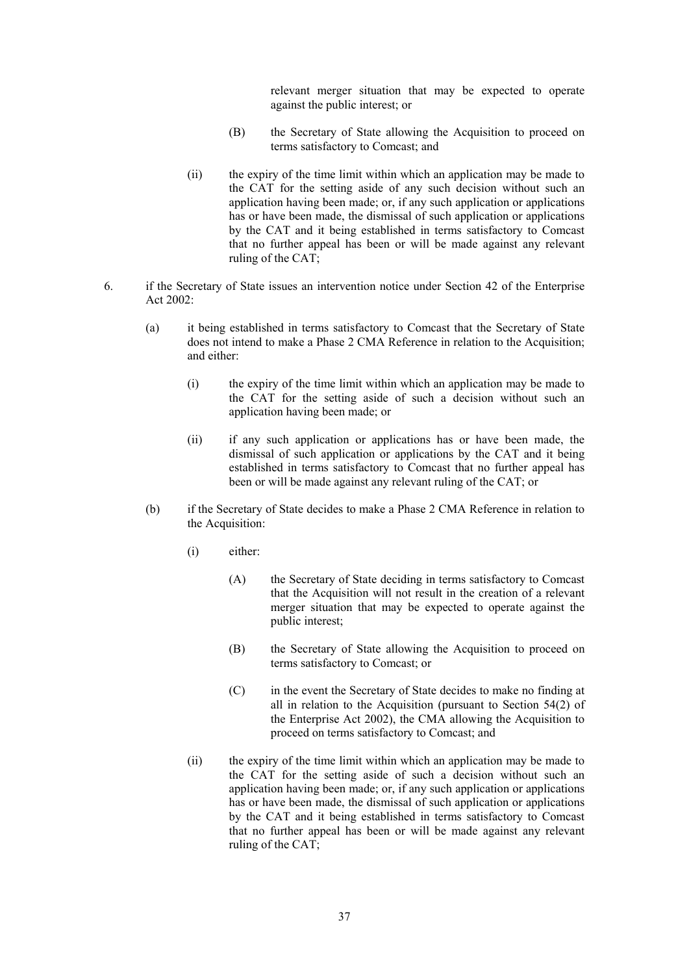relevant merger situation that may be expected to operate against the public interest; or

- (B) the Secretary of State allowing the Acquisition to proceed on terms satisfactory to Comcast; and
- (ii) the expiry of the time limit within which an application may be made to the CAT for the setting aside of any such decision without such an application having been made; or, if any such application or applications has or have been made, the dismissal of such application or applications by the CAT and it being established in terms satisfactory to Comcast that no further appeal has been or will be made against any relevant ruling of the CAT;
- 6. if the Secretary of State issues an intervention notice under Section 42 of the Enterprise Act 2002:
	- (a) it being established in terms satisfactory to Comcast that the Secretary of State does not intend to make a Phase 2 CMA Reference in relation to the Acquisition; and either:
		- (i) the expiry of the time limit within which an application may be made to the CAT for the setting aside of such a decision without such an application having been made; or
		- (ii) if any such application or applications has or have been made, the dismissal of such application or applications by the CAT and it being established in terms satisfactory to Comcast that no further appeal has been or will be made against any relevant ruling of the CAT; or
	- (b) if the Secretary of State decides to make a Phase 2 CMA Reference in relation to the Acquisition:
		- (i) either:
			- (A) the Secretary of State deciding in terms satisfactory to Comcast that the Acquisition will not result in the creation of a relevant merger situation that may be expected to operate against the public interest;
			- (B) the Secretary of State allowing the Acquisition to proceed on terms satisfactory to Comcast; or
			- (C) in the event the Secretary of State decides to make no finding at all in relation to the Acquisition (pursuant to Section 54(2) of the Enterprise Act 2002), the CMA allowing the Acquisition to proceed on terms satisfactory to Comcast; and
		- (ii) the expiry of the time limit within which an application may be made to the CAT for the setting aside of such a decision without such an application having been made; or, if any such application or applications has or have been made, the dismissal of such application or applications by the CAT and it being established in terms satisfactory to Comcast that no further appeal has been or will be made against any relevant ruling of the CAT;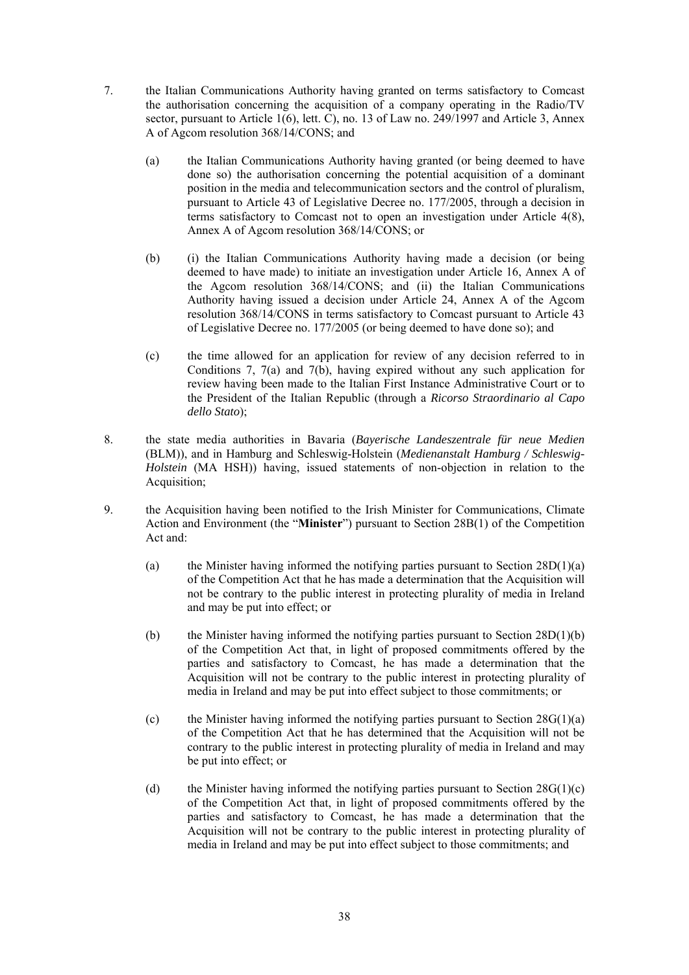- 7. the Italian Communications Authority having granted on terms satisfactory to Comcast the authorisation concerning the acquisition of a company operating in the Radio/TV sector, pursuant to Article 1(6), lett. C), no. 13 of Law no. 249/1997 and Article 3, Annex A of Agcom resolution 368/14/CONS; and
	- (a) the Italian Communications Authority having granted (or being deemed to have done so) the authorisation concerning the potential acquisition of a dominant position in the media and telecommunication sectors and the control of pluralism, pursuant to Article 43 of Legislative Decree no. 177/2005, through a decision in terms satisfactory to Comcast not to open an investigation under Article 4(8), Annex A of Agcom resolution 368/14/CONS; or
	- (b) (i) the Italian Communications Authority having made a decision (or being deemed to have made) to initiate an investigation under Article 16, Annex A of the Agcom resolution 368/14/CONS; and (ii) the Italian Communications Authority having issued a decision under Article 24, Annex A of the Agcom resolution 368/14/CONS in terms satisfactory to Comcast pursuant to Article 43 of Legislative Decree no. 177/2005 (or being deemed to have done so); and
	- (c) the time allowed for an application for review of any decision referred to in Conditions 7, 7(a) and 7(b), having expired without any such application for review having been made to the Italian First Instance Administrative Court or to the President of the Italian Republic (through a *Ricorso Straordinario al Capo dello Stato*);
- 8. the state media authorities in Bavaria (*Bayerische Landeszentrale für neue Medien* (BLM)), and in Hamburg and Schleswig-Holstein (*Medienanstalt Hamburg / Schleswig-Holstein* (MA HSH)) having, issued statements of non-objection in relation to the Acquisition;
- 9. the Acquisition having been notified to the Irish Minister for Communications, Climate Action and Environment (the "**Minister**") pursuant to Section 28B(1) of the Competition Act and:
	- (a) the Minister having informed the notifying parties pursuant to Section  $28D(1)(a)$ of the Competition Act that he has made a determination that the Acquisition will not be contrary to the public interest in protecting plurality of media in Ireland and may be put into effect; or
	- (b) the Minister having informed the notifying parties pursuant to Section 28D(1)(b) of the Competition Act that, in light of proposed commitments offered by the parties and satisfactory to Comcast, he has made a determination that the Acquisition will not be contrary to the public interest in protecting plurality of media in Ireland and may be put into effect subject to those commitments; or
	- (c) the Minister having informed the notifying parties pursuant to Section  $28G(1)(a)$ of the Competition Act that he has determined that the Acquisition will not be contrary to the public interest in protecting plurality of media in Ireland and may be put into effect; or
	- (d) the Minister having informed the notifying parties pursuant to Section  $28G(1)(c)$ of the Competition Act that, in light of proposed commitments offered by the parties and satisfactory to Comcast, he has made a determination that the Acquisition will not be contrary to the public interest in protecting plurality of media in Ireland and may be put into effect subject to those commitments; and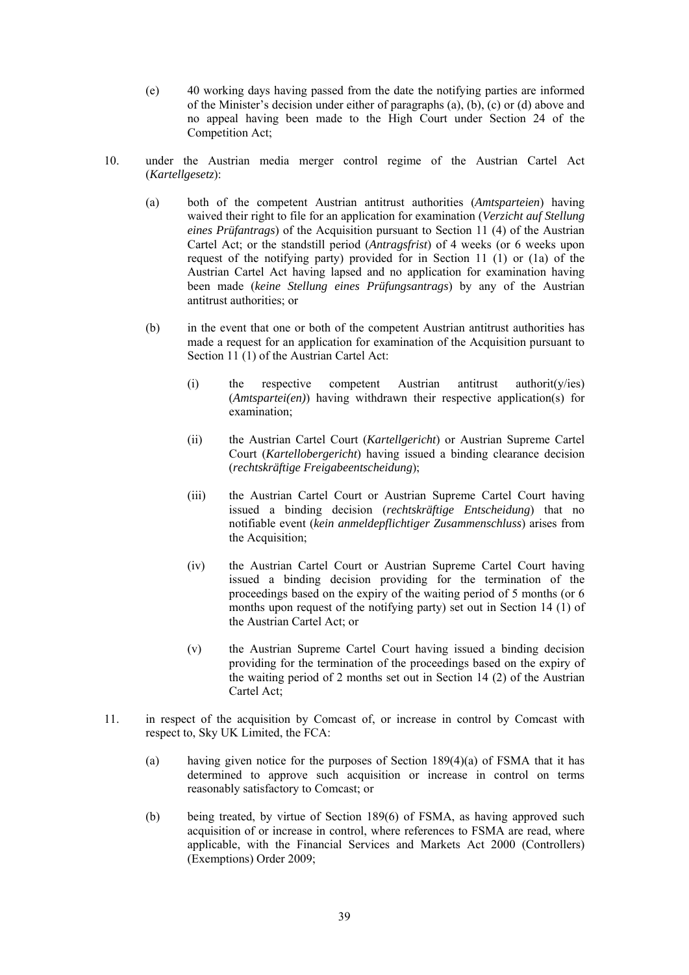- (e) 40 working days having passed from the date the notifying parties are informed of the Minister's decision under either of paragraphs (a), (b), (c) or (d) above and no appeal having been made to the High Court under Section 24 of the Competition Act;
- 10. under the Austrian media merger control regime of the Austrian Cartel Act (*Kartellgesetz*):
	- (a) both of the competent Austrian antitrust authorities (*Amtsparteien*) having waived their right to file for an application for examination (*Verzicht auf Stellung eines Prüfantrags*) of the Acquisition pursuant to Section 11 (4) of the Austrian Cartel Act; or the standstill period (*Antragsfrist*) of 4 weeks (or 6 weeks upon request of the notifying party) provided for in Section 11 (1) or (1a) of the Austrian Cartel Act having lapsed and no application for examination having been made (*keine Stellung eines Prüfungsantrags*) by any of the Austrian antitrust authorities; or
	- (b) in the event that one or both of the competent Austrian antitrust authorities has made a request for an application for examination of the Acquisition pursuant to Section 11 (1) of the Austrian Cartel Act:
		- (i) the respective competent Austrian antitrust authorit(y/ies) (*Amtspartei(en)*) having withdrawn their respective application(s) for examination;
		- (ii) the Austrian Cartel Court (*Kartellgericht*) or Austrian Supreme Cartel Court (*Kartellobergericht*) having issued a binding clearance decision (*rechtskräftige Freigabeentscheidung*);
		- (iii) the Austrian Cartel Court or Austrian Supreme Cartel Court having issued a binding decision (*rechtskräftige Entscheidung*) that no notifiable event (*kein anmeldepflichtiger Zusammenschluss*) arises from the Acquisition;
		- (iv) the Austrian Cartel Court or Austrian Supreme Cartel Court having issued a binding decision providing for the termination of the proceedings based on the expiry of the waiting period of 5 months (or 6 months upon request of the notifying party) set out in Section 14 (1) of the Austrian Cartel Act; or
		- (v) the Austrian Supreme Cartel Court having issued a binding decision providing for the termination of the proceedings based on the expiry of the waiting period of 2 months set out in Section 14 (2) of the Austrian Cartel Act;
- 11. in respect of the acquisition by Comcast of, or increase in control by Comcast with respect to, Sky UK Limited, the FCA:
	- (a) having given notice for the purposes of Section 189(4)(a) of FSMA that it has determined to approve such acquisition or increase in control on terms reasonably satisfactory to Comcast; or
	- (b) being treated, by virtue of Section 189(6) of FSMA, as having approved such acquisition of or increase in control, where references to FSMA are read, where applicable, with the Financial Services and Markets Act 2000 (Controllers) (Exemptions) Order 2009;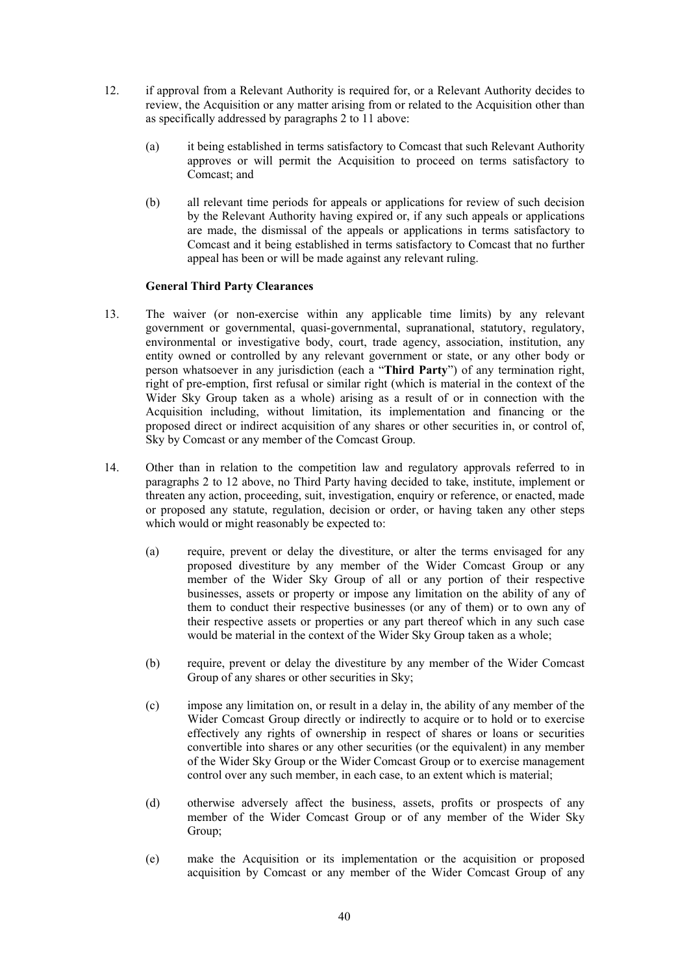- 12. if approval from a Relevant Authority is required for, or a Relevant Authority decides to review, the Acquisition or any matter arising from or related to the Acquisition other than as specifically addressed by paragraphs 2 to 11 above:
	- (a) it being established in terms satisfactory to Comcast that such Relevant Authority approves or will permit the Acquisition to proceed on terms satisfactory to Comcast; and
	- (b) all relevant time periods for appeals or applications for review of such decision by the Relevant Authority having expired or, if any such appeals or applications are made, the dismissal of the appeals or applications in terms satisfactory to Comcast and it being established in terms satisfactory to Comcast that no further appeal has been or will be made against any relevant ruling.

## **General Third Party Clearances**

- 13. The waiver (or non-exercise within any applicable time limits) by any relevant government or governmental, quasi-governmental, supranational, statutory, regulatory, environmental or investigative body, court, trade agency, association, institution, any entity owned or controlled by any relevant government or state, or any other body or person whatsoever in any jurisdiction (each a "**Third Party**") of any termination right, right of pre-emption, first refusal or similar right (which is material in the context of the Wider Sky Group taken as a whole) arising as a result of or in connection with the Acquisition including, without limitation, its implementation and financing or the proposed direct or indirect acquisition of any shares or other securities in, or control of, Sky by Comcast or any member of the Comcast Group.
- 14. Other than in relation to the competition law and regulatory approvals referred to in paragraphs 2 to 12 above, no Third Party having decided to take, institute, implement or threaten any action, proceeding, suit, investigation, enquiry or reference, or enacted, made or proposed any statute, regulation, decision or order, or having taken any other steps which would or might reasonably be expected to:
	- (a) require, prevent or delay the divestiture, or alter the terms envisaged for any proposed divestiture by any member of the Wider Comcast Group or any member of the Wider Sky Group of all or any portion of their respective businesses, assets or property or impose any limitation on the ability of any of them to conduct their respective businesses (or any of them) or to own any of their respective assets or properties or any part thereof which in any such case would be material in the context of the Wider Sky Group taken as a whole;
	- (b) require, prevent or delay the divestiture by any member of the Wider Comcast Group of any shares or other securities in Sky;
	- (c) impose any limitation on, or result in a delay in, the ability of any member of the Wider Comcast Group directly or indirectly to acquire or to hold or to exercise effectively any rights of ownership in respect of shares or loans or securities convertible into shares or any other securities (or the equivalent) in any member of the Wider Sky Group or the Wider Comcast Group or to exercise management control over any such member, in each case, to an extent which is material;
	- (d) otherwise adversely affect the business, assets, profits or prospects of any member of the Wider Comcast Group or of any member of the Wider Sky Group;
	- (e) make the Acquisition or its implementation or the acquisition or proposed acquisition by Comcast or any member of the Wider Comcast Group of any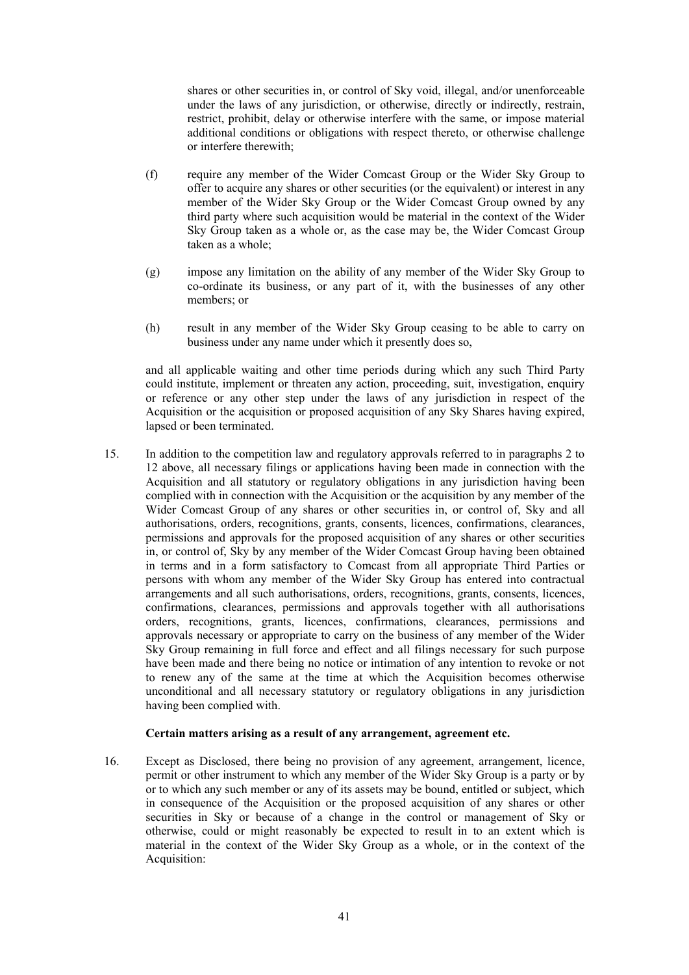shares or other securities in, or control of Sky void, illegal, and/or unenforceable under the laws of any jurisdiction, or otherwise, directly or indirectly, restrain, restrict, prohibit, delay or otherwise interfere with the same, or impose material additional conditions or obligations with respect thereto, or otherwise challenge or interfere therewith;

- (f) require any member of the Wider Comcast Group or the Wider Sky Group to offer to acquire any shares or other securities (or the equivalent) or interest in any member of the Wider Sky Group or the Wider Comcast Group owned by any third party where such acquisition would be material in the context of the Wider Sky Group taken as a whole or, as the case may be, the Wider Comcast Group taken as a whole;
- (g) impose any limitation on the ability of any member of the Wider Sky Group to co-ordinate its business, or any part of it, with the businesses of any other members; or
- (h) result in any member of the Wider Sky Group ceasing to be able to carry on business under any name under which it presently does so,

and all applicable waiting and other time periods during which any such Third Party could institute, implement or threaten any action, proceeding, suit, investigation, enquiry or reference or any other step under the laws of any jurisdiction in respect of the Acquisition or the acquisition or proposed acquisition of any Sky Shares having expired, lapsed or been terminated.

15. In addition to the competition law and regulatory approvals referred to in paragraphs 2 to 12 above, all necessary filings or applications having been made in connection with the Acquisition and all statutory or regulatory obligations in any jurisdiction having been complied with in connection with the Acquisition or the acquisition by any member of the Wider Comcast Group of any shares or other securities in, or control of, Sky and all authorisations, orders, recognitions, grants, consents, licences, confirmations, clearances, permissions and approvals for the proposed acquisition of any shares or other securities in, or control of, Sky by any member of the Wider Comcast Group having been obtained in terms and in a form satisfactory to Comcast from all appropriate Third Parties or persons with whom any member of the Wider Sky Group has entered into contractual arrangements and all such authorisations, orders, recognitions, grants, consents, licences, confirmations, clearances, permissions and approvals together with all authorisations orders, recognitions, grants, licences, confirmations, clearances, permissions and approvals necessary or appropriate to carry on the business of any member of the Wider Sky Group remaining in full force and effect and all filings necessary for such purpose have been made and there being no notice or intimation of any intention to revoke or not to renew any of the same at the time at which the Acquisition becomes otherwise unconditional and all necessary statutory or regulatory obligations in any jurisdiction having been complied with.

## **Certain matters arising as a result of any arrangement, agreement etc.**

16. Except as Disclosed, there being no provision of any agreement, arrangement, licence, permit or other instrument to which any member of the Wider Sky Group is a party or by or to which any such member or any of its assets may be bound, entitled or subject, which in consequence of the Acquisition or the proposed acquisition of any shares or other securities in Sky or because of a change in the control or management of Sky or otherwise, could or might reasonably be expected to result in to an extent which is material in the context of the Wider Sky Group as a whole, or in the context of the Acquisition: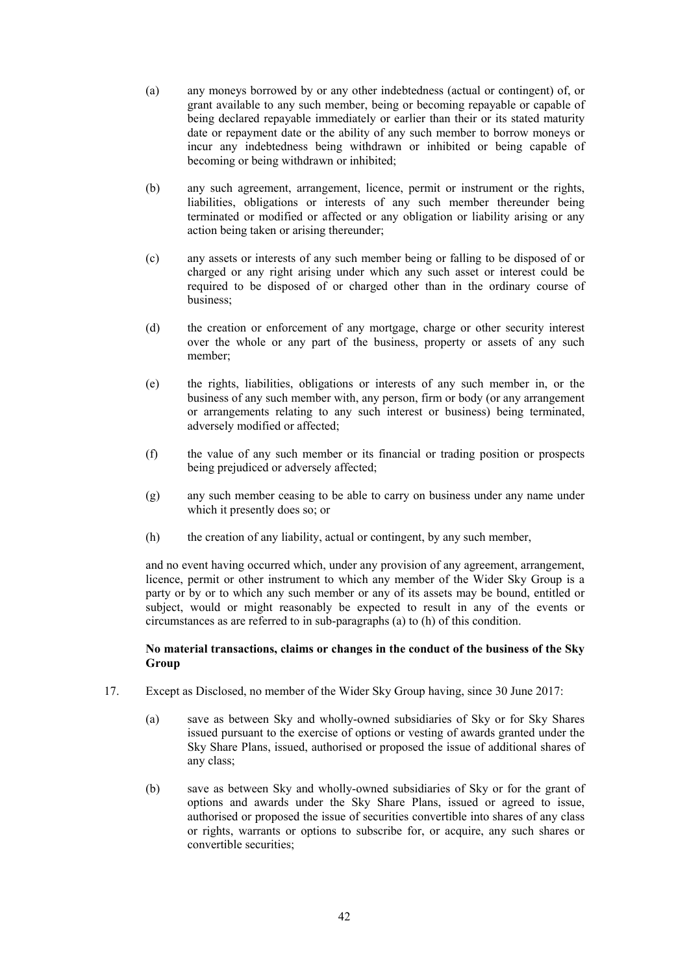- (a) any moneys borrowed by or any other indebtedness (actual or contingent) of, or grant available to any such member, being or becoming repayable or capable of being declared repayable immediately or earlier than their or its stated maturity date or repayment date or the ability of any such member to borrow moneys or incur any indebtedness being withdrawn or inhibited or being capable of becoming or being withdrawn or inhibited;
- (b) any such agreement, arrangement, licence, permit or instrument or the rights, liabilities, obligations or interests of any such member thereunder being terminated or modified or affected or any obligation or liability arising or any action being taken or arising thereunder;
- (c) any assets or interests of any such member being or falling to be disposed of or charged or any right arising under which any such asset or interest could be required to be disposed of or charged other than in the ordinary course of business;
- (d) the creation or enforcement of any mortgage, charge or other security interest over the whole or any part of the business, property or assets of any such member;
- (e) the rights, liabilities, obligations or interests of any such member in, or the business of any such member with, any person, firm or body (or any arrangement or arrangements relating to any such interest or business) being terminated, adversely modified or affected;
- (f) the value of any such member or its financial or trading position or prospects being prejudiced or adversely affected;
- (g) any such member ceasing to be able to carry on business under any name under which it presently does so; or
- (h) the creation of any liability, actual or contingent, by any such member,

and no event having occurred which, under any provision of any agreement, arrangement, licence, permit or other instrument to which any member of the Wider Sky Group is a party or by or to which any such member or any of its assets may be bound, entitled or subject, would or might reasonably be expected to result in any of the events or circumstances as are referred to in sub-paragraphs (a) to (h) of this condition.

## **No material transactions, claims or changes in the conduct of the business of the Sky Group**

- 17. Except as Disclosed, no member of the Wider Sky Group having, since 30 June 2017:
	- (a) save as between Sky and wholly-owned subsidiaries of Sky or for Sky Shares issued pursuant to the exercise of options or vesting of awards granted under the Sky Share Plans, issued, authorised or proposed the issue of additional shares of any class;
	- (b) save as between Sky and wholly-owned subsidiaries of Sky or for the grant of options and awards under the Sky Share Plans, issued or agreed to issue, authorised or proposed the issue of securities convertible into shares of any class or rights, warrants or options to subscribe for, or acquire, any such shares or convertible securities;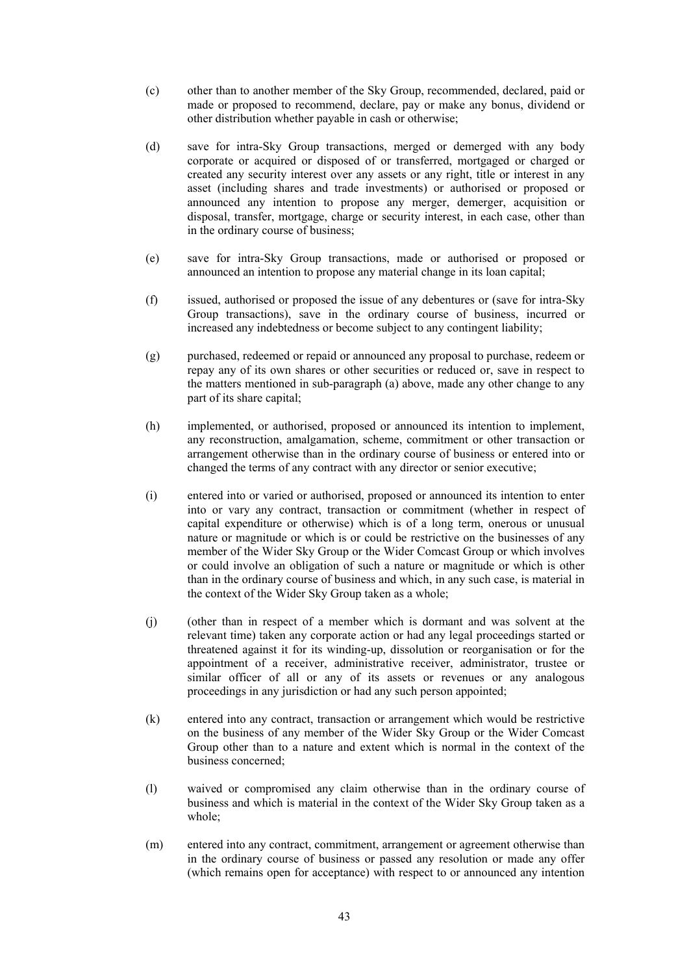- (c) other than to another member of the Sky Group, recommended, declared, paid or made or proposed to recommend, declare, pay or make any bonus, dividend or other distribution whether payable in cash or otherwise;
- (d) save for intra-Sky Group transactions, merged or demerged with any body corporate or acquired or disposed of or transferred, mortgaged or charged or created any security interest over any assets or any right, title or interest in any asset (including shares and trade investments) or authorised or proposed or announced any intention to propose any merger, demerger, acquisition or disposal, transfer, mortgage, charge or security interest, in each case, other than in the ordinary course of business;
- (e) save for intra-Sky Group transactions, made or authorised or proposed or announced an intention to propose any material change in its loan capital;
- (f) issued, authorised or proposed the issue of any debentures or (save for intra-Sky Group transactions), save in the ordinary course of business, incurred or increased any indebtedness or become subject to any contingent liability;
- (g) purchased, redeemed or repaid or announced any proposal to purchase, redeem or repay any of its own shares or other securities or reduced or, save in respect to the matters mentioned in sub-paragraph (a) above, made any other change to any part of its share capital;
- (h) implemented, or authorised, proposed or announced its intention to implement, any reconstruction, amalgamation, scheme, commitment or other transaction or arrangement otherwise than in the ordinary course of business or entered into or changed the terms of any contract with any director or senior executive;
- (i) entered into or varied or authorised, proposed or announced its intention to enter into or vary any contract, transaction or commitment (whether in respect of capital expenditure or otherwise) which is of a long term, onerous or unusual nature or magnitude or which is or could be restrictive on the businesses of any member of the Wider Sky Group or the Wider Comcast Group or which involves or could involve an obligation of such a nature or magnitude or which is other than in the ordinary course of business and which, in any such case, is material in the context of the Wider Sky Group taken as a whole;
- (j) (other than in respect of a member which is dormant and was solvent at the relevant time) taken any corporate action or had any legal proceedings started or threatened against it for its winding-up, dissolution or reorganisation or for the appointment of a receiver, administrative receiver, administrator, trustee or similar officer of all or any of its assets or revenues or any analogous proceedings in any jurisdiction or had any such person appointed;
- (k) entered into any contract, transaction or arrangement which would be restrictive on the business of any member of the Wider Sky Group or the Wider Comcast Group other than to a nature and extent which is normal in the context of the business concerned;
- (l) waived or compromised any claim otherwise than in the ordinary course of business and which is material in the context of the Wider Sky Group taken as a whole;
- (m) entered into any contract, commitment, arrangement or agreement otherwise than in the ordinary course of business or passed any resolution or made any offer (which remains open for acceptance) with respect to or announced any intention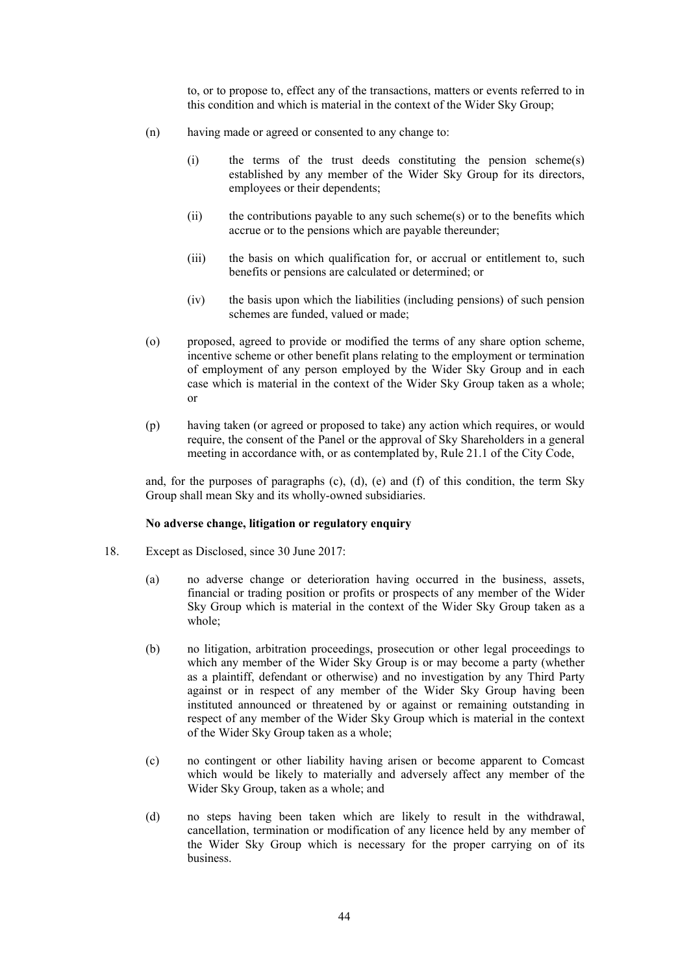to, or to propose to, effect any of the transactions, matters or events referred to in this condition and which is material in the context of the Wider Sky Group;

- (n) having made or agreed or consented to any change to:
	- (i) the terms of the trust deeds constituting the pension scheme(s) established by any member of the Wider Sky Group for its directors, employees or their dependents;
	- (ii) the contributions payable to any such scheme(s) or to the benefits which accrue or to the pensions which are payable thereunder;
	- (iii) the basis on which qualification for, or accrual or entitlement to, such benefits or pensions are calculated or determined; or
	- (iv) the basis upon which the liabilities (including pensions) of such pension schemes are funded, valued or made;
- (o) proposed, agreed to provide or modified the terms of any share option scheme, incentive scheme or other benefit plans relating to the employment or termination of employment of any person employed by the Wider Sky Group and in each case which is material in the context of the Wider Sky Group taken as a whole; or
- (p) having taken (or agreed or proposed to take) any action which requires, or would require, the consent of the Panel or the approval of Sky Shareholders in a general meeting in accordance with, or as contemplated by, Rule 21.1 of the City Code,

and, for the purposes of paragraphs  $(c)$ ,  $(d)$ ,  $(e)$  and  $(f)$  of this condition, the term Sky Group shall mean Sky and its wholly-owned subsidiaries.

#### **No adverse change, litigation or regulatory enquiry**

- 18. Except as Disclosed, since 30 June 2017:
	- (a) no adverse change or deterioration having occurred in the business, assets, financial or trading position or profits or prospects of any member of the Wider Sky Group which is material in the context of the Wider Sky Group taken as a whole;
	- (b) no litigation, arbitration proceedings, prosecution or other legal proceedings to which any member of the Wider Sky Group is or may become a party (whether as a plaintiff, defendant or otherwise) and no investigation by any Third Party against or in respect of any member of the Wider Sky Group having been instituted announced or threatened by or against or remaining outstanding in respect of any member of the Wider Sky Group which is material in the context of the Wider Sky Group taken as a whole;
	- (c) no contingent or other liability having arisen or become apparent to Comcast which would be likely to materially and adversely affect any member of the Wider Sky Group, taken as a whole; and
	- (d) no steps having been taken which are likely to result in the withdrawal, cancellation, termination or modification of any licence held by any member of the Wider Sky Group which is necessary for the proper carrying on of its business.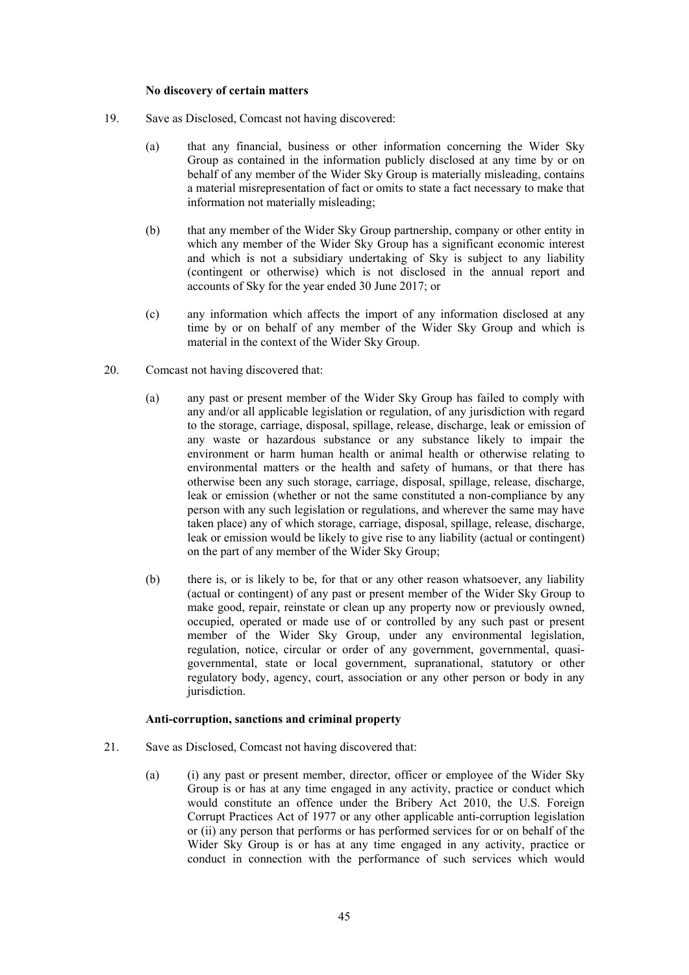#### **No discovery of certain matters**

- 19. Save as Disclosed, Comcast not having discovered:
	- (a) that any financial, business or other information concerning the Wider Sky Group as contained in the information publicly disclosed at any time by or on behalf of any member of the Wider Sky Group is materially misleading, contains a material misrepresentation of fact or omits to state a fact necessary to make that information not materially misleading;
	- (b) that any member of the Wider Sky Group partnership, company or other entity in which any member of the Wider Sky Group has a significant economic interest and which is not a subsidiary undertaking of Sky is subject to any liability (contingent or otherwise) which is not disclosed in the annual report and accounts of Sky for the year ended 30 June 2017; or
	- (c) any information which affects the import of any information disclosed at any time by or on behalf of any member of the Wider Sky Group and which is material in the context of the Wider Sky Group.
- 20. Comcast not having discovered that:
	- (a) any past or present member of the Wider Sky Group has failed to comply with any and/or all applicable legislation or regulation, of any jurisdiction with regard to the storage, carriage, disposal, spillage, release, discharge, leak or emission of any waste or hazardous substance or any substance likely to impair the environment or harm human health or animal health or otherwise relating to environmental matters or the health and safety of humans, or that there has otherwise been any such storage, carriage, disposal, spillage, release, discharge, leak or emission (whether or not the same constituted a non-compliance by any person with any such legislation or regulations, and wherever the same may have taken place) any of which storage, carriage, disposal, spillage, release, discharge, leak or emission would be likely to give rise to any liability (actual or contingent) on the part of any member of the Wider Sky Group;
	- (b) there is, or is likely to be, for that or any other reason whatsoever, any liability (actual or contingent) of any past or present member of the Wider Sky Group to make good, repair, reinstate or clean up any property now or previously owned, occupied, operated or made use of or controlled by any such past or present member of the Wider Sky Group, under any environmental legislation, regulation, notice, circular or order of any government, governmental, quasigovernmental, state or local government, supranational, statutory or other regulatory body, agency, court, association or any other person or body in any jurisdiction.

## **Anti-corruption, sanctions and criminal property**

- 21. Save as Disclosed, Comcast not having discovered that:
	- (a) (i) any past or present member, director, officer or employee of the Wider Sky Group is or has at any time engaged in any activity, practice or conduct which would constitute an offence under the Bribery Act 2010, the U.S. Foreign Corrupt Practices Act of 1977 or any other applicable anti-corruption legislation or (ii) any person that performs or has performed services for or on behalf of the Wider Sky Group is or has at any time engaged in any activity, practice or conduct in connection with the performance of such services which would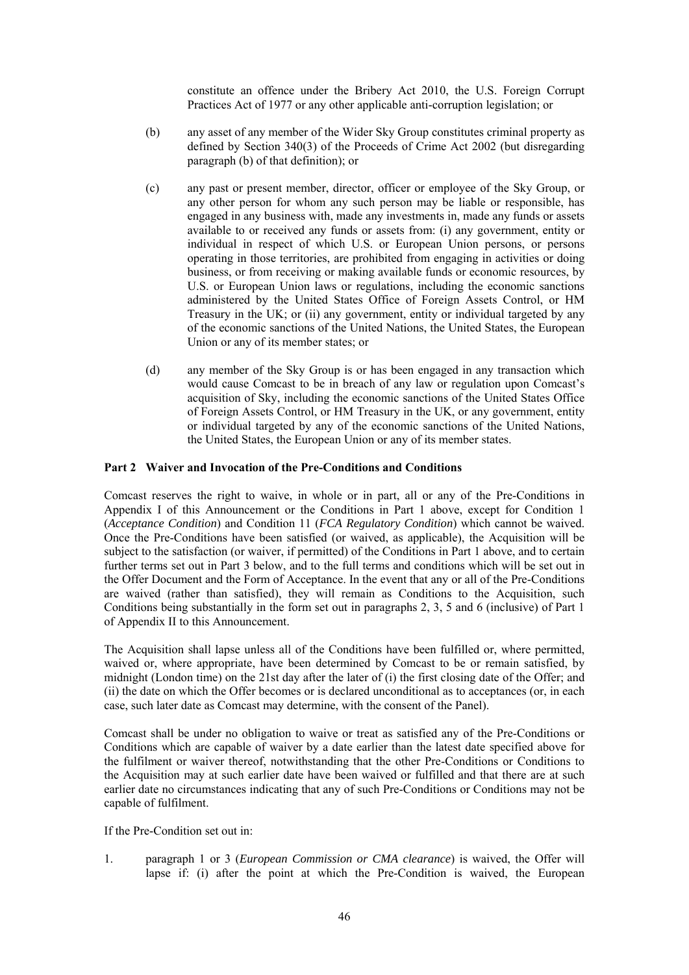constitute an offence under the Bribery Act 2010, the U.S. Foreign Corrupt Practices Act of 1977 or any other applicable anti-corruption legislation; or

- (b) any asset of any member of the Wider Sky Group constitutes criminal property as defined by Section 340(3) of the Proceeds of Crime Act 2002 (but disregarding paragraph (b) of that definition); or
- (c) any past or present member, director, officer or employee of the Sky Group, or any other person for whom any such person may be liable or responsible, has engaged in any business with, made any investments in, made any funds or assets available to or received any funds or assets from: (i) any government, entity or individual in respect of which U.S. or European Union persons, or persons operating in those territories, are prohibited from engaging in activities or doing business, or from receiving or making available funds or economic resources, by U.S. or European Union laws or regulations, including the economic sanctions administered by the United States Office of Foreign Assets Control, or HM Treasury in the UK; or (ii) any government, entity or individual targeted by any of the economic sanctions of the United Nations, the United States, the European Union or any of its member states; or
- (d) any member of the Sky Group is or has been engaged in any transaction which would cause Comcast to be in breach of any law or regulation upon Comcast's acquisition of Sky, including the economic sanctions of the United States Office of Foreign Assets Control, or HM Treasury in the UK, or any government, entity or individual targeted by any of the economic sanctions of the United Nations, the United States, the European Union or any of its member states.

## **Part 2 Waiver and Invocation of the Pre-Conditions and Conditions**

Comcast reserves the right to waive, in whole or in part, all or any of the Pre-Conditions in Appendix I of this Announcement or the Conditions in Part 1 above, except for Condition 1 (*Acceptance Condition*) and Condition 11 (*FCA Regulatory Condition*) which cannot be waived. Once the Pre-Conditions have been satisfied (or waived, as applicable), the Acquisition will be subject to the satisfaction (or waiver, if permitted) of the Conditions in Part 1 above, and to certain further terms set out in Part 3 below, and to the full terms and conditions which will be set out in the Offer Document and the Form of Acceptance. In the event that any or all of the Pre-Conditions are waived (rather than satisfied), they will remain as Conditions to the Acquisition, such Conditions being substantially in the form set out in paragraphs 2, 3, 5 and 6 (inclusive) of Part 1 of Appendix II to this Announcement.

The Acquisition shall lapse unless all of the Conditions have been fulfilled or, where permitted, waived or, where appropriate, have been determined by Comcast to be or remain satisfied, by midnight (London time) on the 21st day after the later of (i) the first closing date of the Offer; and (ii) the date on which the Offer becomes or is declared unconditional as to acceptances (or, in each case, such later date as Comcast may determine, with the consent of the Panel).

Comcast shall be under no obligation to waive or treat as satisfied any of the Pre-Conditions or Conditions which are capable of waiver by a date earlier than the latest date specified above for the fulfilment or waiver thereof, notwithstanding that the other Pre-Conditions or Conditions to the Acquisition may at such earlier date have been waived or fulfilled and that there are at such earlier date no circumstances indicating that any of such Pre-Conditions or Conditions may not be capable of fulfilment.

If the Pre-Condition set out in:

1. paragraph 1 or 3 (*European Commission or CMA clearance*) is waived, the Offer will lapse if: (i) after the point at which the Pre-Condition is waived, the European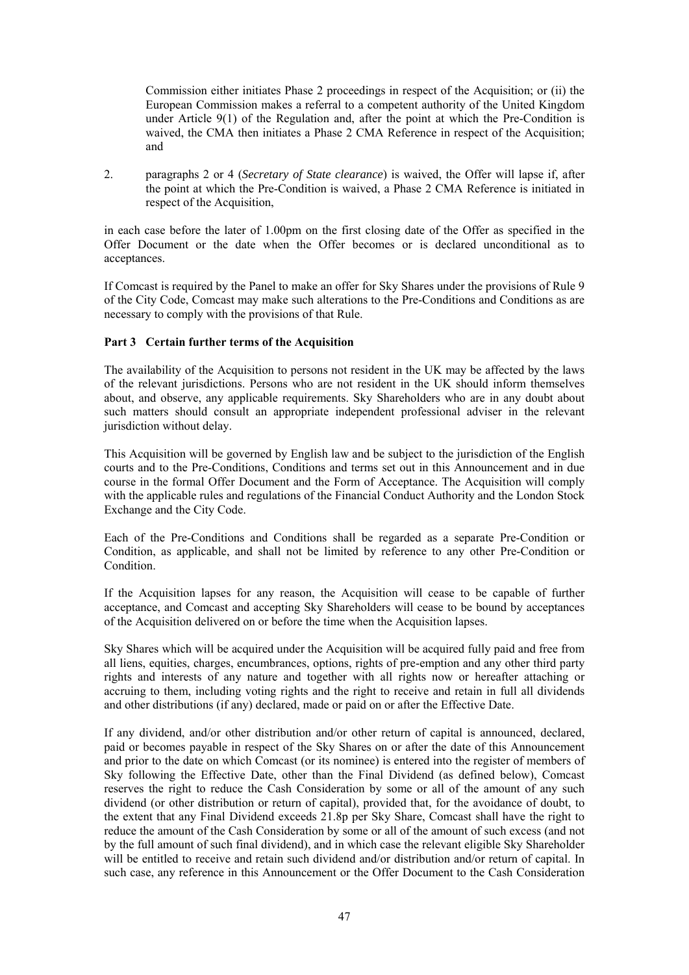Commission either initiates Phase 2 proceedings in respect of the Acquisition; or (ii) the European Commission makes a referral to a competent authority of the United Kingdom under Article 9(1) of the Regulation and, after the point at which the Pre-Condition is waived, the CMA then initiates a Phase 2 CMA Reference in respect of the Acquisition; and

2. paragraphs 2 or 4 (*Secretary of State clearance*) is waived, the Offer will lapse if, after the point at which the Pre-Condition is waived, a Phase 2 CMA Reference is initiated in respect of the Acquisition,

in each case before the later of 1.00pm on the first closing date of the Offer as specified in the Offer Document or the date when the Offer becomes or is declared unconditional as to acceptances.

If Comcast is required by the Panel to make an offer for Sky Shares under the provisions of Rule 9 of the City Code, Comcast may make such alterations to the Pre-Conditions and Conditions as are necessary to comply with the provisions of that Rule.

# **Part 3 Certain further terms of the Acquisition**

The availability of the Acquisition to persons not resident in the UK may be affected by the laws of the relevant jurisdictions. Persons who are not resident in the UK should inform themselves about, and observe, any applicable requirements. Sky Shareholders who are in any doubt about such matters should consult an appropriate independent professional adviser in the relevant jurisdiction without delay.

This Acquisition will be governed by English law and be subject to the jurisdiction of the English courts and to the Pre-Conditions, Conditions and terms set out in this Announcement and in due course in the formal Offer Document and the Form of Acceptance. The Acquisition will comply with the applicable rules and regulations of the Financial Conduct Authority and the London Stock Exchange and the City Code.

Each of the Pre-Conditions and Conditions shall be regarded as a separate Pre-Condition or Condition, as applicable, and shall not be limited by reference to any other Pre-Condition or Condition.

If the Acquisition lapses for any reason, the Acquisition will cease to be capable of further acceptance, and Comcast and accepting Sky Shareholders will cease to be bound by acceptances of the Acquisition delivered on or before the time when the Acquisition lapses.

Sky Shares which will be acquired under the Acquisition will be acquired fully paid and free from all liens, equities, charges, encumbrances, options, rights of pre-emption and any other third party rights and interests of any nature and together with all rights now or hereafter attaching or accruing to them, including voting rights and the right to receive and retain in full all dividends and other distributions (if any) declared, made or paid on or after the Effective Date.

If any dividend, and/or other distribution and/or other return of capital is announced, declared, paid or becomes payable in respect of the Sky Shares on or after the date of this Announcement and prior to the date on which Comcast (or its nominee) is entered into the register of members of Sky following the Effective Date, other than the Final Dividend (as defined below), Comcast reserves the right to reduce the Cash Consideration by some or all of the amount of any such dividend (or other distribution or return of capital), provided that, for the avoidance of doubt, to the extent that any Final Dividend exceeds 21.8p per Sky Share, Comcast shall have the right to reduce the amount of the Cash Consideration by some or all of the amount of such excess (and not by the full amount of such final dividend), and in which case the relevant eligible Sky Shareholder will be entitled to receive and retain such dividend and/or distribution and/or return of capital. In such case, any reference in this Announcement or the Offer Document to the Cash Consideration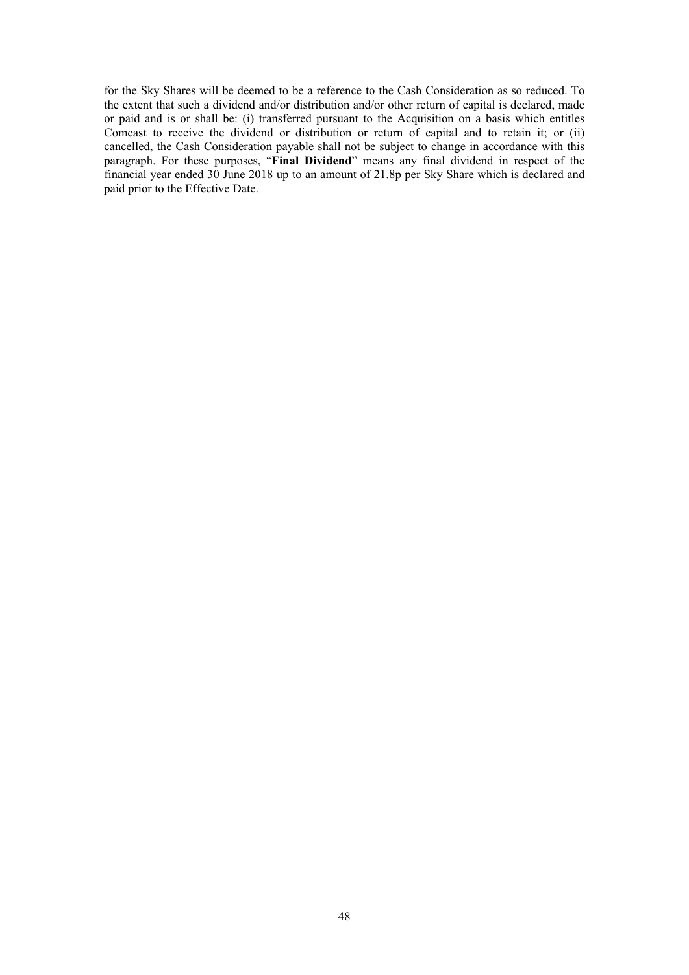for the Sky Shares will be deemed to be a reference to the Cash Consideration as so reduced. To the extent that such a dividend and/or distribution and/or other return of capital is declared, made or paid and is or shall be: (i) transferred pursuant to the Acquisition on a basis which entitles Comcast to receive the dividend or distribution or return of capital and to retain it; or (ii) cancelled, the Cash Consideration payable shall not be subject to change in accordance with this paragraph. For these purposes, "**Final Dividend**" means any final dividend in respect of the financial year ended 30 June 2018 up to an amount of 21.8p per Sky Share which is declared and paid prior to the Effective Date.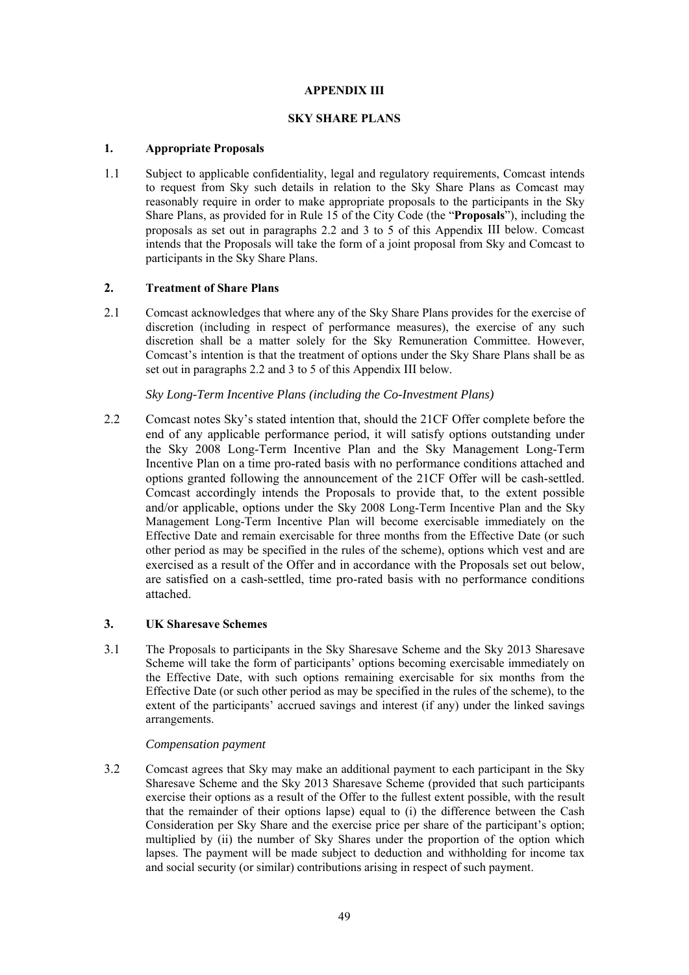# **APPENDIX III**

# **SKY SHARE PLANS**

# **1. Appropriate Proposals**

1.1 Subject to applicable confidentiality, legal and regulatory requirements, Comcast intends to request from Sky such details in relation to the Sky Share Plans as Comcast may reasonably require in order to make appropriate proposals to the participants in the Sky Share Plans, as provided for in Rule 15 of the City Code (the "**Proposals**"), including the proposals as set out in paragraphs 2.2 and 3 to 5 of this Appendix III below. Comcast intends that the Proposals will take the form of a joint proposal from Sky and Comcast to participants in the Sky Share Plans.

## **2. Treatment of Share Plans**

2.1 Comcast acknowledges that where any of the Sky Share Plans provides for the exercise of discretion (including in respect of performance measures), the exercise of any such discretion shall be a matter solely for the Sky Remuneration Committee. However, Comcast's intention is that the treatment of options under the Sky Share Plans shall be as set out in paragraphs 2.2 and 3 to 5 of this Appendix III below.

*Sky Long-Term Incentive Plans (including the Co-Investment Plans)* 

2.2 Comcast notes Sky's stated intention that, should the 21CF Offer complete before the end of any applicable performance period, it will satisfy options outstanding under the Sky 2008 Long-Term Incentive Plan and the Sky Management Long-Term Incentive Plan on a time pro-rated basis with no performance conditions attached and options granted following the announcement of the 21CF Offer will be cash-settled. Comcast accordingly intends the Proposals to provide that, to the extent possible and/or applicable, options under the Sky 2008 Long-Term Incentive Plan and the Sky Management Long-Term Incentive Plan will become exercisable immediately on the Effective Date and remain exercisable for three months from the Effective Date (or such other period as may be specified in the rules of the scheme), options which vest and are exercised as a result of the Offer and in accordance with the Proposals set out below, are satisfied on a cash-settled, time pro-rated basis with no performance conditions attached.

## **3. UK Sharesave Schemes**

3.1 The Proposals to participants in the Sky Sharesave Scheme and the Sky 2013 Sharesave Scheme will take the form of participants' options becoming exercisable immediately on the Effective Date, with such options remaining exercisable for six months from the Effective Date (or such other period as may be specified in the rules of the scheme), to the extent of the participants' accrued savings and interest (if any) under the linked savings arrangements.

## *Compensation payment*

3.2 Comcast agrees that Sky may make an additional payment to each participant in the Sky Sharesave Scheme and the Sky 2013 Sharesave Scheme (provided that such participants exercise their options as a result of the Offer to the fullest extent possible, with the result that the remainder of their options lapse) equal to (i) the difference between the Cash Consideration per Sky Share and the exercise price per share of the participant's option; multiplied by (ii) the number of Sky Shares under the proportion of the option which lapses. The payment will be made subject to deduction and withholding for income tax and social security (or similar) contributions arising in respect of such payment.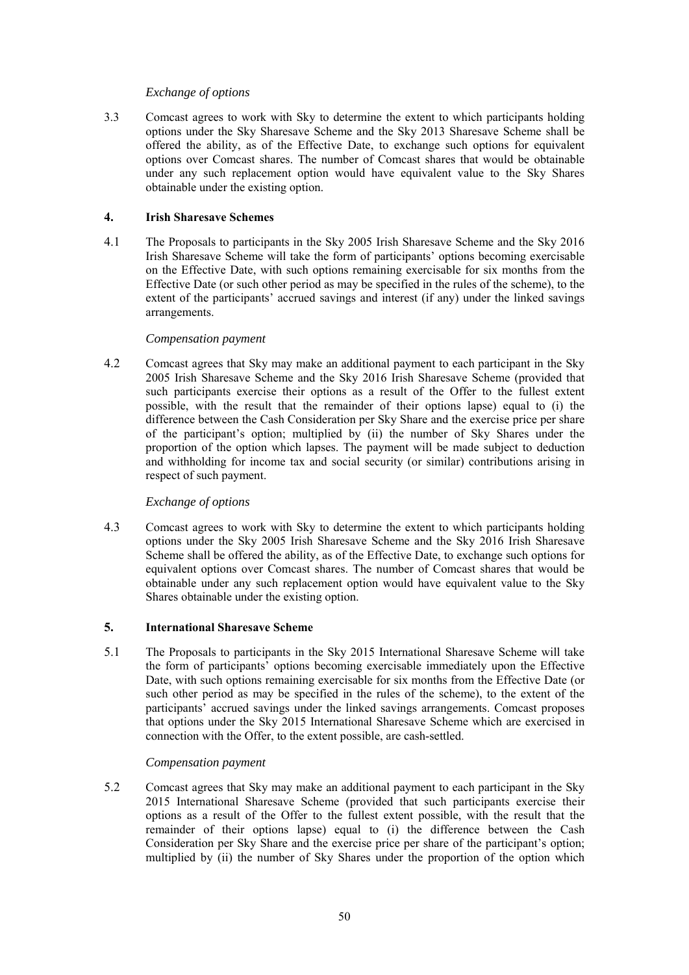# *Exchange of options*

3.3 Comcast agrees to work with Sky to determine the extent to which participants holding options under the Sky Sharesave Scheme and the Sky 2013 Sharesave Scheme shall be offered the ability, as of the Effective Date, to exchange such options for equivalent options over Comcast shares. The number of Comcast shares that would be obtainable under any such replacement option would have equivalent value to the Sky Shares obtainable under the existing option.

## **4. Irish Sharesave Schemes**

4.1 The Proposals to participants in the Sky 2005 Irish Sharesave Scheme and the Sky 2016 Irish Sharesave Scheme will take the form of participants' options becoming exercisable on the Effective Date, with such options remaining exercisable for six months from the Effective Date (or such other period as may be specified in the rules of the scheme), to the extent of the participants' accrued savings and interest (if any) under the linked savings arrangements.

## *Compensation payment*

4.2 Comcast agrees that Sky may make an additional payment to each participant in the Sky 2005 Irish Sharesave Scheme and the Sky 2016 Irish Sharesave Scheme (provided that such participants exercise their options as a result of the Offer to the fullest extent possible, with the result that the remainder of their options lapse) equal to (i) the difference between the Cash Consideration per Sky Share and the exercise price per share of the participant's option; multiplied by (ii) the number of Sky Shares under the proportion of the option which lapses. The payment will be made subject to deduction and withholding for income tax and social security (or similar) contributions arising in respect of such payment.

# *Exchange of options*

4.3 Comcast agrees to work with Sky to determine the extent to which participants holding options under the Sky 2005 Irish Sharesave Scheme and the Sky 2016 Irish Sharesave Scheme shall be offered the ability, as of the Effective Date, to exchange such options for equivalent options over Comcast shares. The number of Comcast shares that would be obtainable under any such replacement option would have equivalent value to the Sky Shares obtainable under the existing option.

## **5. International Sharesave Scheme**

5.1 The Proposals to participants in the Sky 2015 International Sharesave Scheme will take the form of participants' options becoming exercisable immediately upon the Effective Date, with such options remaining exercisable for six months from the Effective Date (or such other period as may be specified in the rules of the scheme), to the extent of the participants' accrued savings under the linked savings arrangements. Comcast proposes that options under the Sky 2015 International Sharesave Scheme which are exercised in connection with the Offer, to the extent possible, are cash-settled.

# *Compensation payment*

5.2 Comcast agrees that Sky may make an additional payment to each participant in the Sky 2015 International Sharesave Scheme (provided that such participants exercise their options as a result of the Offer to the fullest extent possible, with the result that the remainder of their options lapse) equal to (i) the difference between the Cash Consideration per Sky Share and the exercise price per share of the participant's option; multiplied by (ii) the number of Sky Shares under the proportion of the option which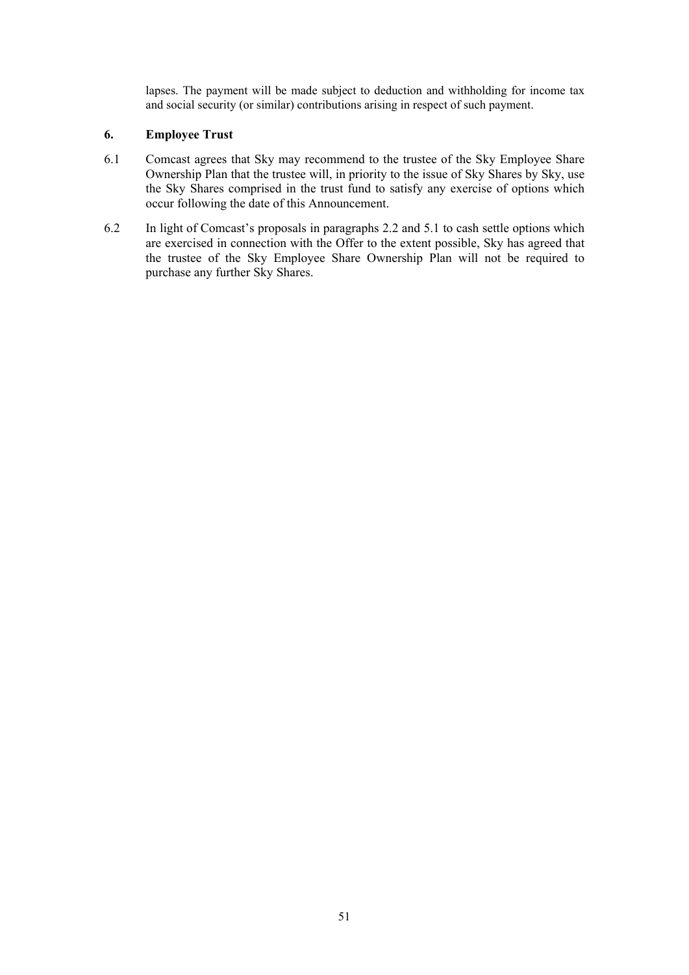lapses. The payment will be made subject to deduction and withholding for income tax and social security (or similar) contributions arising in respect of such payment.

# **6. Employee Trust**

- 6.1 Comcast agrees that Sky may recommend to the trustee of the Sky Employee Share Ownership Plan that the trustee will, in priority to the issue of Sky Shares by Sky, use the Sky Shares comprised in the trust fund to satisfy any exercise of options which occur following the date of this Announcement.
- 6.2 In light of Comcast's proposals in paragraphs 2.2 and 5.1 to cash settle options which are exercised in connection with the Offer to the extent possible, Sky has agreed that the trustee of the Sky Employee Share Ownership Plan will not be required to purchase any further Sky Shares.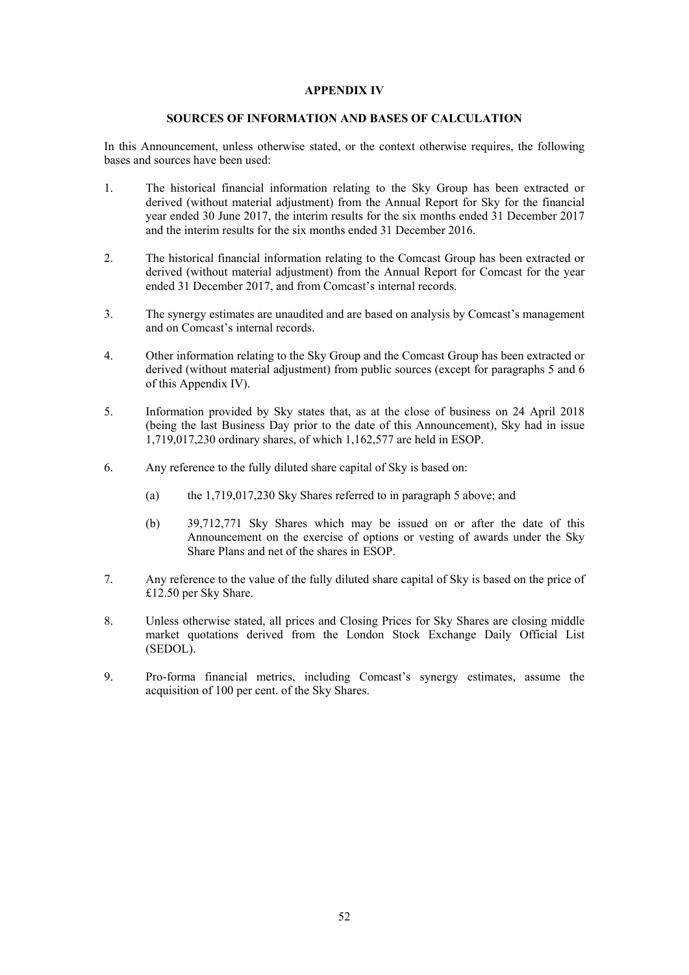## **APPENDIX IV**

## **SOURCES OF INFORMATION AND BASES OF CALCULATION**

In this Announcement, unless otherwise stated, or the context otherwise requires, the following bases and sources have been used:

- 1. The historical financial information relating to the Sky Group has been extracted or derived (without material adjustment) from the Annual Report for Sky for the financial year ended 30 June 2017, the interim results for the six months ended 31 December 2017 and the interim results for the six months ended 31 December 2016.
- 2. The historical financial information relating to the Comcast Group has been extracted or derived (without material adjustment) from the Annual Report for Comcast for the year ended 31 December 2017, and from Comcast's internal records.
- 3. The synergy estimates are unaudited and are based on analysis by Comcast's management and on Comcast's internal records.
- 4. Other information relating to the Sky Group and the Comcast Group has been extracted or derived (without material adjustment) from public sources (except for paragraphs 5 and 6 of this Appendix IV).
- 5. Information provided by Sky states that, as at the close of business on 24 April 2018 (being the last Business Day prior to the date of this Announcement), Sky had in issue 1,719,017,230 ordinary shares, of which 1,162,577 are held in ESOP.
- 6. Any reference to the fully diluted share capital of Sky is based on:
	- (a) the 1,719,017,230 Sky Shares referred to in paragraph 5 above; and
	- (b) 39,712,771 Sky Shares which may be issued on or after the date of this Announcement on the exercise of options or vesting of awards under the Sky Share Plans and net of the shares in ESOP.
- 7. Any reference to the value of the fully diluted share capital of Sky is based on the price of £12.50 per Sky Share.
- 8. Unless otherwise stated, all prices and Closing Prices for Sky Shares are closing middle market quotations derived from the London Stock Exchange Daily Official List (SEDOL).
- 9. Pro-forma financial metrics, including Comcast's synergy estimates, assume the acquisition of 100 per cent. of the Sky Shares.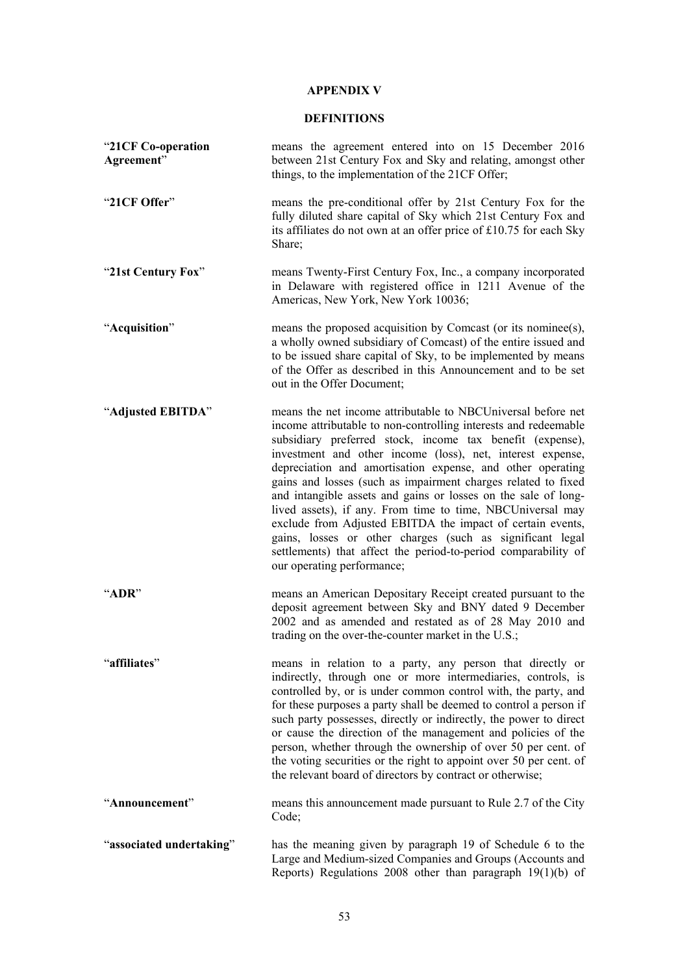# **APPENDIX V**

# **DEFINITIONS**

| "21CF Co-operation<br>Agreement" | means the agreement entered into on 15 December 2016<br>between 21st Century Fox and Sky and relating, amongst other<br>things, to the implementation of the 21CF Offer;                                                                                                                                                                                                                                                                                                                                                                                                                                                                                                                                                                              |
|----------------------------------|-------------------------------------------------------------------------------------------------------------------------------------------------------------------------------------------------------------------------------------------------------------------------------------------------------------------------------------------------------------------------------------------------------------------------------------------------------------------------------------------------------------------------------------------------------------------------------------------------------------------------------------------------------------------------------------------------------------------------------------------------------|
| "21CF Offer"                     | means the pre-conditional offer by 21st Century Fox for the<br>fully diluted share capital of Sky which 21st Century Fox and<br>its affiliates do not own at an offer price of £10.75 for each Sky<br>Share;                                                                                                                                                                                                                                                                                                                                                                                                                                                                                                                                          |
| "21st Century Fox"               | means Twenty-First Century Fox, Inc., a company incorporated<br>in Delaware with registered office in 1211 Avenue of the<br>Americas, New York, New York 10036;                                                                                                                                                                                                                                                                                                                                                                                                                                                                                                                                                                                       |
| "Acquisition"                    | means the proposed acquisition by Comcast (or its nominee(s),<br>a wholly owned subsidiary of Comcast) of the entire issued and<br>to be issued share capital of Sky, to be implemented by means<br>of the Offer as described in this Announcement and to be set<br>out in the Offer Document;                                                                                                                                                                                                                                                                                                                                                                                                                                                        |
| "Adjusted EBITDA"                | means the net income attributable to NBCU niversal before net<br>income attributable to non-controlling interests and redeemable<br>subsidiary preferred stock, income tax benefit (expense),<br>investment and other income (loss), net, interest expense,<br>depreciation and amortisation expense, and other operating<br>gains and losses (such as impairment charges related to fixed<br>and intangible assets and gains or losses on the sale of long-<br>lived assets), if any. From time to time, NBCUniversal may<br>exclude from Adjusted EBITDA the impact of certain events,<br>gains, losses or other charges (such as significant legal<br>settlements) that affect the period-to-period comparability of<br>our operating performance; |
| "ADR"                            | means an American Depositary Receipt created pursuant to the<br>deposit agreement between Sky and BNY dated 9 December<br>2002 and as amended and restated as of 28 May 2010 and<br>trading on the over-the-counter market in the U.S.;                                                                                                                                                                                                                                                                                                                                                                                                                                                                                                               |
| "affiliates"                     | means in relation to a party, any person that directly or<br>indirectly, through one or more intermediaries, controls, is<br>controlled by, or is under common control with, the party, and<br>for these purposes a party shall be deemed to control a person if<br>such party possesses, directly or indirectly, the power to direct<br>or cause the direction of the management and policies of the<br>person, whether through the ownership of over 50 per cent. of<br>the voting securities or the right to appoint over 50 per cent. of<br>the relevant board of directors by contract or otherwise;                                                                                                                                             |
| "Announcement"                   | means this announcement made pursuant to Rule 2.7 of the City<br>Code;                                                                                                                                                                                                                                                                                                                                                                                                                                                                                                                                                                                                                                                                                |
| "associated undertaking"         | has the meaning given by paragraph 19 of Schedule 6 to the<br>Large and Medium-sized Companies and Groups (Accounts and<br>Reports) Regulations 2008 other than paragraph $19(1)(b)$ of                                                                                                                                                                                                                                                                                                                                                                                                                                                                                                                                                               |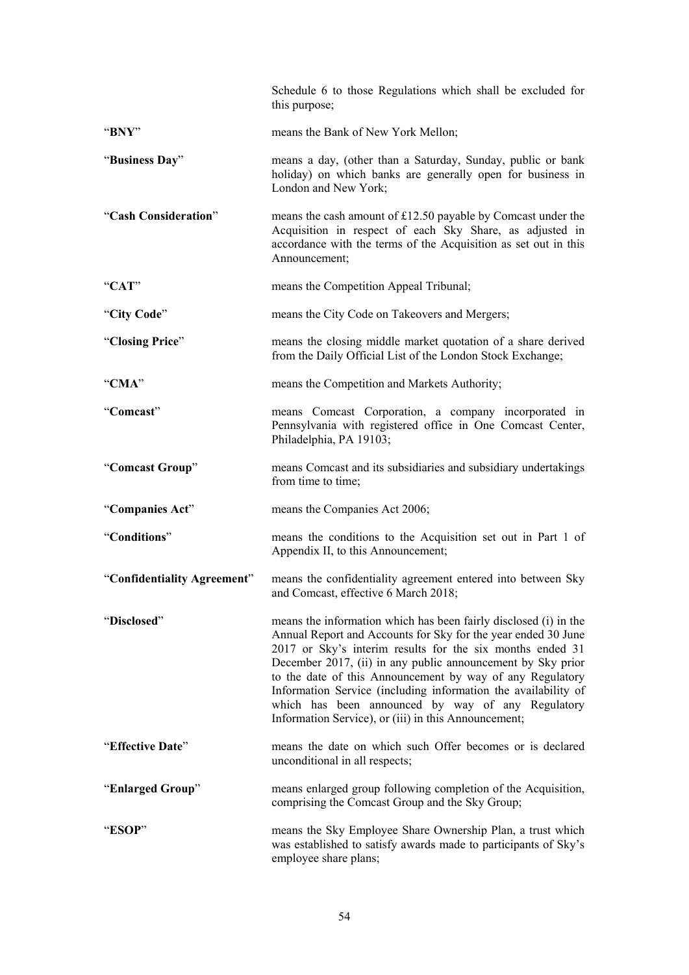|                             | Schedule 6 to those Regulations which shall be excluded for<br>this purpose;                                                                                                                                                                                                                                                                                                                                                                                                                              |
|-----------------------------|-----------------------------------------------------------------------------------------------------------------------------------------------------------------------------------------------------------------------------------------------------------------------------------------------------------------------------------------------------------------------------------------------------------------------------------------------------------------------------------------------------------|
| "BNY"                       | means the Bank of New York Mellon;                                                                                                                                                                                                                                                                                                                                                                                                                                                                        |
| "Business Day"              | means a day, (other than a Saturday, Sunday, public or bank<br>holiday) on which banks are generally open for business in<br>London and New York;                                                                                                                                                                                                                                                                                                                                                         |
| "Cash Consideration"        | means the cash amount of £12.50 payable by Comcast under the<br>Acquisition in respect of each Sky Share, as adjusted in<br>accordance with the terms of the Acquisition as set out in this<br>Announcement;                                                                                                                                                                                                                                                                                              |
| "CAT"                       | means the Competition Appeal Tribunal;                                                                                                                                                                                                                                                                                                                                                                                                                                                                    |
| "City Code"                 | means the City Code on Takeovers and Mergers;                                                                                                                                                                                                                                                                                                                                                                                                                                                             |
| "Closing Price"             | means the closing middle market quotation of a share derived<br>from the Daily Official List of the London Stock Exchange;                                                                                                                                                                                                                                                                                                                                                                                |
| "CMA"                       | means the Competition and Markets Authority;                                                                                                                                                                                                                                                                                                                                                                                                                                                              |
| "Comcast"                   | means Comcast Corporation, a company incorporated in<br>Pennsylvania with registered office in One Comcast Center,<br>Philadelphia, PA 19103;                                                                                                                                                                                                                                                                                                                                                             |
| "Comcast Group"             | means Comcast and its subsidiaries and subsidiary undertakings<br>from time to time;                                                                                                                                                                                                                                                                                                                                                                                                                      |
| "Companies Act"             | means the Companies Act 2006;                                                                                                                                                                                                                                                                                                                                                                                                                                                                             |
| "Conditions"                | means the conditions to the Acquisition set out in Part 1 of<br>Appendix II, to this Announcement;                                                                                                                                                                                                                                                                                                                                                                                                        |
| "Confidentiality Agreement" | means the confidentiality agreement entered into between Sky<br>and Comcast, effective 6 March 2018;                                                                                                                                                                                                                                                                                                                                                                                                      |
| "Disclosed"                 | means the information which has been fairly disclosed (i) in the<br>Annual Report and Accounts for Sky for the year ended 30 June<br>2017 or Sky's interim results for the six months ended 31<br>December 2017, (ii) in any public announcement by Sky prior<br>to the date of this Announcement by way of any Regulatory<br>Information Service (including information the availability of<br>which has been announced by way of any Regulatory<br>Information Service), or (iii) in this Announcement; |
| "Effective Date"            | means the date on which such Offer becomes or is declared<br>unconditional in all respects;                                                                                                                                                                                                                                                                                                                                                                                                               |
| "Enlarged Group"            | means enlarged group following completion of the Acquisition,<br>comprising the Comcast Group and the Sky Group;                                                                                                                                                                                                                                                                                                                                                                                          |
| "ESOP"                      | means the Sky Employee Share Ownership Plan, a trust which<br>was established to satisfy awards made to participants of Sky's<br>employee share plans;                                                                                                                                                                                                                                                                                                                                                    |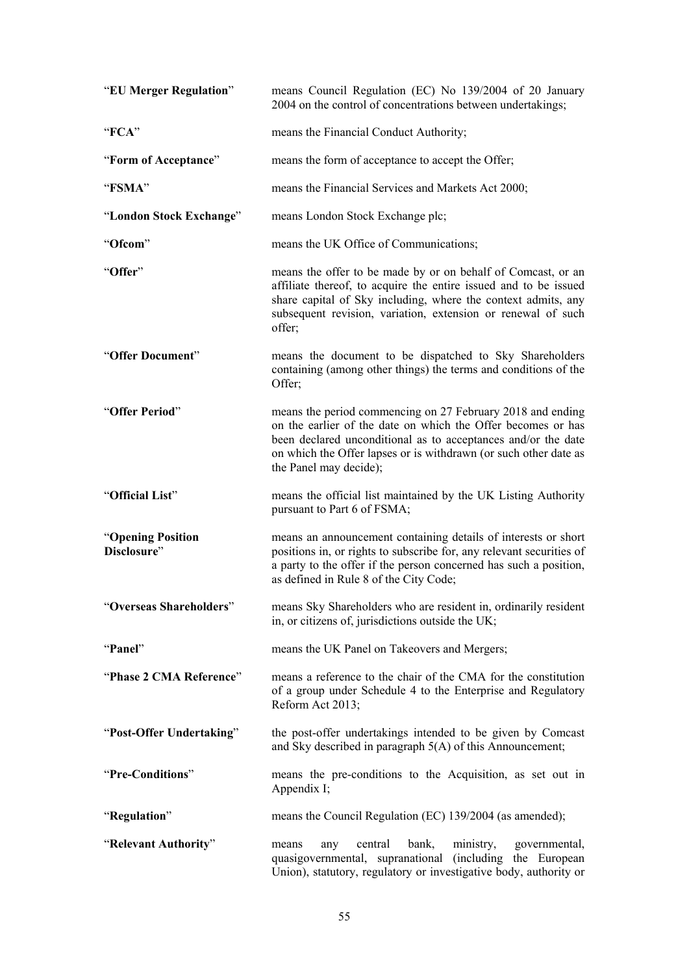| "EU Merger Regulation"           | means Council Regulation (EC) No 139/2004 of 20 January<br>2004 on the control of concentrations between undertakings;                                                                                                                                                                    |
|----------------------------------|-------------------------------------------------------------------------------------------------------------------------------------------------------------------------------------------------------------------------------------------------------------------------------------------|
| "FCA"                            | means the Financial Conduct Authority;                                                                                                                                                                                                                                                    |
| "Form of Acceptance"             | means the form of acceptance to accept the Offer;                                                                                                                                                                                                                                         |
| "FSMA"                           | means the Financial Services and Markets Act 2000;                                                                                                                                                                                                                                        |
| "London Stock Exchange"          | means London Stock Exchange plc;                                                                                                                                                                                                                                                          |
| "Ofcom"                          | means the UK Office of Communications;                                                                                                                                                                                                                                                    |
| "Offer"                          | means the offer to be made by or on behalf of Comcast, or an<br>affiliate thereof, to acquire the entire issued and to be issued<br>share capital of Sky including, where the context admits, any<br>subsequent revision, variation, extension or renewal of such<br>offer;               |
| "Offer Document"                 | means the document to be dispatched to Sky Shareholders<br>containing (among other things) the terms and conditions of the<br>Offer;                                                                                                                                                      |
| "Offer Period"                   | means the period commencing on 27 February 2018 and ending<br>on the earlier of the date on which the Offer becomes or has<br>been declared unconditional as to acceptances and/or the date<br>on which the Offer lapses or is withdrawn (or such other date as<br>the Panel may decide); |
| "Official List"                  | means the official list maintained by the UK Listing Authority<br>pursuant to Part 6 of FSMA;                                                                                                                                                                                             |
| "Opening Position<br>Disclosure" | means an announcement containing details of interests or short<br>positions in, or rights to subscribe for, any relevant securities of<br>a party to the offer if the person concerned has such a position,<br>as defined in Rule 8 of the City Code;                                     |
| "Overseas Shareholders"          | means Sky Shareholders who are resident in, ordinarily resident<br>in, or citizens of, jurisdictions outside the UK;                                                                                                                                                                      |
| "Panel"                          | means the UK Panel on Takeovers and Mergers;                                                                                                                                                                                                                                              |
| "Phase 2 CMA Reference"          | means a reference to the chair of the CMA for the constitution<br>of a group under Schedule 4 to the Enterprise and Regulatory<br>Reform Act 2013;                                                                                                                                        |
| "Post-Offer Undertaking"         | the post-offer undertakings intended to be given by Comcast<br>and Sky described in paragraph 5(A) of this Announcement;                                                                                                                                                                  |
| "Pre-Conditions"                 | means the pre-conditions to the Acquisition, as set out in<br>Appendix I;                                                                                                                                                                                                                 |
| "Regulation"                     | means the Council Regulation (EC) 139/2004 (as amended);                                                                                                                                                                                                                                  |
| "Relevant Authority"             | central<br>bank,<br>ministry,<br>governmental,<br>any<br>means<br>quasigovernmental, supranational (including the European<br>Union), statutory, regulatory or investigative body, authority or                                                                                           |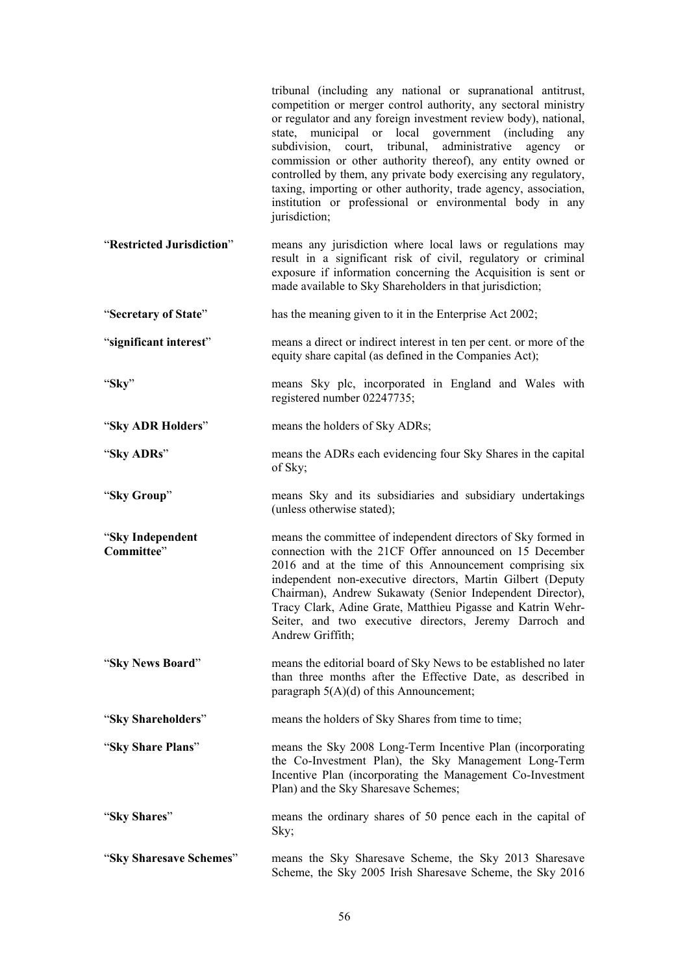|                                | tribunal (including any national or supranational antitrust,<br>competition or merger control authority, any sectoral ministry<br>or regulator and any foreign investment review body), national,<br>state, municipal or local government (including<br>any<br>subdivision, court, tribunal,<br>administrative<br>agency or<br>commission or other authority thereof), any entity owned or<br>controlled by them, any private body exercising any regulatory,<br>taxing, importing or other authority, trade agency, association,<br>institution or professional or environmental body in any<br>jurisdiction; |
|--------------------------------|----------------------------------------------------------------------------------------------------------------------------------------------------------------------------------------------------------------------------------------------------------------------------------------------------------------------------------------------------------------------------------------------------------------------------------------------------------------------------------------------------------------------------------------------------------------------------------------------------------------|
| "Restricted Jurisdiction"      | means any jurisdiction where local laws or regulations may<br>result in a significant risk of civil, regulatory or criminal<br>exposure if information concerning the Acquisition is sent or<br>made available to Sky Shareholders in that jurisdiction;                                                                                                                                                                                                                                                                                                                                                       |
| "Secretary of State"           | has the meaning given to it in the Enterprise Act 2002;                                                                                                                                                                                                                                                                                                                                                                                                                                                                                                                                                        |
| "significant interest"         | means a direct or indirect interest in ten per cent. or more of the<br>equity share capital (as defined in the Companies Act);                                                                                                                                                                                                                                                                                                                                                                                                                                                                                 |
| "Sky"                          | means Sky plc, incorporated in England and Wales with<br>registered number 02247735;                                                                                                                                                                                                                                                                                                                                                                                                                                                                                                                           |
| "Sky ADR Holders"              | means the holders of Sky ADRs;                                                                                                                                                                                                                                                                                                                                                                                                                                                                                                                                                                                 |
| "Sky ADRs"                     | means the ADRs each evidencing four Sky Shares in the capital<br>of Sky;                                                                                                                                                                                                                                                                                                                                                                                                                                                                                                                                       |
| "Sky Group"                    | means Sky and its subsidiaries and subsidiary undertakings<br>(unless otherwise stated);                                                                                                                                                                                                                                                                                                                                                                                                                                                                                                                       |
| "Sky Independent<br>Committee" | means the committee of independent directors of Sky formed in<br>connection with the 21CF Offer announced on 15 December<br>2016 and at the time of this Announcement comprising six<br>independent non-executive directors, Martin Gilbert (Deputy<br>Chairman), Andrew Sukawaty (Senior Independent Director),<br>Tracy Clark, Adine Grate, Matthieu Pigasse and Katrin Wehr-<br>Seiter, and two executive directors, Jeremy Darroch and<br>Andrew Griffith;                                                                                                                                                 |
| "Sky News Board"               | means the editorial board of Sky News to be established no later<br>than three months after the Effective Date, as described in<br>paragraph $5(A)(d)$ of this Announcement;                                                                                                                                                                                                                                                                                                                                                                                                                                   |
| "Sky Shareholders"             | means the holders of Sky Shares from time to time;                                                                                                                                                                                                                                                                                                                                                                                                                                                                                                                                                             |
| "Sky Share Plans"              | means the Sky 2008 Long-Term Incentive Plan (incorporating<br>the Co-Investment Plan), the Sky Management Long-Term<br>Incentive Plan (incorporating the Management Co-Investment<br>Plan) and the Sky Sharesave Schemes;                                                                                                                                                                                                                                                                                                                                                                                      |
| "Sky Shares"                   | means the ordinary shares of 50 pence each in the capital of<br>Sky;                                                                                                                                                                                                                                                                                                                                                                                                                                                                                                                                           |
| "Sky Sharesave Schemes"        | means the Sky Sharesave Scheme, the Sky 2013 Sharesave<br>Scheme, the Sky 2005 Irish Sharesave Scheme, the Sky 2016                                                                                                                                                                                                                                                                                                                                                                                                                                                                                            |